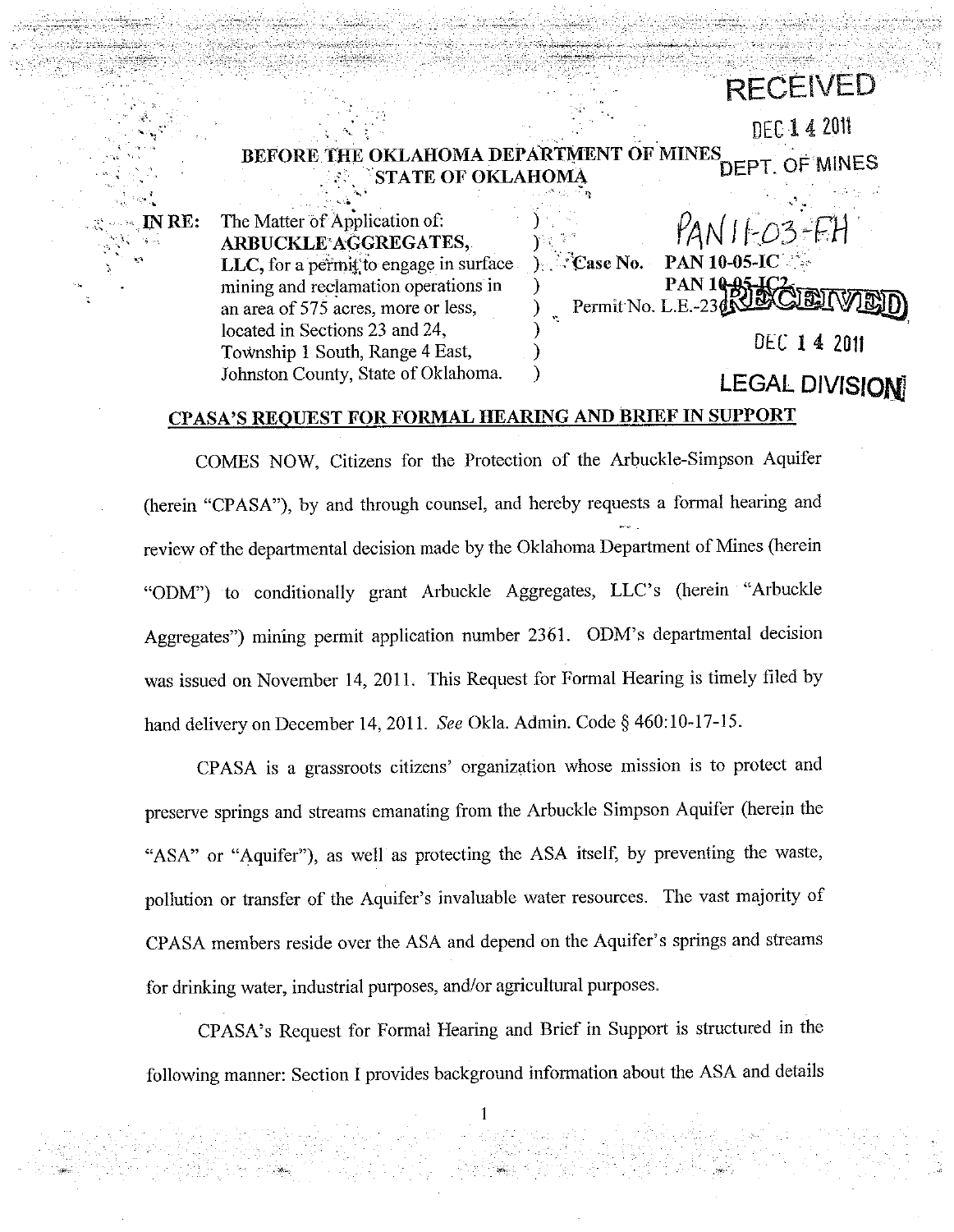#### BEFORE THE OKLAHOMA DEPARTMENT OF MINES DEPT. OF MINES **STATE OF OKLAHOMA**

IN  $RE:$ 

The Matter of Application of: ARBUCKLE'AGGREGATES, LLC, for a permit to engage in surface mining and reclamation operations in an area of 575 acres, more or less, located in Sections 23 and 24, Township 1 South, Range 4 East, Johnston County, State of Oklahoma.

Case No. **PAN 10-05-IC PAN 10-85** Permit No. L.E. DEC 14 2011

**RECEIVED** 

**DEC 1 4 2011** 

**LEGAL DIVISION** 

## CPASA'S REQUEST FOR FORMAL HEARING AND BRIEF IN SUPPORT

ſ

COMES NOW, Citizens for the Protection of the Arbuckle-Simpson Aquifer (herein "CPASA"), by and through counsel, and hereby requests a formal hearing and review of the departmental decision made by the Oklahoma Department of Mines (herein "ODM") to conditionally grant Arbuckle Aggregates, LLC's (herein "Arbuckle Aggregates") mining permit application number 2361. ODM's departmental decision was issued on November 14, 2011. This Request for Formal Hearing is timely filed by hand delivery on December 14, 2011. See Okla. Admin. Code § 460:10-17-15.

CPASA is a grassroots citizens' organization whose mission is to protect and preserve springs and streams emanating from the Arbuckle Simpson Aquifer (herein the "ASA" or "Aquifer"), as well as protecting the ASA itself, by preventing the waste, pollution or transfer of the Aquifer's invaluable water resources. The vast majority of CPASA members reside over the ASA and depend on the Aquifer's springs and streams for drinking water, industrial purposes, and/or agricultural purposes.

CPASA's Request for Formal Hearing and Brief in Support is structured in the following manner: Section I provides background information about the ASA and details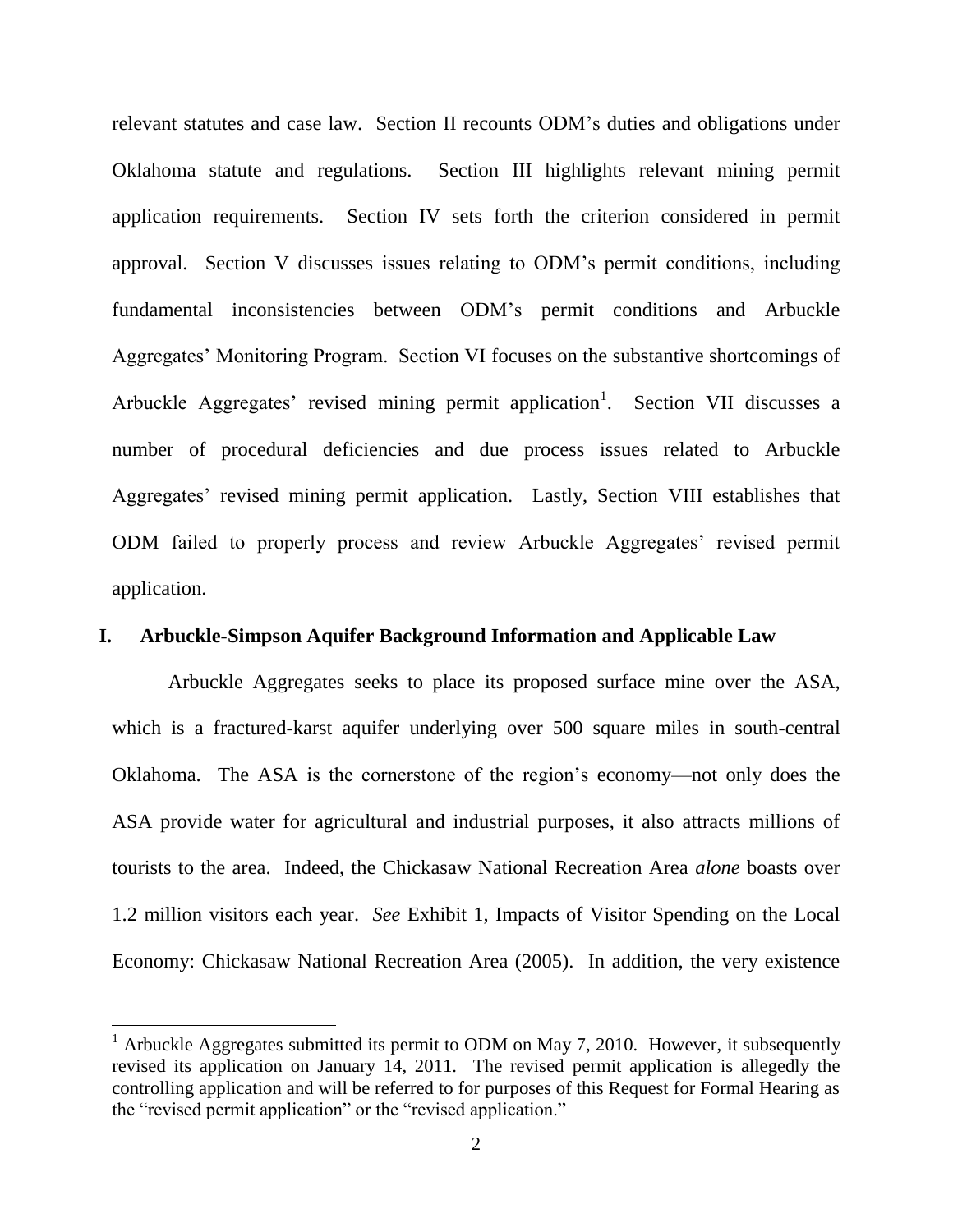relevant statutes and case law. Section II recounts ODM's duties and obligations under Oklahoma statute and regulations. Section III highlights relevant mining permit application requirements. Section IV sets forth the criterion considered in permit approval. Section V discusses issues relating to ODM's permit conditions, including fundamental inconsistencies between ODM's permit conditions and Arbuckle Aggregates' Monitoring Program. Section VI focuses on the substantive shortcomings of Arbuckle Aggregates' revised mining permit application<sup>1</sup>. Section VII discusses a number of procedural deficiencies and due process issues related to Arbuckle Aggregates' revised mining permit application. Lastly, Section VIII establishes that ODM failed to properly process and review Arbuckle Aggregates' revised permit application.

## **I. Arbuckle-Simpson Aquifer Background Information and Applicable Law**

Arbuckle Aggregates seeks to place its proposed surface mine over the ASA, which is a fractured-karst aquifer underlying over 500 square miles in south-central Oklahoma. The ASA is the cornerstone of the region's economy—not only does the ASA provide water for agricultural and industrial purposes, it also attracts millions of tourists to the area. Indeed, the Chickasaw National Recreation Area *alone* boasts over 1.2 million visitors each year. *See* Exhibit 1, Impacts of Visitor Spending on the Local Economy: Chickasaw National Recreation Area (2005). In addition, the very existence

<sup>&</sup>lt;sup>1</sup> Arbuckle Aggregates submitted its permit to ODM on May 7, 2010. However, it subsequently revised its application on January 14, 2011. The revised permit application is allegedly the controlling application and will be referred to for purposes of this Request for Formal Hearing as the "revised permit application" or the "revised application."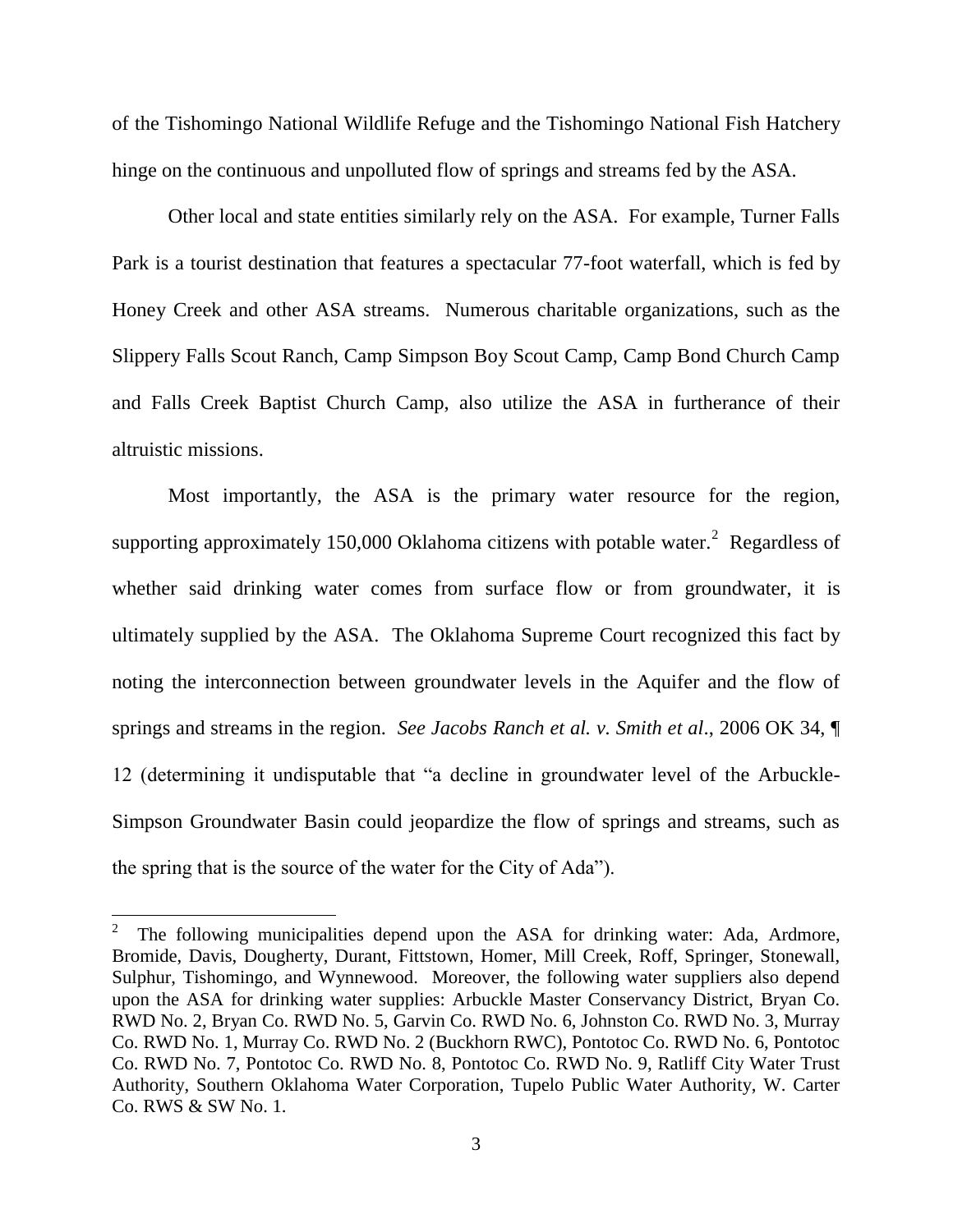of the Tishomingo National Wildlife Refuge and the Tishomingo National Fish Hatchery hinge on the continuous and unpolluted flow of springs and streams fed by the ASA.

Other local and state entities similarly rely on the ASA. For example, Turner Falls Park is a tourist destination that features a spectacular 77-foot waterfall, which is fed by Honey Creek and other ASA streams. Numerous charitable organizations, such as the Slippery Falls Scout Ranch, Camp Simpson Boy Scout Camp, Camp Bond Church Camp and Falls Creek Baptist Church Camp, also utilize the ASA in furtherance of their altruistic missions.

Most importantly, the ASA is the primary water resource for the region, supporting approximately 150,000 Oklahoma citizens with potable water. $2$  Regardless of whether said drinking water comes from surface flow or from groundwater, it is ultimately supplied by the ASA. The Oklahoma Supreme Court recognized this fact by noting the interconnection between groundwater levels in the Aquifer and the flow of springs and streams in the region. *See Jacobs Ranch et al. v. Smith et al*., 2006 OK 34, ¶ 12 (determining it undisputable that "a decline in groundwater level of the Arbuckle-Simpson Groundwater Basin could jeopardize the flow of springs and streams, such as the spring that is the source of the water for the City of Ada").

<sup>2</sup> The following municipalities depend upon the ASA for drinking water: Ada, Ardmore, Bromide, Davis, Dougherty, Durant, Fittstown, Homer, Mill Creek, Roff, Springer, Stonewall, Sulphur, Tishomingo, and Wynnewood. Moreover, the following water suppliers also depend upon the ASA for drinking water supplies: Arbuckle Master Conservancy District, Bryan Co. RWD No. 2, Bryan Co. RWD No. 5, Garvin Co. RWD No. 6, Johnston Co. RWD No. 3, Murray Co. RWD No. 1, Murray Co. RWD No. 2 (Buckhorn RWC), Pontotoc Co. RWD No. 6, Pontotoc Co. RWD No. 7, Pontotoc Co. RWD No. 8, Pontotoc Co. RWD No. 9, Ratliff City Water Trust Authority, Southern Oklahoma Water Corporation, Tupelo Public Water Authority, W. Carter Co. RWS & SW No. 1.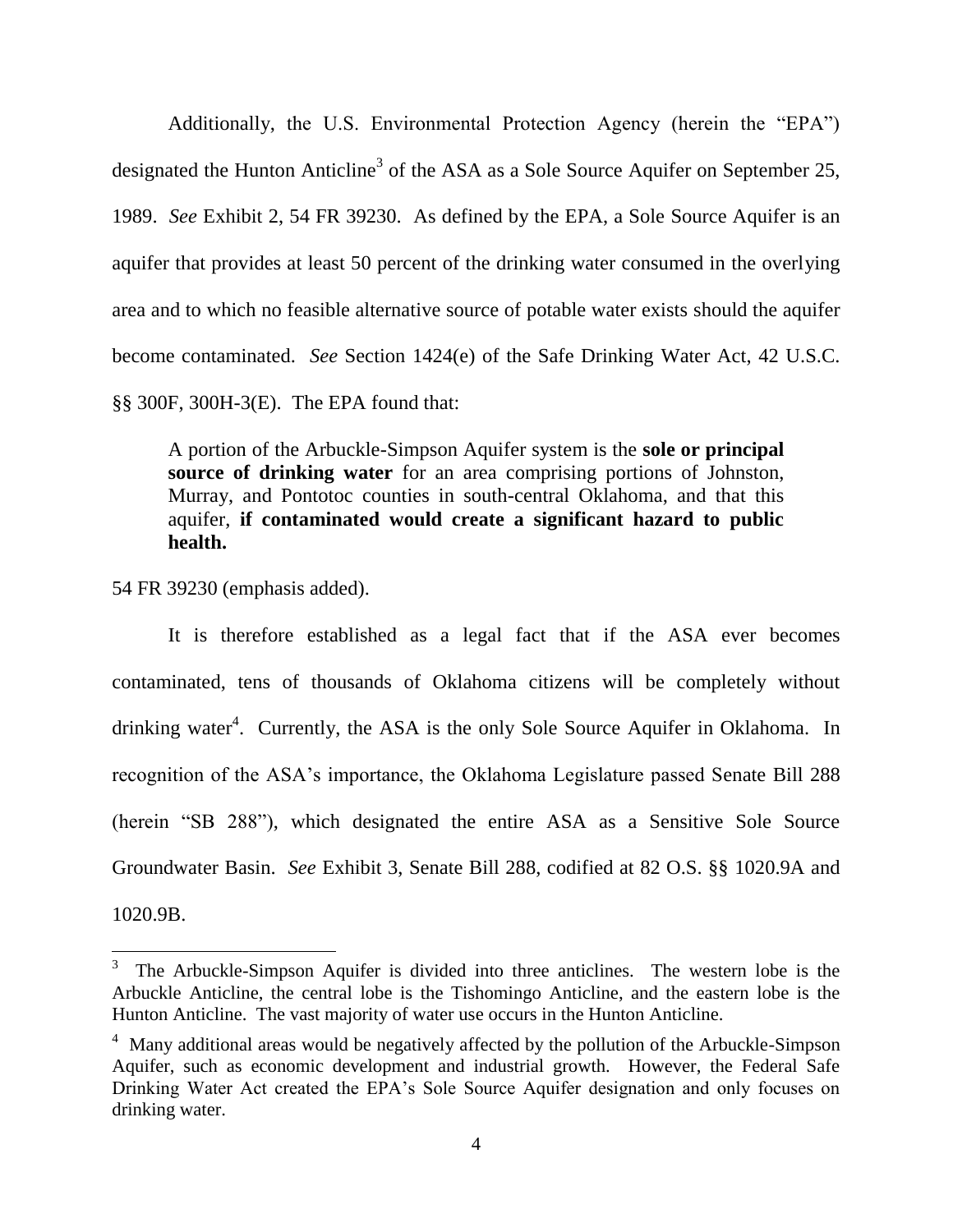Additionally, the U.S. Environmental Protection Agency (herein the "EPA") designated the Hunton Anticline<sup>3</sup> of the ASA as a Sole Source Aquifer on September 25, 1989. *See* Exhibit 2, 54 FR 39230. As defined by the EPA, a Sole Source Aquifer is an aquifer that provides at least 50 percent of the drinking water consumed in the overlying area and to which no feasible alternative source of potable water exists should the aquifer become contaminated. *See* Section 1424(e) of the Safe Drinking Water Act, 42 U.S.C. §§ 300F, 300H-3(E). The EPA found that:

A portion of the Arbuckle-Simpson Aquifer system is the **sole or principal source of drinking water** for an area comprising portions of Johnston, Murray, and Pontotoc counties in south-central Oklahoma, and that this aquifer, **if contaminated would create a significant hazard to public health.**

54 FR 39230 (emphasis added).

 $\overline{a}$ 

It is therefore established as a legal fact that if the ASA ever becomes contaminated, tens of thousands of Oklahoma citizens will be completely without drinking water<sup>4</sup>. Currently, the ASA is the only Sole Source Aquifer in Oklahoma. In recognition of the ASA's importance, the Oklahoma Legislature passed Senate Bill 288 (herein "SB 288"), which designated the entire ASA as a Sensitive Sole Source Groundwater Basin. *See* Exhibit 3, Senate Bill 288, codified at 82 O.S. §§ 1020.9A and 1020.9B.

<sup>3</sup> The Arbuckle-Simpson Aquifer is divided into three anticlines. The western lobe is the Arbuckle Anticline, the central lobe is the Tishomingo Anticline, and the eastern lobe is the Hunton Anticline. The vast majority of water use occurs in the Hunton Anticline.

 $4$  Many additional areas would be negatively affected by the pollution of the Arbuckle-Simpson Aquifer, such as economic development and industrial growth. However, the Federal Safe Drinking Water Act created the EPA's Sole Source Aquifer designation and only focuses on drinking water.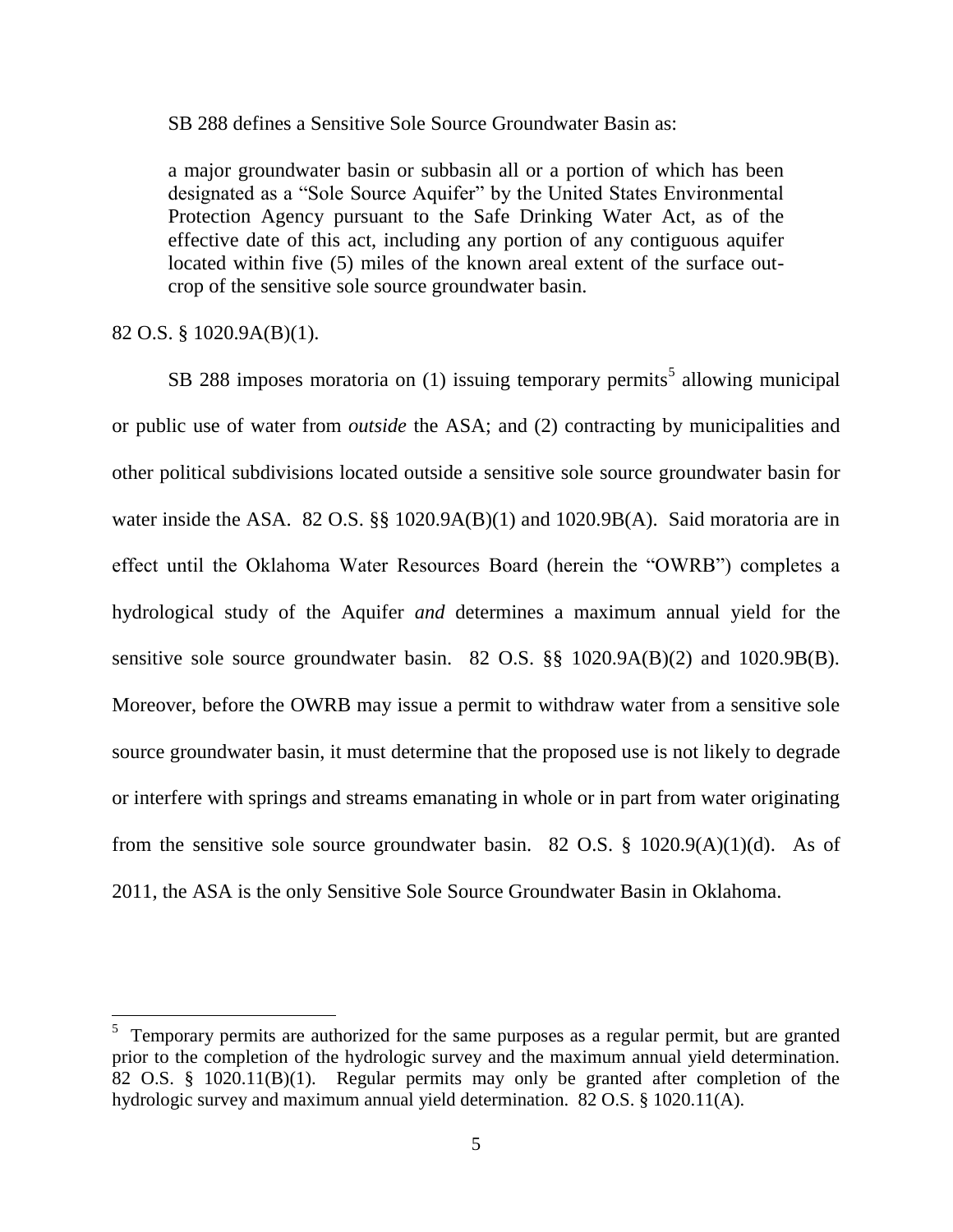SB 288 defines a Sensitive Sole Source Groundwater Basin as:

a major groundwater basin or subbasin all or a portion of which has been designated as a "Sole Source Aquifer" by the United States Environmental Protection Agency pursuant to the Safe Drinking Water Act, as of the effective date of this act, including any portion of any contiguous aquifer located within five (5) miles of the known areal extent of the surface outcrop of the sensitive sole source groundwater basin.

#### 82 O.S. § 1020.9A(B)(1).

SB 288 imposes moratoria on  $(1)$  issuing temporary permits<sup>5</sup> allowing municipal or public use of water from *outside* the ASA; and (2) contracting by municipalities and other political subdivisions located outside a sensitive sole source groundwater basin for water inside the ASA. 82 O.S. §§ 1020.9A(B)(1) and 1020.9B(A). Said moratoria are in effect until the Oklahoma Water Resources Board (herein the "OWRB") completes a hydrological study of the Aquifer *and* determines a maximum annual yield for the sensitive sole source groundwater basin. 82 O.S. §§ 1020.9A(B)(2) and 1020.9B(B). Moreover, before the OWRB may issue a permit to withdraw water from a sensitive sole source groundwater basin, it must determine that the proposed use is not likely to degrade or interfere with springs and streams emanating in whole or in part from water originating from the sensitive sole source groundwater basin. 82 O.S.  $\S$  1020.9(A)(1)(d). As of 2011, the ASA is the only Sensitive Sole Source Groundwater Basin in Oklahoma.

<sup>&</sup>lt;sup>5</sup> Temporary permits are authorized for the same purposes as a regular permit, but are granted prior to the completion of the hydrologic survey and the maximum annual yield determination. 82 O.S. § 1020.11(B)(1). Regular permits may only be granted after completion of the hydrologic survey and maximum annual yield determination. 82 O.S. § 1020.11(A).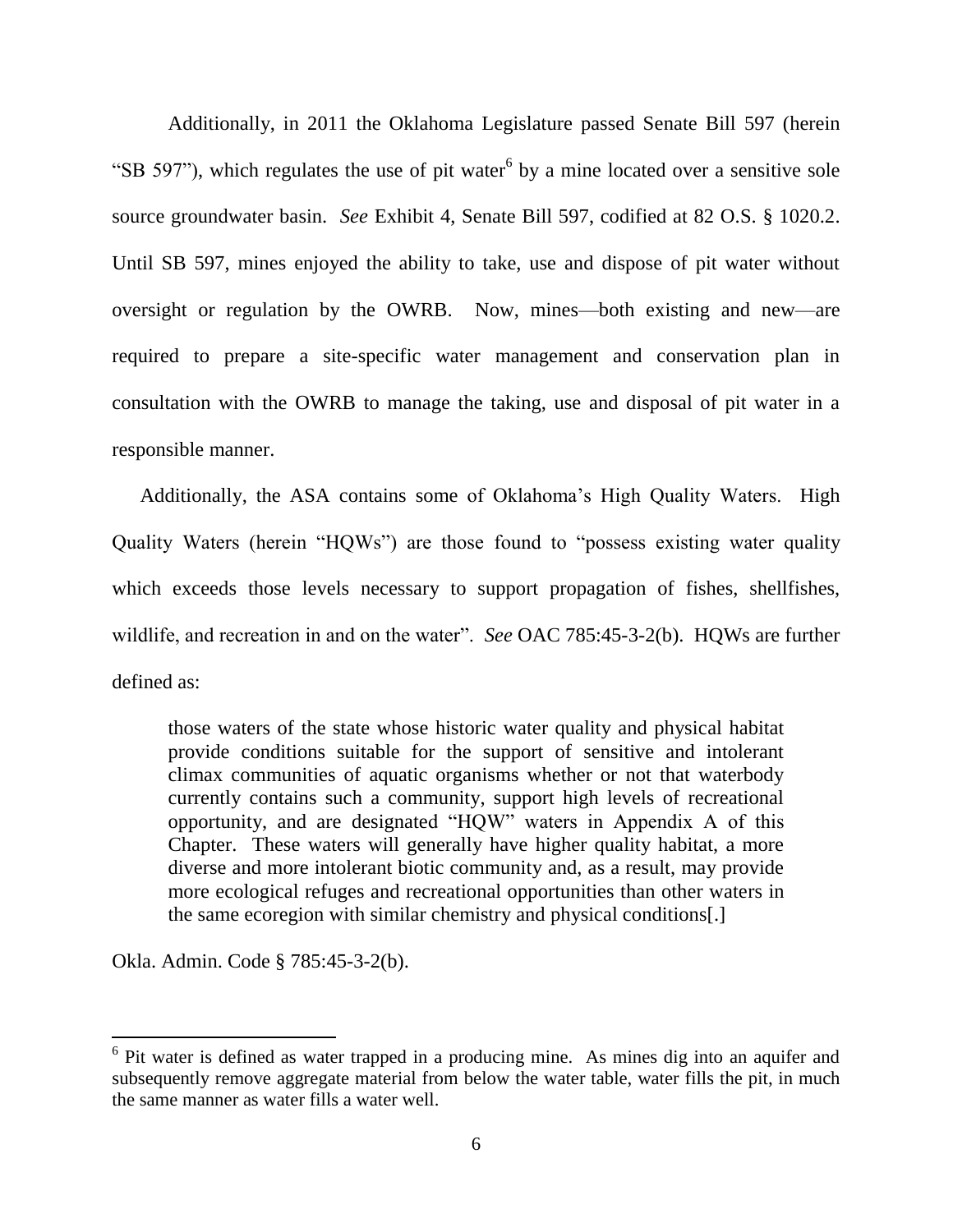Additionally, in 2011 the Oklahoma Legislature passed Senate Bill 597 (herein "SB 597"), which regulates the use of pit water  $6$  by a mine located over a sensitive sole source groundwater basin. *See* Exhibit 4, Senate Bill 597, codified at 82 O.S. § 1020.2. Until SB 597, mines enjoyed the ability to take, use and dispose of pit water without oversight or regulation by the OWRB. Now, mines—both existing and new—are required to prepare a site-specific water management and conservation plan in consultation with the OWRB to manage the taking, use and disposal of pit water in a responsible manner.

Additionally, the ASA contains some of Oklahoma's High Quality Waters. High Quality Waters (herein "HQWs") are those found to "possess existing water quality which exceeds those levels necessary to support propagation of fishes, shellfishes, wildlife, and recreation in and on the water". *See* OAC 785:45-3-2(b). HOWs are further defined as:

those waters of the state whose historic water quality and physical habitat provide conditions suitable for the support of sensitive and intolerant climax communities of aquatic organisms whether or not that waterbody currently contains such a community, support high levels of recreational opportunity, and are designated "HQW" waters in Appendix A of this Chapter. These waters will generally have higher quality habitat, a more diverse and more intolerant biotic community and, as a result, may provide more ecological refuges and recreational opportunities than other waters in the same ecoregion with similar chemistry and physical conditions[.]

Okla. Admin. Code § 785:45-3-2(b).

<sup>&</sup>lt;sup>6</sup> Pit water is defined as water trapped in a producing mine. As mines dig into an aquifer and subsequently remove aggregate material from below the water table, water fills the pit, in much the same manner as water fills a water well.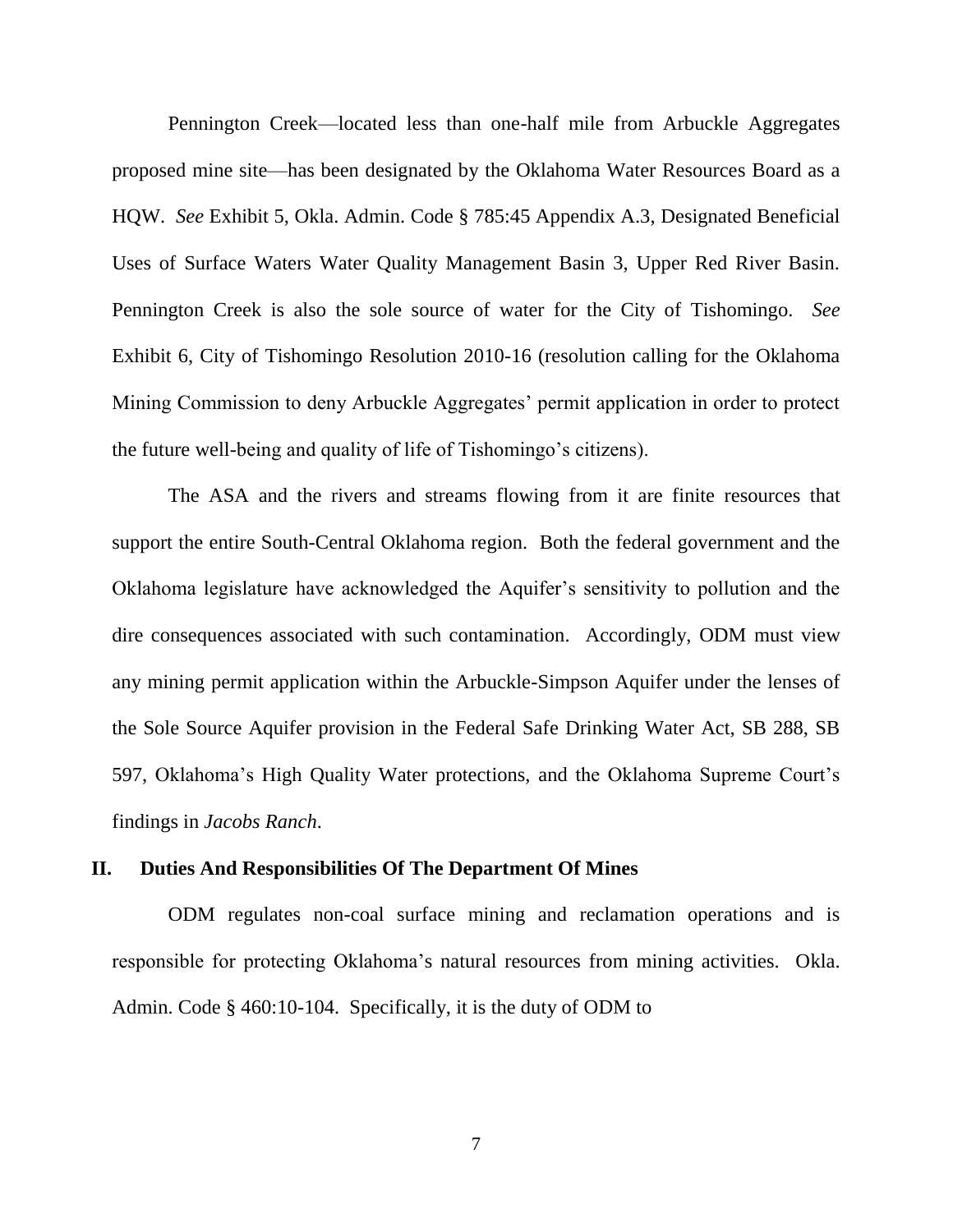Pennington Creek—located less than one-half mile from Arbuckle Aggregates proposed mine site—has been designated by the Oklahoma Water Resources Board as a HQW. *See* Exhibit 5, Okla. Admin. Code § 785:45 Appendix A.3, Designated Beneficial Uses of Surface Waters Water Quality Management Basin 3, Upper Red River Basin. Pennington Creek is also the sole source of water for the City of Tishomingo. *See* Exhibit 6, City of Tishomingo Resolution 2010-16 (resolution calling for the Oklahoma Mining Commission to deny Arbuckle Aggregates' permit application in order to protect the future well-being and quality of life of Tishomingo's citizens).

The ASA and the rivers and streams flowing from it are finite resources that support the entire South-Central Oklahoma region. Both the federal government and the Oklahoma legislature have acknowledged the Aquifer's sensitivity to pollution and the dire consequences associated with such contamination. Accordingly, ODM must view any mining permit application within the Arbuckle-Simpson Aquifer under the lenses of the Sole Source Aquifer provision in the Federal Safe Drinking Water Act, SB 288, SB 597, Oklahoma's High Quality Water protections, and the Oklahoma Supreme Court's findings in *Jacobs Ranch*.

#### **II. Duties And Responsibilities Of The Department Of Mines**

ODM regulates non-coal surface mining and reclamation operations and is responsible for protecting Oklahoma's natural resources from mining activities. Okla. Admin. Code § 460:10-104. Specifically, it is the duty of ODM to

7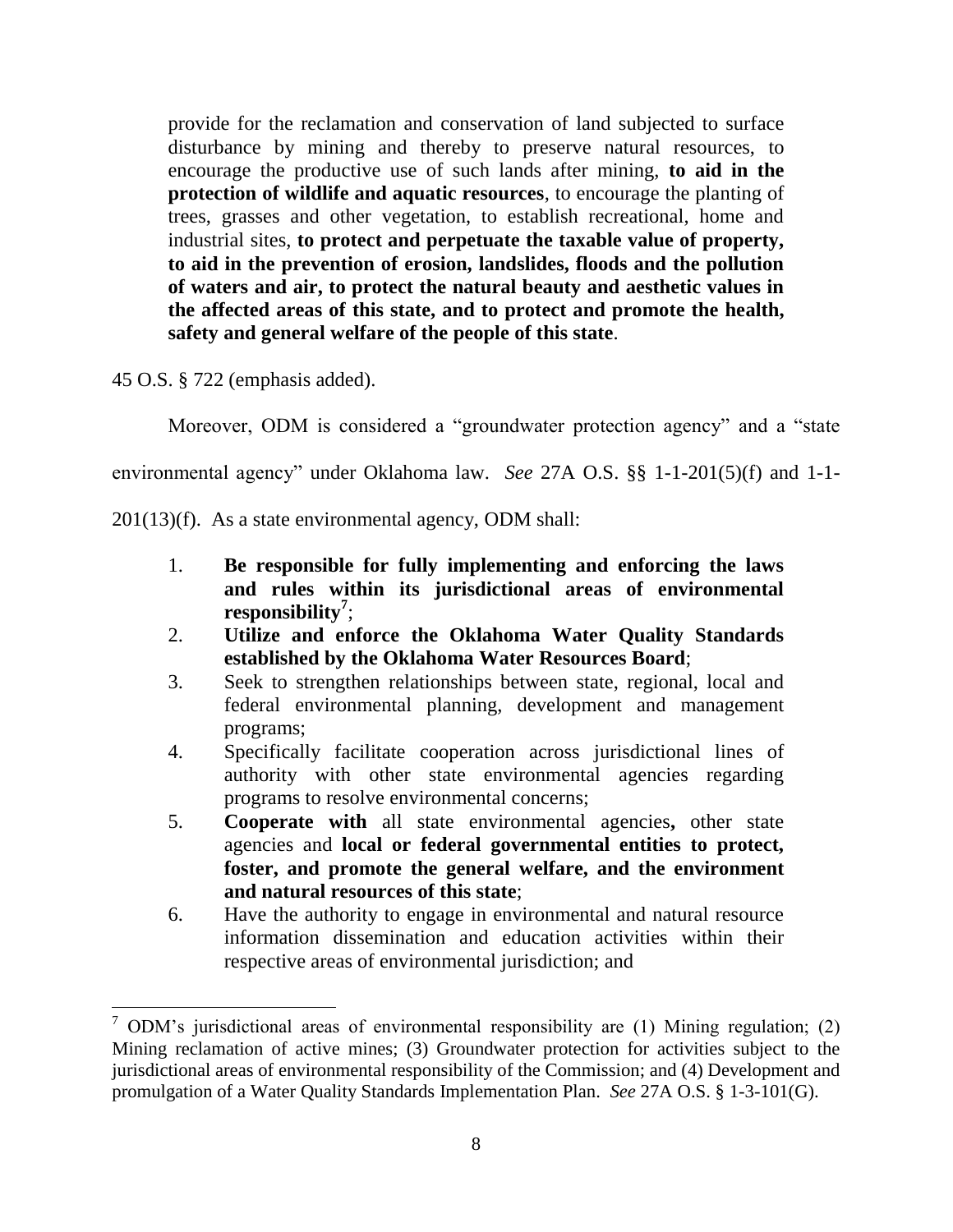provide for the reclamation and conservation of land subjected to surface disturbance by mining and thereby to preserve natural resources, to encourage the productive use of such lands after mining, **to aid in the protection of wildlife and aquatic resources**, to encourage the planting of trees, grasses and other vegetation, to establish recreational, home and industrial sites, **to protect and perpetuate the taxable value of property, to aid in the prevention of erosion, landslides, floods and the pollution of waters and air, to protect the natural beauty and aesthetic values in the affected areas of this state, and to protect and promote the health, safety and general welfare of the people of this state**.

45 O.S. § 722 (emphasis added).

 $\overline{a}$ 

Moreover, ODM is considered a "groundwater protection agency" and a "state

environmental agency" under Oklahoma law. *See* 27A O.S. §§ 1-1-201(5)(f) and 1-1-

201(13)(f). As a state environmental agency, ODM shall:

- 1. **Be responsible for fully implementing and enforcing the laws and rules within its jurisdictional areas of environmental responsibility<sup>7</sup>** ;
- 2. **Utilize and enforce the Oklahoma Water Quality Standards established by the Oklahoma Water Resources Board**;
- 3. Seek to strengthen relationships between state, regional, local and federal environmental planning, development and management programs;
- 4. Specifically facilitate cooperation across jurisdictional lines of authority with other state environmental agencies regarding programs to resolve environmental concerns;
- 5. **Cooperate with** all state environmental agencies**,** other state agencies and **local or federal governmental entities to protect, foster, and promote the general welfare, and the environment and natural resources of this state**;
- 6. Have the authority to engage in environmental and natural resource information dissemination and education activities within their respective areas of environmental jurisdiction; and

<sup>7</sup> ODM's jurisdictional areas of environmental responsibility are (1) Mining regulation; (2) Mining reclamation of active mines; (3) Groundwater protection for activities subject to the jurisdictional areas of environmental responsibility of the Commission; and (4) Development and promulgation of a Water Quality Standards Implementation Plan. *See* 27A O.S. § 1-3-101(G).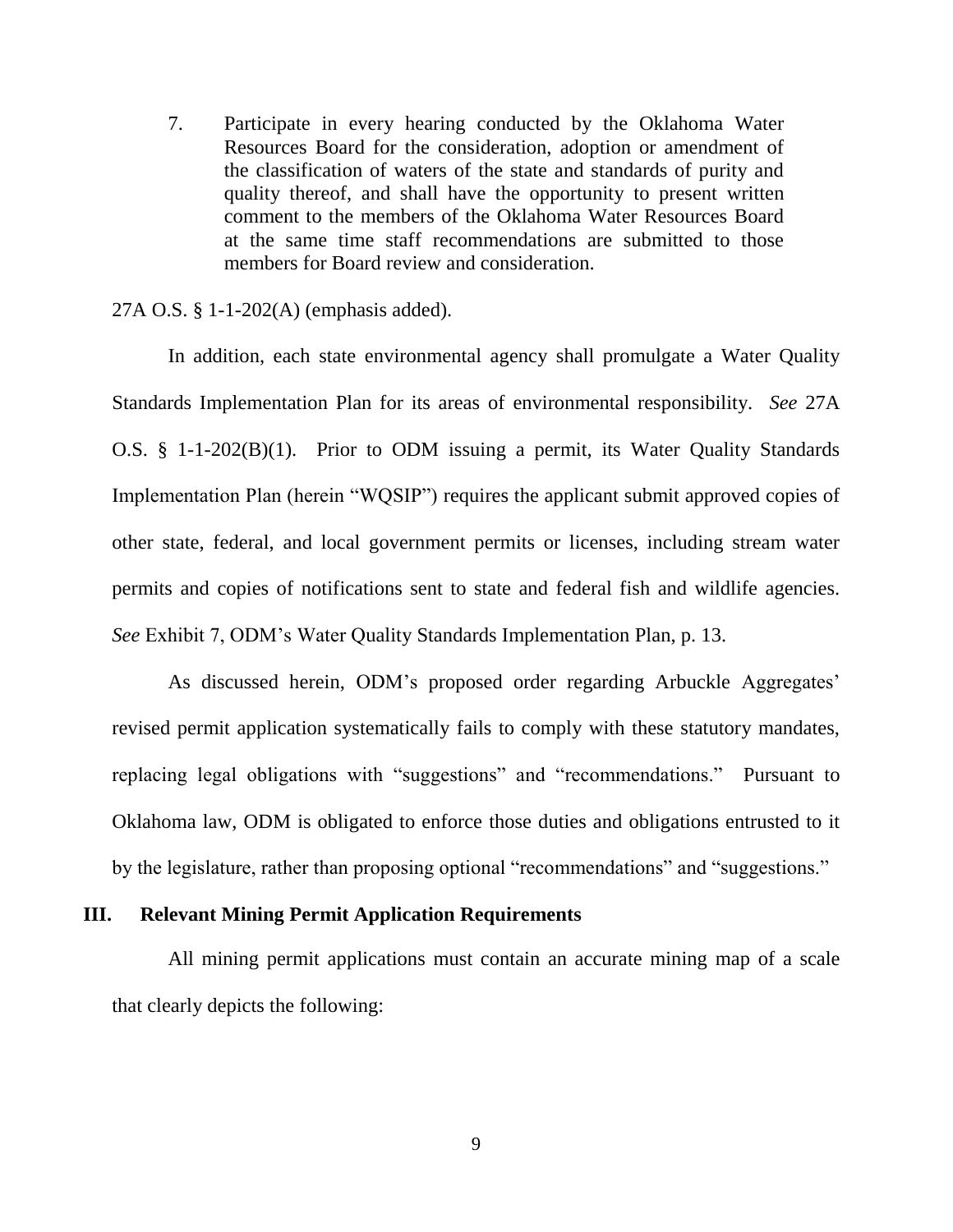7. Participate in every hearing conducted by the Oklahoma Water Resources Board for the consideration, adoption or amendment of the classification of waters of the state and standards of purity and quality thereof, and shall have the opportunity to present written comment to the members of the Oklahoma Water Resources Board at the same time staff recommendations are submitted to those members for Board review and consideration.

27A O.S. § 1-1-202(A) (emphasis added).

In addition, each state environmental agency shall promulgate a Water Quality Standards Implementation Plan for its areas of environmental responsibility. *See* 27A O.S. § 1-1-202(B)(1). Prior to ODM issuing a permit, its Water Quality Standards Implementation Plan (herein "WQSIP") requires the applicant submit approved copies of other state, federal, and local government permits or licenses, including stream water permits and copies of notifications sent to state and federal fish and wildlife agencies. *See* Exhibit 7, ODM's Water Quality Standards Implementation Plan, p. 13.

As discussed herein, ODM's proposed order regarding Arbuckle Aggregates' revised permit application systematically fails to comply with these statutory mandates, replacing legal obligations with "suggestions" and "recommendations." Pursuant to Oklahoma law, ODM is obligated to enforce those duties and obligations entrusted to it by the legislature, rather than proposing optional "recommendations" and "suggestions."

#### **III. Relevant Mining Permit Application Requirements**

All mining permit applications must contain an accurate mining map of a scale that clearly depicts the following:

9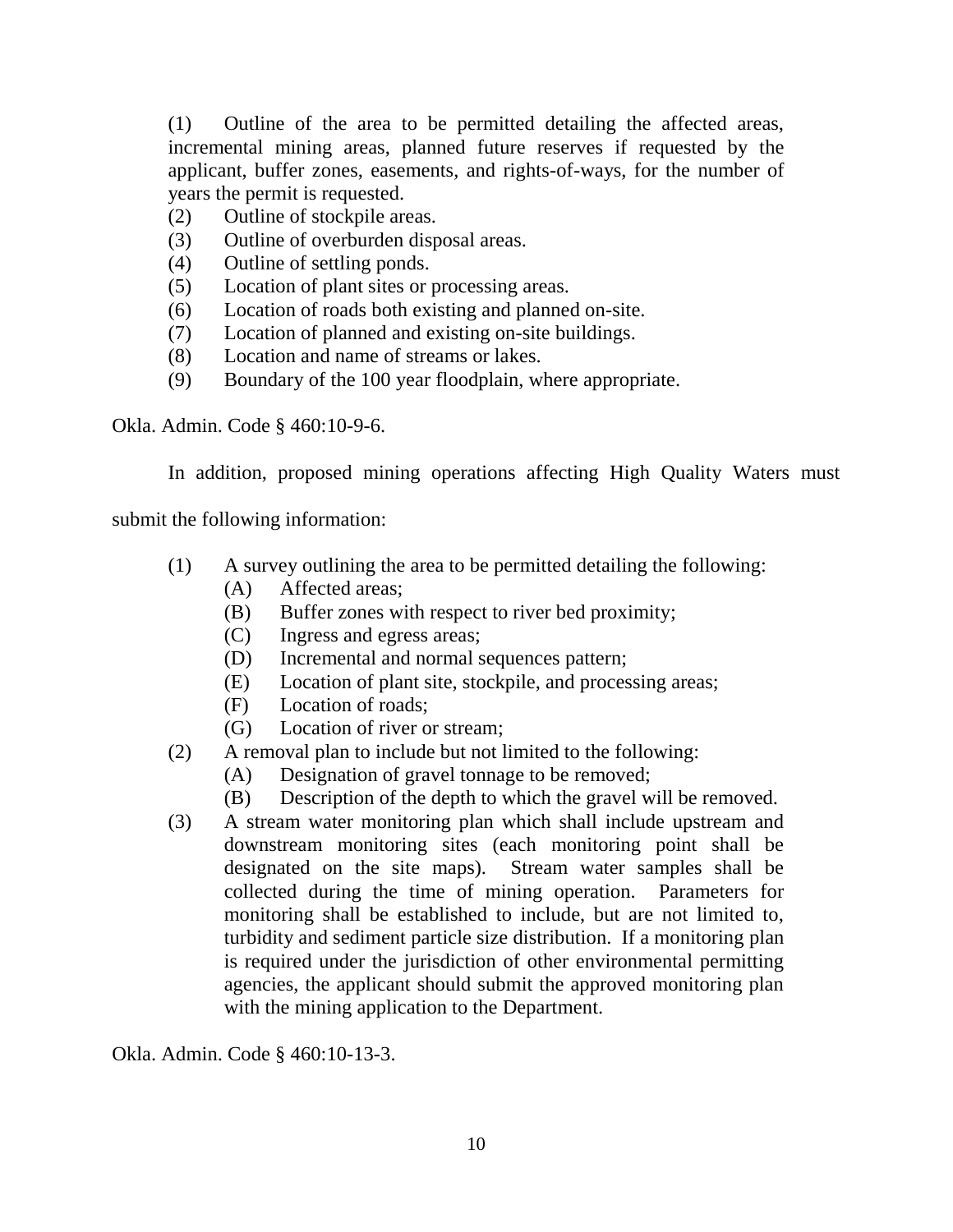(1) Outline of the area to be permitted detailing the affected areas, incremental mining areas, planned future reserves if requested by the applicant, buffer zones, easements, and rights-of-ways, for the number of years the permit is requested.

- (2) Outline of stockpile areas.
- (3) Outline of overburden disposal areas.
- (4) Outline of settling ponds.
- (5) Location of plant sites or processing areas.
- (6) Location of roads both existing and planned on-site.
- (7) Location of planned and existing on-site buildings.
- (8) Location and name of streams or lakes.
- (9) Boundary of the 100 year floodplain, where appropriate.

Okla. Admin. Code § 460:10-9-6.

In addition, proposed mining operations affecting High Quality Waters must

submit the following information:

- (1) A survey outlining the area to be permitted detailing the following:
	- (A) Affected areas;
	- (B) Buffer zones with respect to river bed proximity;
	- (C) Ingress and egress areas;
	- (D) Incremental and normal sequences pattern;
	- (E) Location of plant site, stockpile, and processing areas;
	- (F) Location of roads;
	- (G) Location of river or stream;
- (2) A removal plan to include but not limited to the following:
	- (A) Designation of gravel tonnage to be removed;
	- (B) Description of the depth to which the gravel will be removed.
- (3) A stream water monitoring plan which shall include upstream and downstream monitoring sites (each monitoring point shall be designated on the site maps). Stream water samples shall be collected during the time of mining operation. Parameters for monitoring shall be established to include, but are not limited to, turbidity and sediment particle size distribution. If a monitoring plan is required under the jurisdiction of other environmental permitting agencies, the applicant should submit the approved monitoring plan with the mining application to the Department.

Okla. Admin. Code § 460:10-13-3.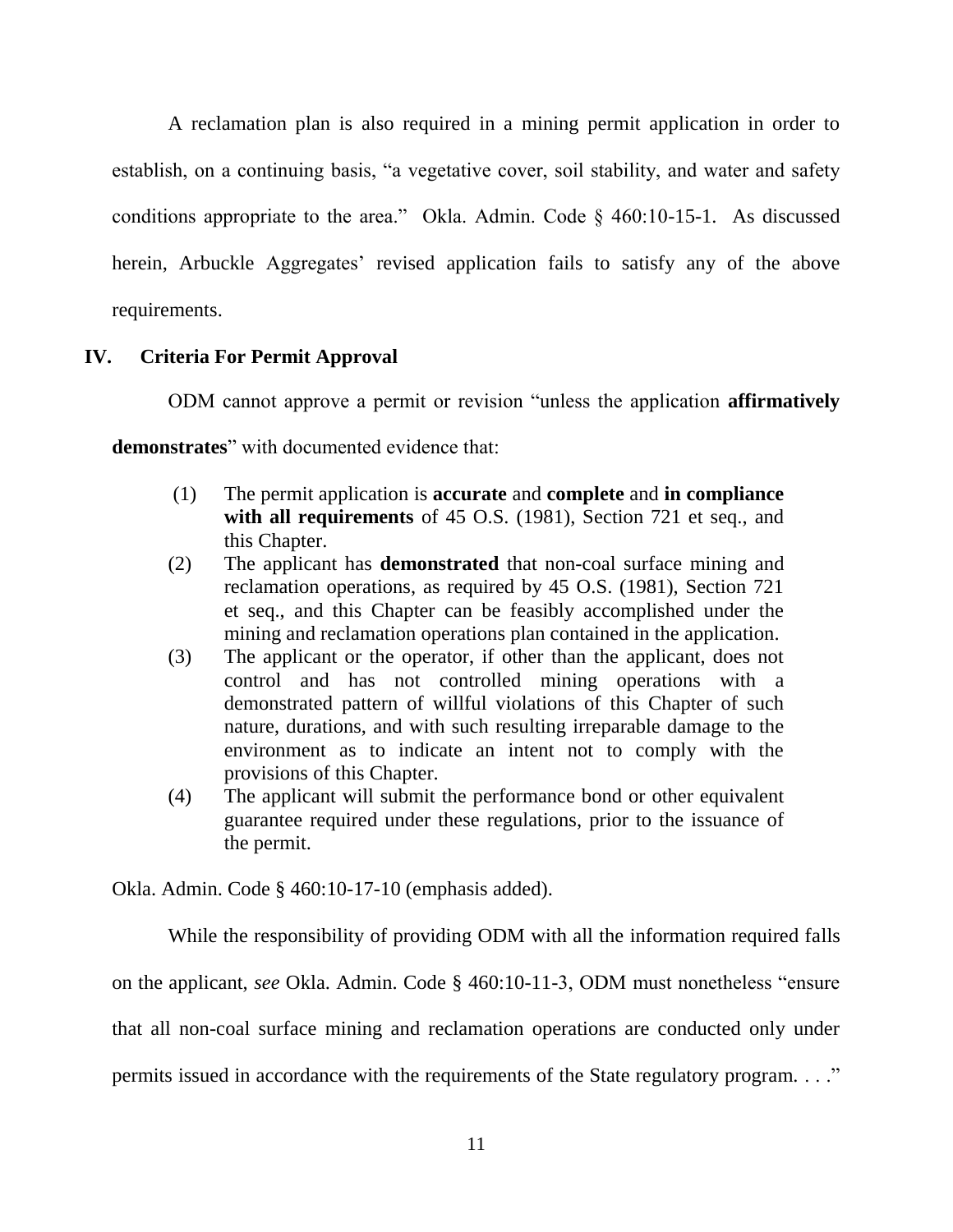A reclamation plan is also required in a mining permit application in order to establish, on a continuing basis, "a vegetative cover, soil stability, and water and safety conditions appropriate to the area." Okla. Admin. Code  $\S$  460:10-15-1. As discussed herein, Arbuckle Aggregates' revised application fails to satisfy any of the above requirements.

## **IV. Criteria For Permit Approval**

ODM cannot approve a permit or revision "unless the application **affirmatively** 

demonstrates" with documented evidence that:

- (1) The permit application is **accurate** and **complete** and **in compliance**  with all requirements of 45 O.S. (1981), Section 721 et seq., and this Chapter.
- (2) The applicant has **demonstrated** that non-coal surface mining and reclamation operations, as required by 45 O.S. (1981), Section 721 et seq., and this Chapter can be feasibly accomplished under the mining and reclamation operations plan contained in the application.
- (3) The applicant or the operator, if other than the applicant, does not control and has not controlled mining operations with a demonstrated pattern of willful violations of this Chapter of such nature, durations, and with such resulting irreparable damage to the environment as to indicate an intent not to comply with the provisions of this Chapter.
- (4) The applicant will submit the performance bond or other equivalent guarantee required under these regulations, prior to the issuance of the permit.

Okla. Admin. Code § 460:10-17-10 (emphasis added).

While the responsibility of providing ODM with all the information required falls on the applicant, *see* Okla. Admin. Code § 460:10-11-3, ODM must nonetheless "ensure" that all non-coal surface mining and reclamation operations are conducted only under permits issued in accordance with the requirements of the State regulatory program. . . ...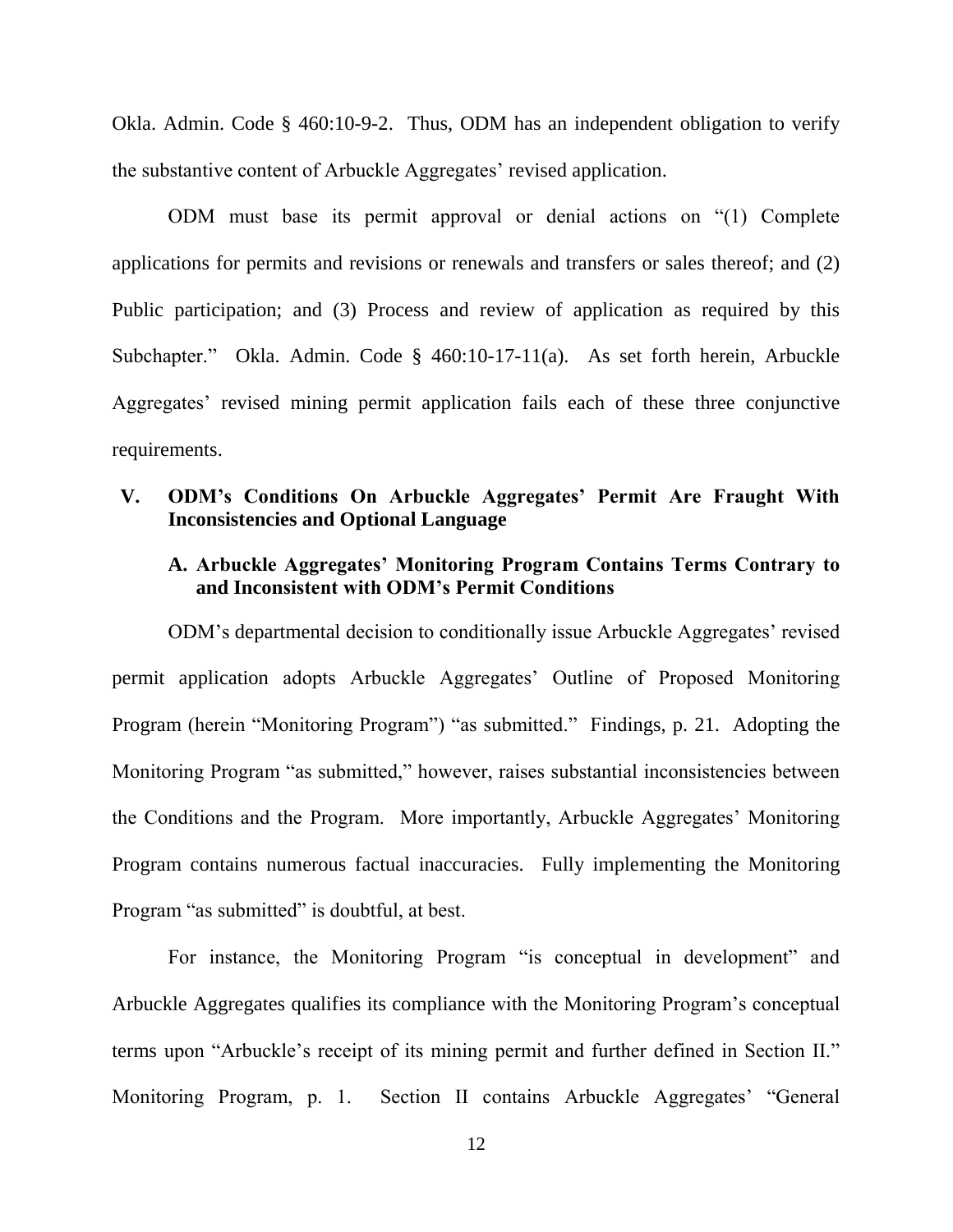Okla. Admin. Code § 460:10-9-2. Thus, ODM has an independent obligation to verify the substantive content of Arbuckle Aggregates' revised application.

ODM must base its permit approval or denial actions on "(1) Complete applications for permits and revisions or renewals and transfers or sales thereof; and (2) Public participation; and (3) Process and review of application as required by this Subchapter." Okla. Admin. Code § 460:10-17-11(a). As set forth herein, Arbuckle Aggregates' revised mining permit application fails each of these three conjunctive requirements.

### **V. ODM's Conditions On Arbuckle Aggregates' Permit Are Fraught With Inconsistencies and Optional Language**

## **A. Arbuckle Aggregates' Monitoring Program Contains Terms Contrary to and Inconsistent with ODM's Permit Conditions**

ODM's departmental decision to conditionally issue Arbuckle Aggregates' revised permit application adopts Arbuckle Aggregates' Outline of Proposed Monitoring Program (herein "Monitoring Program") "as submitted." Findings, p. 21. Adopting the Monitoring Program "as submitted," however, raises substantial inconsistencies between the Conditions and the Program. More importantly, Arbuckle Aggregates' Monitoring Program contains numerous factual inaccuracies. Fully implementing the Monitoring Program "as submitted" is doubtful, at best.

For instance, the Monitoring Program "is conceptual in development" and Arbuckle Aggregates qualifies its compliance with the Monitoring Program's conceptual terms upon "Arbuckle's receipt of its mining permit and further defined in Section II." Monitoring Program, p. 1. Section II contains Arbuckle Aggregates' "General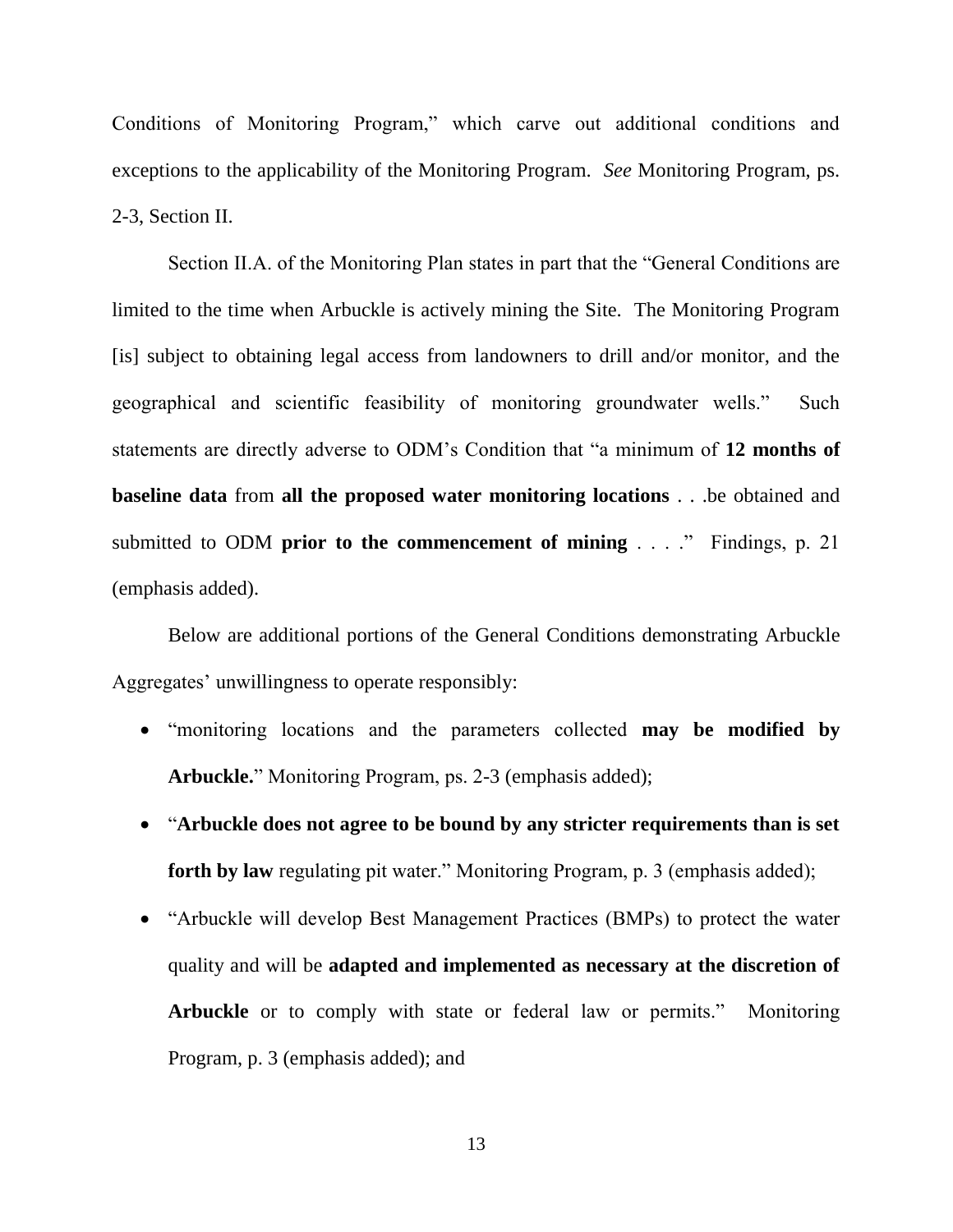Conditions of Monitoring Program," which carve out additional conditions and exceptions to the applicability of the Monitoring Program. *See* Monitoring Program, ps. 2-3, Section II.

Section II.A. of the Monitoring Plan states in part that the "General Conditions are limited to the time when Arbuckle is actively mining the Site. The Monitoring Program [is] subject to obtaining legal access from landowners to drill and/or monitor, and the geographical and scientific feasibility of monitoring groundwater wells." Such statements are directly adverse to ODM's Condition that "a minimum of 12 months of **baseline data** from **all the proposed water monitoring locations** . . .be obtained and submitted to ODM **prior to the commencement of mining** . . . .<sup>"</sup> Findings, p. 21 (emphasis added).

Below are additional portions of the General Conditions demonstrating Arbuckle Aggregates' unwillingness to operate responsibly:

- ―monitoring locations and the parameters collected **may be modified by**  Arbuckle." Monitoring Program, ps. 2-3 (emphasis added);
- ―**Arbuckle does not agree to be bound by any stricter requirements than is set**  forth by law regulating pit water." Monitoring Program, p. 3 (emphasis added);
- ―Arbuckle will develop Best Management Practices (BMPs) to protect the water quality and will be **adapted and implemented as necessary at the discretion of Arbuckle** or to comply with state or federal law or permits." Monitoring Program, p. 3 (emphasis added); and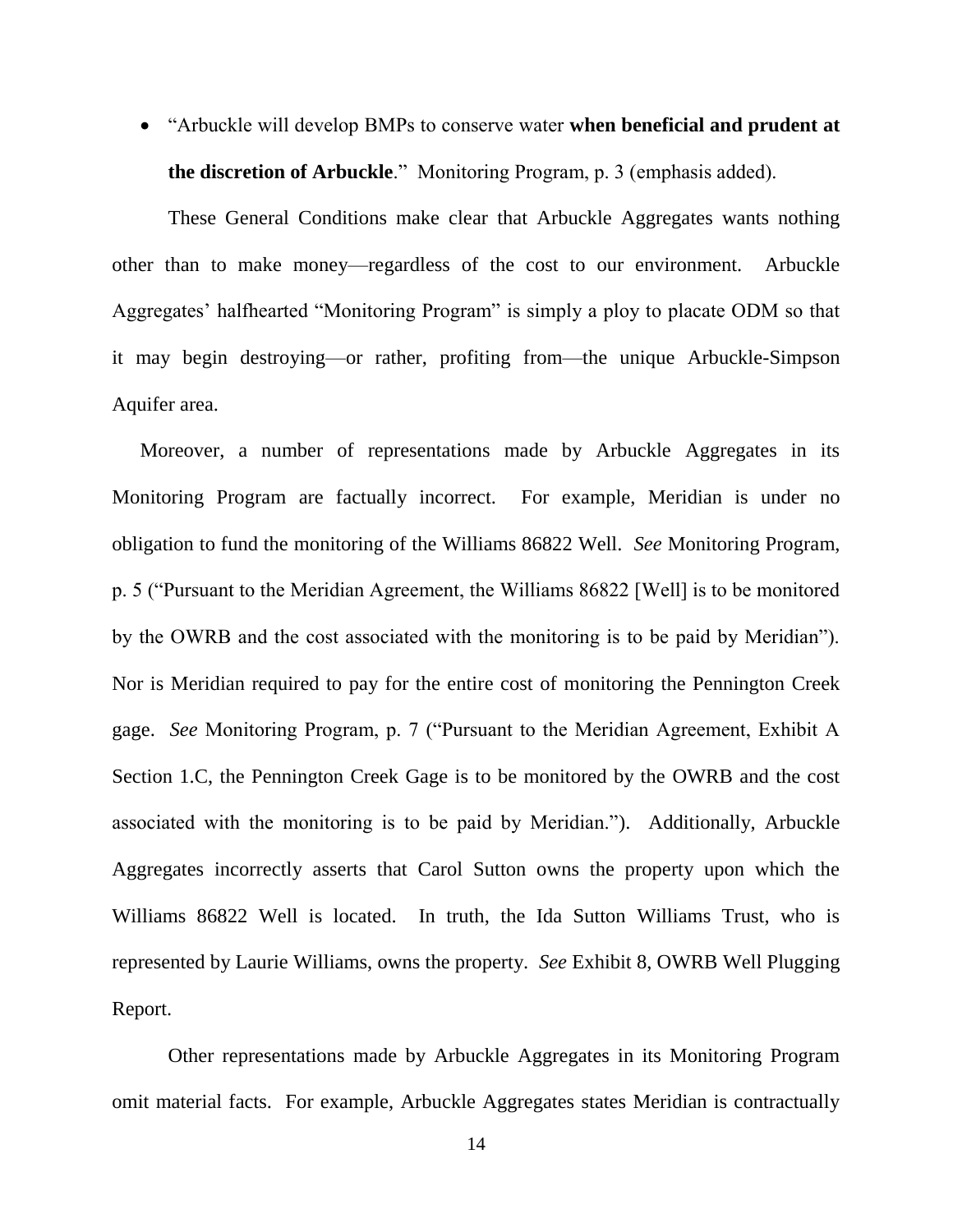―Arbuckle will develop BMPs to conserve water **when beneficial and prudent at the discretion of Arbuckle**." Monitoring Program, p. 3 (emphasis added).

These General Conditions make clear that Arbuckle Aggregates wants nothing other than to make money—regardless of the cost to our environment. Arbuckle Aggregates' halfhearted "Monitoring Program" is simply a ploy to placate ODM so that it may begin destroying—or rather, profiting from—the unique Arbuckle-Simpson Aquifer area.

Moreover, a number of representations made by Arbuckle Aggregates in its Monitoring Program are factually incorrect. For example, Meridian is under no obligation to fund the monitoring of the Williams 86822 Well. *See* Monitoring Program, p. 5 ("Pursuant to the Meridian Agreement, the Williams 86822 [Well] is to be monitored by the OWRB and the cost associated with the monitoring is to be paid by Meridian"). Nor is Meridian required to pay for the entire cost of monitoring the Pennington Creek gage. *See* Monitoring Program, p. 7 ("Pursuant to the Meridian Agreement, Exhibit A Section 1.C, the Pennington Creek Gage is to be monitored by the OWRB and the cost associated with the monitoring is to be paid by Meridian."). Additionally, Arbuckle Aggregates incorrectly asserts that Carol Sutton owns the property upon which the Williams 86822 Well is located. In truth, the Ida Sutton Williams Trust, who is represented by Laurie Williams, owns the property. *See* Exhibit 8, OWRB Well Plugging Report.

Other representations made by Arbuckle Aggregates in its Monitoring Program omit material facts. For example, Arbuckle Aggregates states Meridian is contractually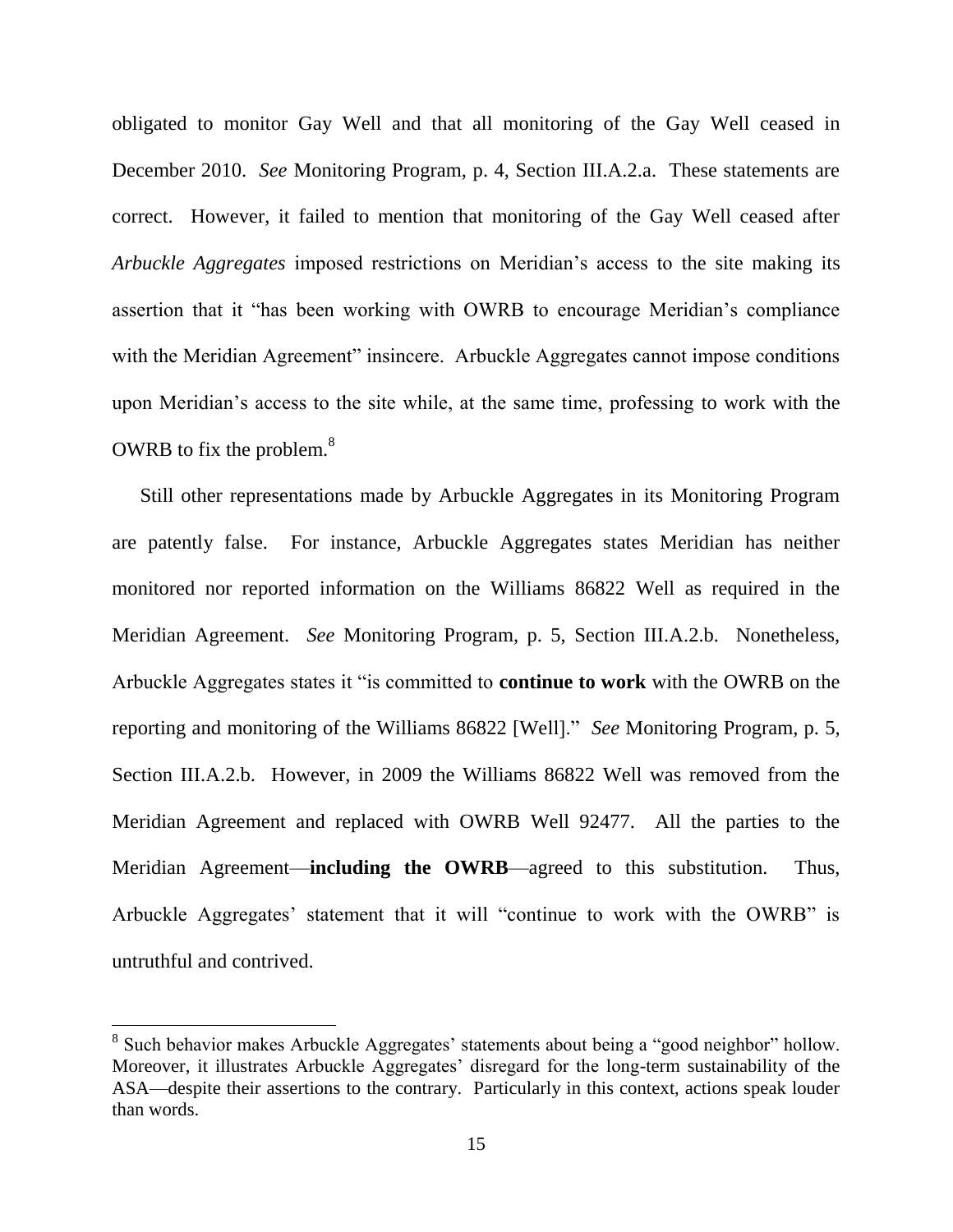obligated to monitor Gay Well and that all monitoring of the Gay Well ceased in December 2010. *See* Monitoring Program, p. 4, Section III.A.2.a. These statements are correct. However, it failed to mention that monitoring of the Gay Well ceased after *Arbuckle Aggregates* imposed restrictions on Meridian's access to the site making its assertion that it "has been working with OWRB to encourage Meridian's compliance with the Meridian Agreement" insincere. Arbuckle Aggregates cannot impose conditions upon Meridian's access to the site while, at the same time, professing to work with the OWRB to fix the problem. $8<sup>8</sup>$ 

Still other representations made by Arbuckle Aggregates in its Monitoring Program are patently false. For instance, Arbuckle Aggregates states Meridian has neither monitored nor reported information on the Williams 86822 Well as required in the Meridian Agreement. *See* Monitoring Program, p. 5, Section III.A.2.b. Nonetheless, Arbuckle Aggregates states it "is committed to **continue to work** with the OWRB on the reporting and monitoring of the Williams 86822 [Well]." *See* Monitoring Program, p. 5, Section III.A.2.b. However, in 2009 the Williams 86822 Well was removed from the Meridian Agreement and replaced with OWRB Well 92477. All the parties to the Meridian Agreement—**including the OWRB**—agreed to this substitution. Thus, Arbuckle Aggregates' statement that it will "continue to work with the OWRB" is untruthful and contrived.

<sup>&</sup>lt;sup>8</sup> Such behavior makes Arbuckle Aggregates' statements about being a "good neighbor" hollow. Moreover, it illustrates Arbuckle Aggregates' disregard for the long-term sustainability of the ASA—despite their assertions to the contrary. Particularly in this context, actions speak louder than words.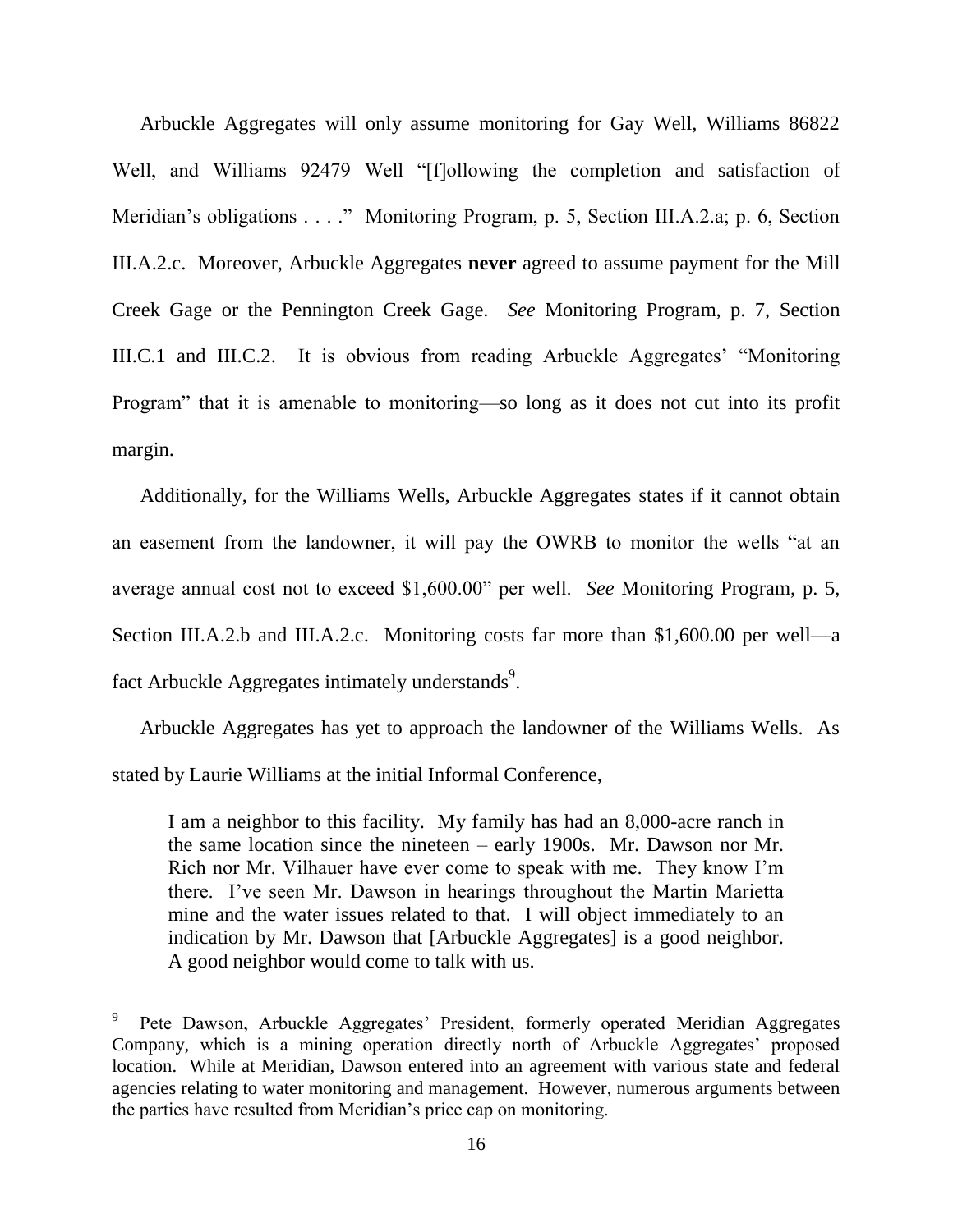Arbuckle Aggregates will only assume monitoring for Gay Well, Williams 86822 Well, and Williams 92479 Well "[f]ollowing the completion and satisfaction of Meridian's obligations . . . ." Monitoring Program, p. 5, Section III.A.2.a; p. 6, Section III.A.2.c. Moreover, Arbuckle Aggregates **never** agreed to assume payment for the Mill Creek Gage or the Pennington Creek Gage. *See* Monitoring Program, p. 7, Section III.C.1 and III.C.2. It is obvious from reading Arbuckle Aggregates' "Monitoring Program" that it is amenable to monitoring—so long as it does not cut into its profit margin.

Additionally, for the Williams Wells, Arbuckle Aggregates states if it cannot obtain an easement from the landowner, it will pay the OWRB to monitor the wells "at an average annual cost not to exceed \$1,600.00" per well. *See* Monitoring Program, p. 5, Section III.A.2.b and III.A.2.c. Monitoring costs far more than \$1,600.00 per well—a fact Arbuckle Aggregates intimately understands<sup>9</sup>.

Arbuckle Aggregates has yet to approach the landowner of the Williams Wells. As stated by Laurie Williams at the initial Informal Conference,

I am a neighbor to this facility. My family has had an 8,000-acre ranch in the same location since the nineteen – early 1900s. Mr. Dawson nor Mr. Rich nor Mr. Vilhauer have ever come to speak with me. They know I'm there. I've seen Mr. Dawson in hearings throughout the Martin Marietta mine and the water issues related to that. I will object immediately to an indication by Mr. Dawson that [Arbuckle Aggregates] is a good neighbor. A good neighbor would come to talk with us.

<sup>9</sup> Pete Dawson, Arbuckle Aggregates' President, formerly operated Meridian Aggregates Company, which is a mining operation directly north of Arbuckle Aggregates' proposed location. While at Meridian, Dawson entered into an agreement with various state and federal agencies relating to water monitoring and management. However, numerous arguments between the parties have resulted from Meridian's price cap on monitoring.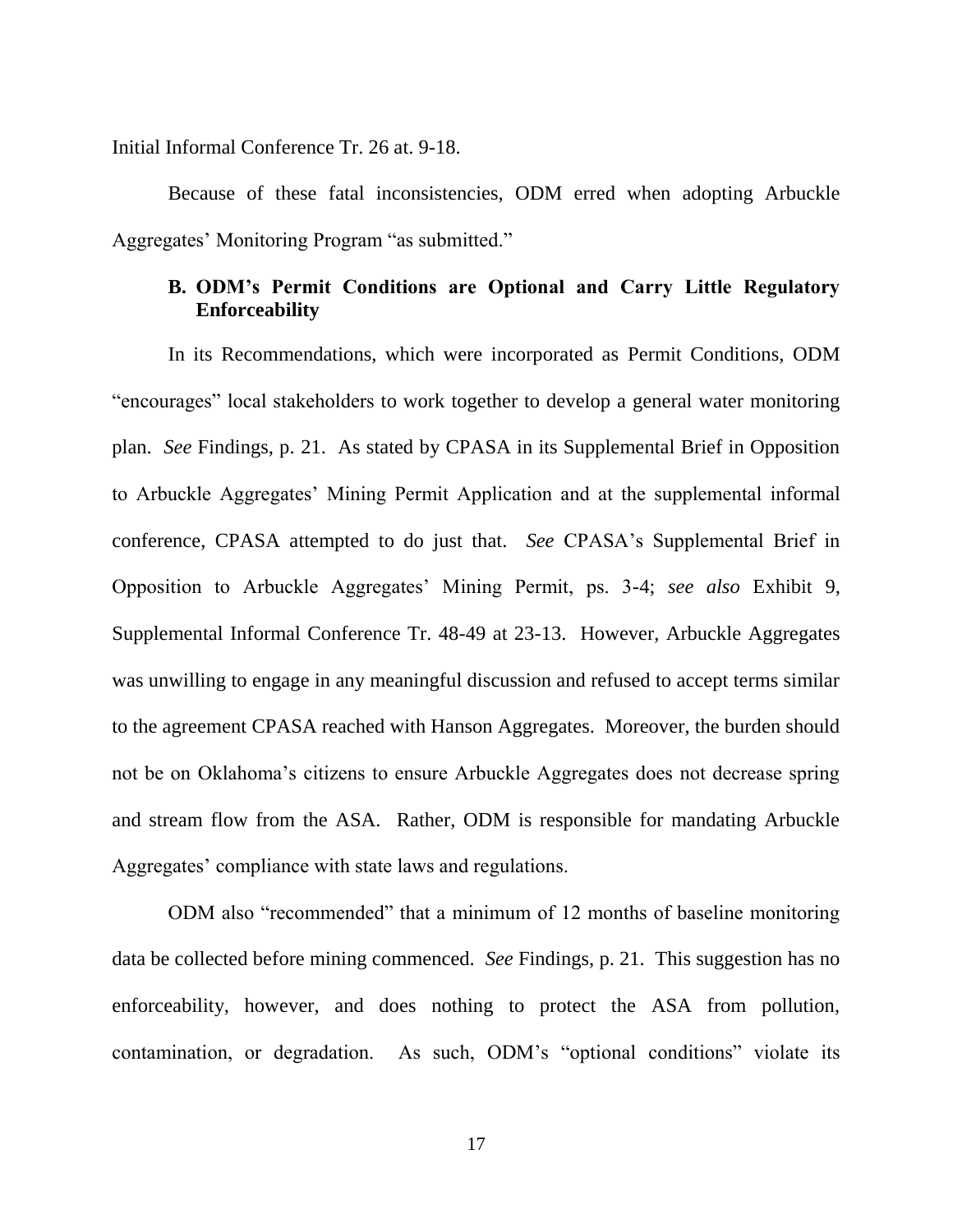Initial Informal Conference Tr. 26 at. 9-18.

Because of these fatal inconsistencies, ODM erred when adopting Arbuckle Aggregates' Monitoring Program "as submitted."

## **B. ODM's Permit Conditions are Optional and Carry Little Regulatory Enforceability**

In its Recommendations, which were incorporated as Permit Conditions, ODM "encourages" local stakeholders to work together to develop a general water monitoring plan. *See* Findings, p. 21. As stated by CPASA in its Supplemental Brief in Opposition to Arbuckle Aggregates' Mining Permit Application and at the supplemental informal conference, CPASA attempted to do just that. *See* CPASA's Supplemental Brief in Opposition to Arbuckle Aggregates' Mining Permit, ps. 3-4; *see also* Exhibit 9, Supplemental Informal Conference Tr. 48-49 at 23-13. However, Arbuckle Aggregates was unwilling to engage in any meaningful discussion and refused to accept terms similar to the agreement CPASA reached with Hanson Aggregates. Moreover, the burden should not be on Oklahoma's citizens to ensure Arbuckle Aggregates does not decrease spring and stream flow from the ASA. Rather, ODM is responsible for mandating Arbuckle Aggregates' compliance with state laws and regulations.

ODM also "recommended" that a minimum of 12 months of baseline monitoring data be collected before mining commenced. *See* Findings, p. 21. This suggestion has no enforceability, however, and does nothing to protect the ASA from pollution, contamination, or degradation. As such, ODM's "optional conditions" violate its

17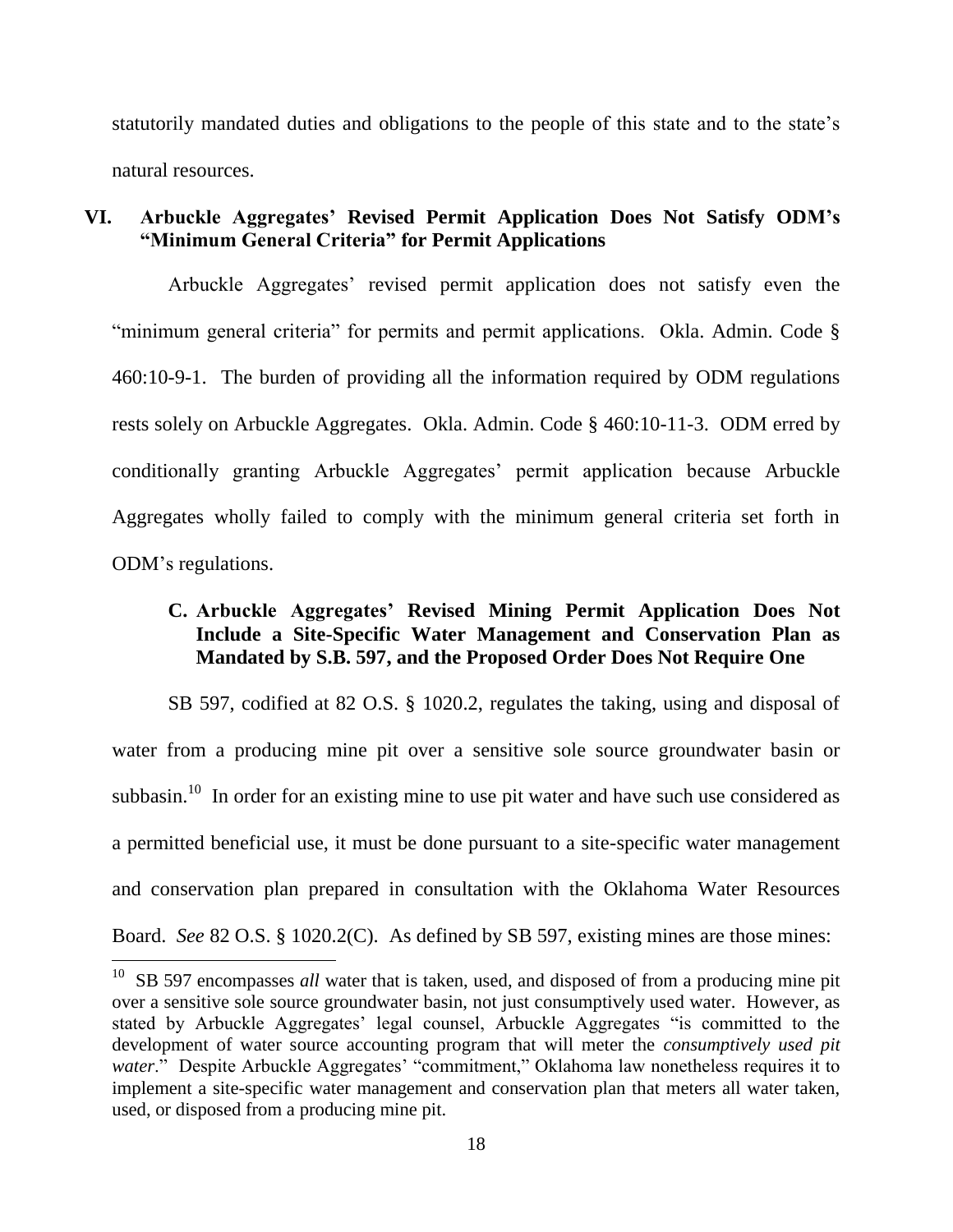statutorily mandated duties and obligations to the people of this state and to the state's natural resources.

## **VI. Arbuckle Aggregates' Revised Permit Application Does Not Satisfy ODM's "Minimum General Criteria" for Permit Applications**

Arbuckle Aggregates' revised permit application does not satisfy even the "minimum general criteria" for permits and permit applications. Okla. Admin. Code § 460:10-9-1. The burden of providing all the information required by ODM regulations rests solely on Arbuckle Aggregates. Okla. Admin. Code § 460:10-11-3. ODM erred by conditionally granting Arbuckle Aggregates' permit application because Arbuckle Aggregates wholly failed to comply with the minimum general criteria set forth in ODM's regulations.

## **C. Arbuckle Aggregates' Revised Mining Permit Application Does Not Include a Site-Specific Water Management and Conservation Plan as Mandated by S.B. 597, and the Proposed Order Does Not Require One**

SB 597, codified at 82 O.S. § 1020.2, regulates the taking, using and disposal of water from a producing mine pit over a sensitive sole source groundwater basin or subbasin.<sup>10</sup> In order for an existing mine to use pit water and have such use considered as a permitted beneficial use, it must be done pursuant to a site-specific water management and conservation plan prepared in consultation with the Oklahoma Water Resources Board. *See* 82 O.S. § 1020.2(C). As defined by SB 597, existing mines are those mines:

<sup>&</sup>lt;sup>10</sup> SB 597 encompasses *all* water that is taken, used, and disposed of from a producing mine pit over a sensitive sole source groundwater basin, not just consumptively used water. However, as stated by Arbuckle Aggregates' legal counsel, Arbuckle Aggregates "is committed to the development of water source accounting program that will meter the *consumptively used pit*  water." Despite Arbuckle Aggregates' "commitment," Oklahoma law nonetheless requires it to implement a site-specific water management and conservation plan that meters all water taken, used, or disposed from a producing mine pit.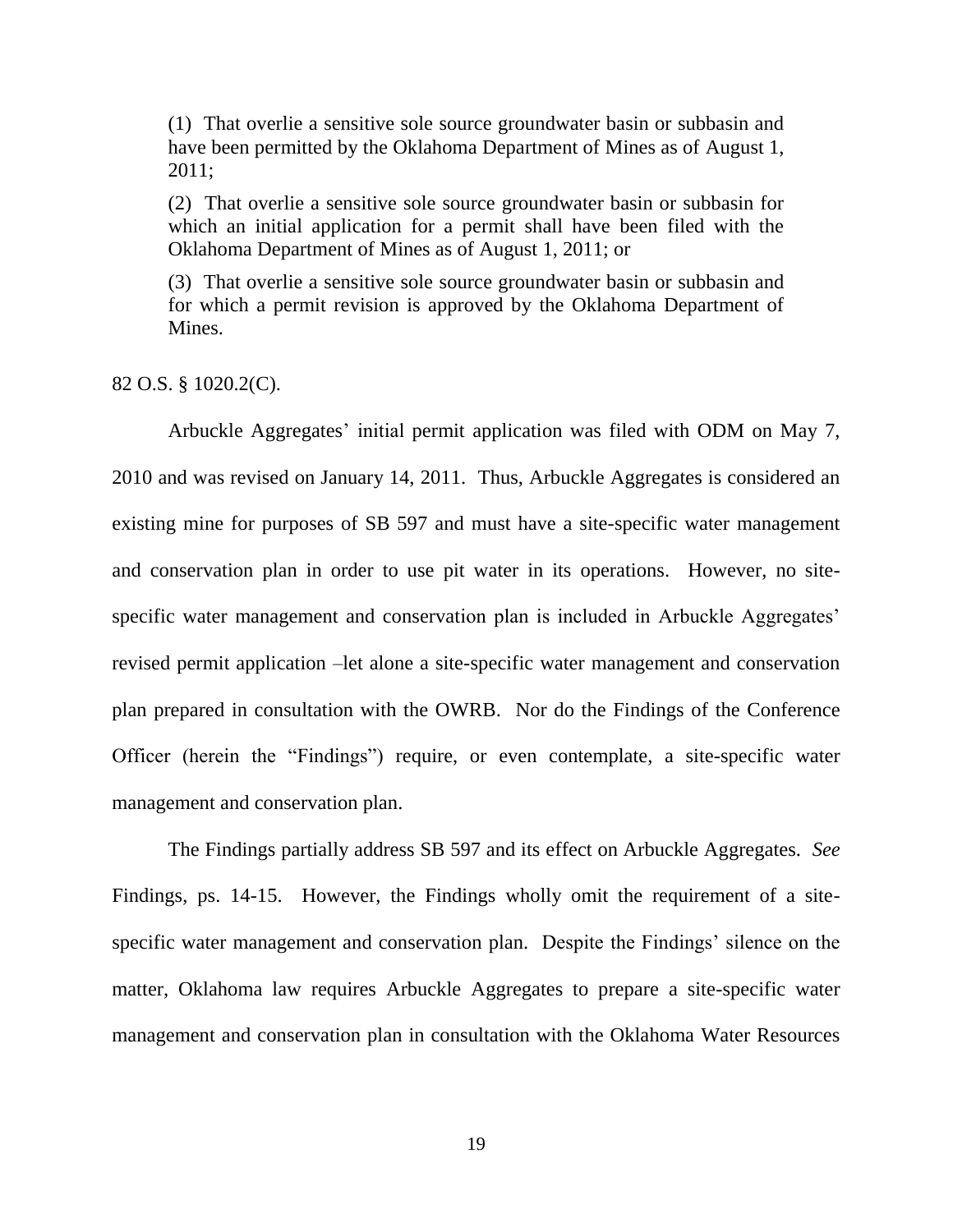(1) That overlie a sensitive sole source groundwater basin or subbasin and have been permitted by the Oklahoma Department of Mines as of August 1, 2011;

(2) That overlie a sensitive sole source groundwater basin or subbasin for which an initial application for a permit shall have been filed with the Oklahoma Department of Mines as of August 1, 2011; or

(3) That overlie a sensitive sole source groundwater basin or subbasin and for which a permit revision is approved by the Oklahoma Department of Mines.

82 O.S. § 1020.2(C).

Arbuckle Aggregates' initial permit application was filed with ODM on May 7, 2010 and was revised on January 14, 2011. Thus, Arbuckle Aggregates is considered an existing mine for purposes of SB 597 and must have a site-specific water management and conservation plan in order to use pit water in its operations. However, no sitespecific water management and conservation plan is included in Arbuckle Aggregates' revised permit application –let alone a site-specific water management and conservation plan prepared in consultation with the OWRB. Nor do the Findings of the Conference Officer (herein the "Findings") require, or even contemplate, a site-specific water management and conservation plan.

The Findings partially address SB 597 and its effect on Arbuckle Aggregates. *See* Findings, ps. 14-15. However, the Findings wholly omit the requirement of a sitespecific water management and conservation plan. Despite the Findings' silence on the matter, Oklahoma law requires Arbuckle Aggregates to prepare a site-specific water management and conservation plan in consultation with the Oklahoma Water Resources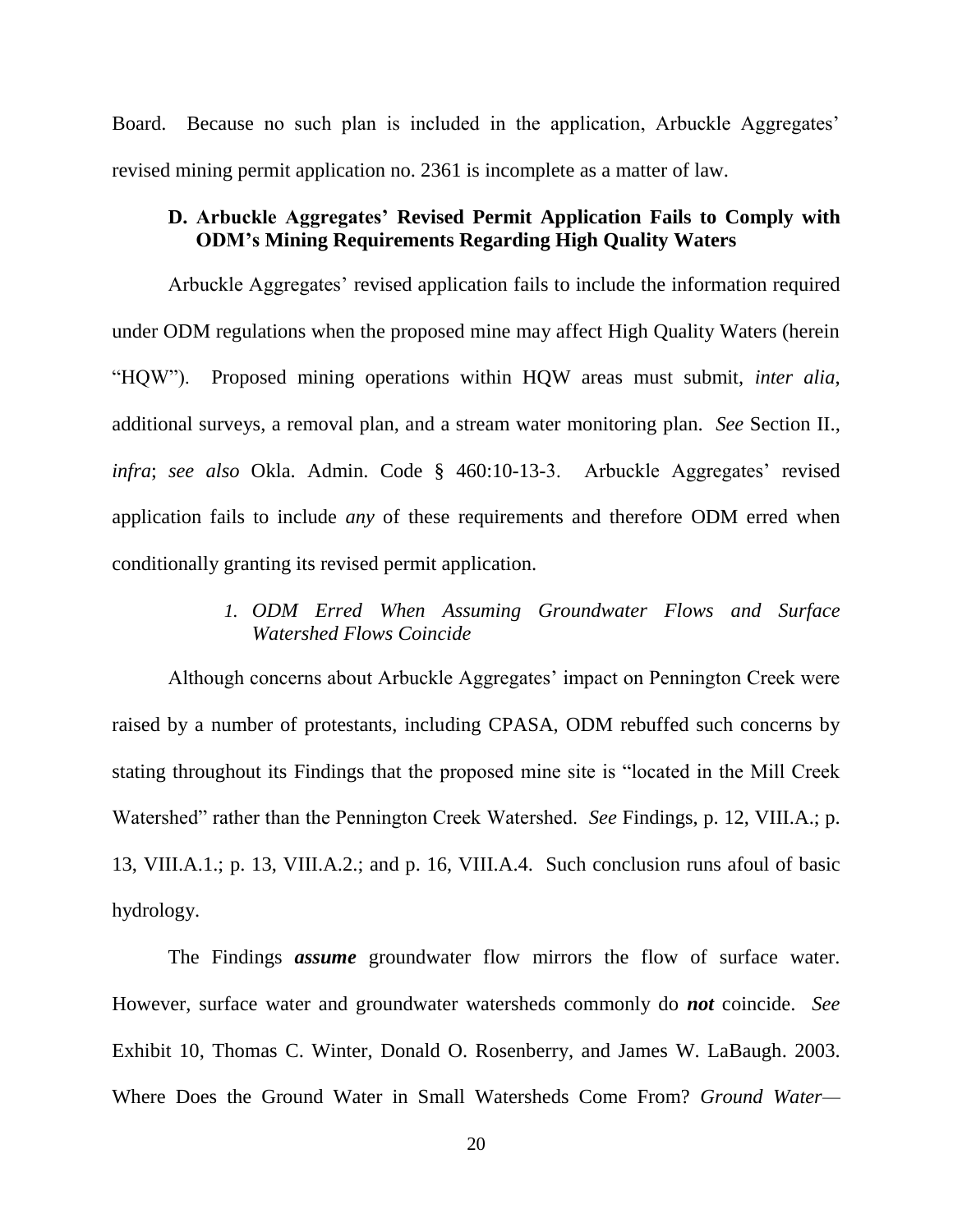Board. Because no such plan is included in the application, Arbuckle Aggregates' revised mining permit application no. 2361 is incomplete as a matter of law.

## **D. Arbuckle Aggregates' Revised Permit Application Fails to Comply with ODM's Mining Requirements Regarding High Quality Waters**

Arbuckle Aggregates' revised application fails to include the information required under ODM regulations when the proposed mine may affect High Quality Waters (herein ―HQW‖). Proposed mining operations within HQW areas must submit, *inter alia*, additional surveys, a removal plan, and a stream water monitoring plan. *See* Section II., *infra*; *see also* Okla. Admin. Code § 460:10-13-3. Arbuckle Aggregates' revised application fails to include *any* of these requirements and therefore ODM erred when conditionally granting its revised permit application.

## *1. ODM Erred When Assuming Groundwater Flows and Surface Watershed Flows Coincide*

Although concerns about Arbuckle Aggregates' impact on Pennington Creek were raised by a number of protestants, including CPASA, ODM rebuffed such concerns by stating throughout its Findings that the proposed mine site is "located in the Mill Creek Watershed" rather than the Pennington Creek Watershed. *See* Findings, p. 12, VIII.A.; p. 13, VIII.A.1.; p. 13, VIII.A.2.; and p. 16, VIII.A.4. Such conclusion runs afoul of basic hydrology.

The Findings *assume* groundwater flow mirrors the flow of surface water. However, surface water and groundwater watersheds commonly do *not* coincide. *See* Exhibit 10, Thomas C. Winter, Donald O. Rosenberry, and James W. LaBaugh. 2003. Where Does the Ground Water in Small Watersheds Come From? *Ground Water—*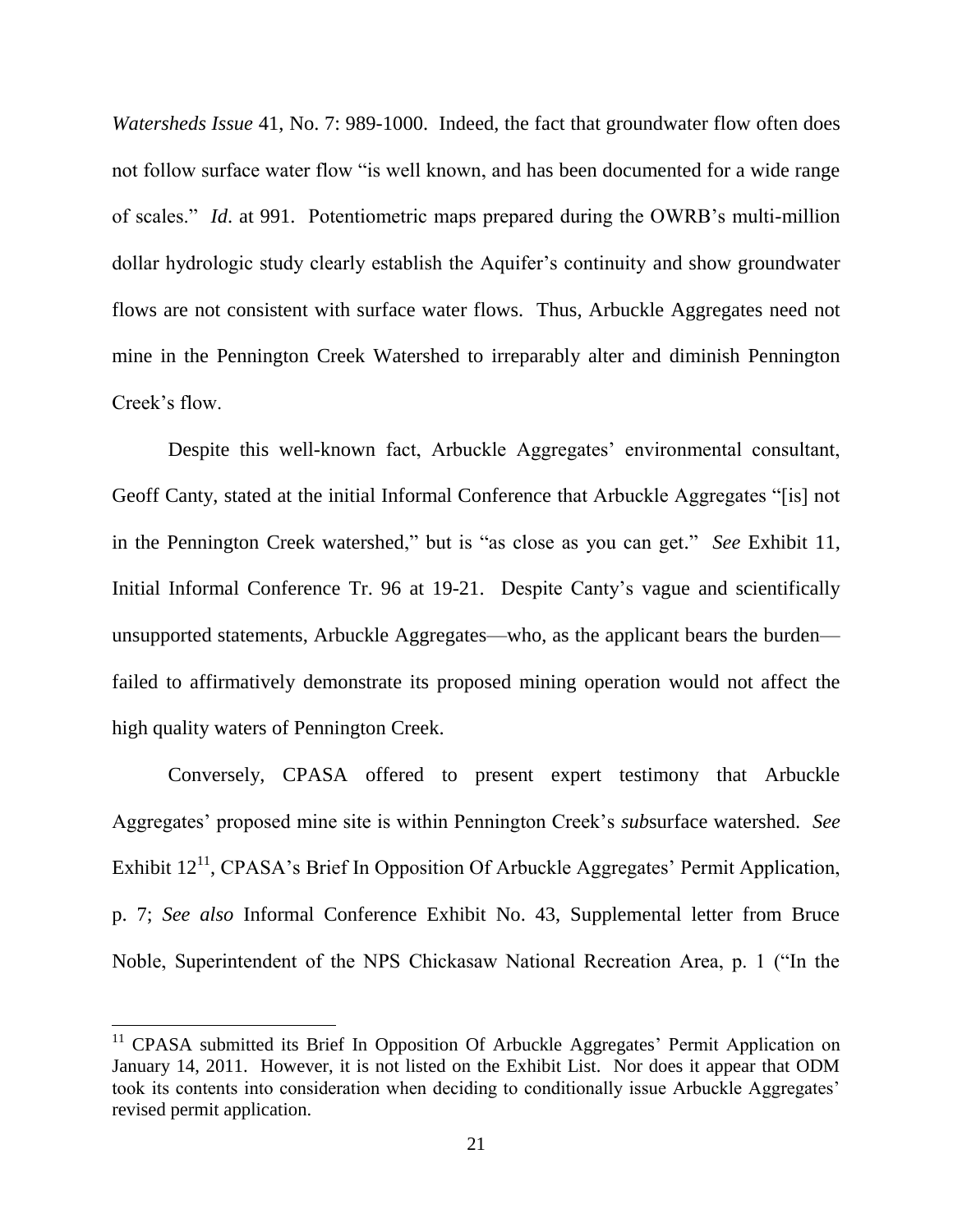*Watersheds Issue* 41, No. 7: 989-1000. Indeed, the fact that groundwater flow often does not follow surface water flow "is well known, and has been documented for a wide range of scales.‖ *Id*. at 991. Potentiometric maps prepared during the OWRB's multi-million dollar hydrologic study clearly establish the Aquifer's continuity and show groundwater flows are not consistent with surface water flows. Thus, Arbuckle Aggregates need not mine in the Pennington Creek Watershed to irreparably alter and diminish Pennington Creek's flow.

Despite this well-known fact, Arbuckle Aggregates' environmental consultant, Geoff Canty, stated at the initial Informal Conference that Arbuckle Aggregates "[is] not in the Pennington Creek watershed," but is "as close as you can get." *See* Exhibit 11, Initial Informal Conference Tr. 96 at 19-21. Despite Canty's vague and scientifically unsupported statements, Arbuckle Aggregates—who, as the applicant bears the burden failed to affirmatively demonstrate its proposed mining operation would not affect the high quality waters of Pennington Creek.

Conversely, CPASA offered to present expert testimony that Arbuckle Aggregates' proposed mine site is within Pennington Creek's *sub*surface watershed. *See* Exhibit  $12<sup>11</sup>$ , CPASA's Brief In Opposition Of Arbuckle Aggregates' Permit Application, p. 7; *See also* Informal Conference Exhibit No. 43, Supplemental letter from Bruce Noble, Superintendent of the NPS Chickasaw National Recreation Area, p. 1 ("In the

<sup>&</sup>lt;sup>11</sup> CPASA submitted its Brief In Opposition Of Arbuckle Aggregates' Permit Application on January 14, 2011. However, it is not listed on the Exhibit List. Nor does it appear that ODM took its contents into consideration when deciding to conditionally issue Arbuckle Aggregates' revised permit application.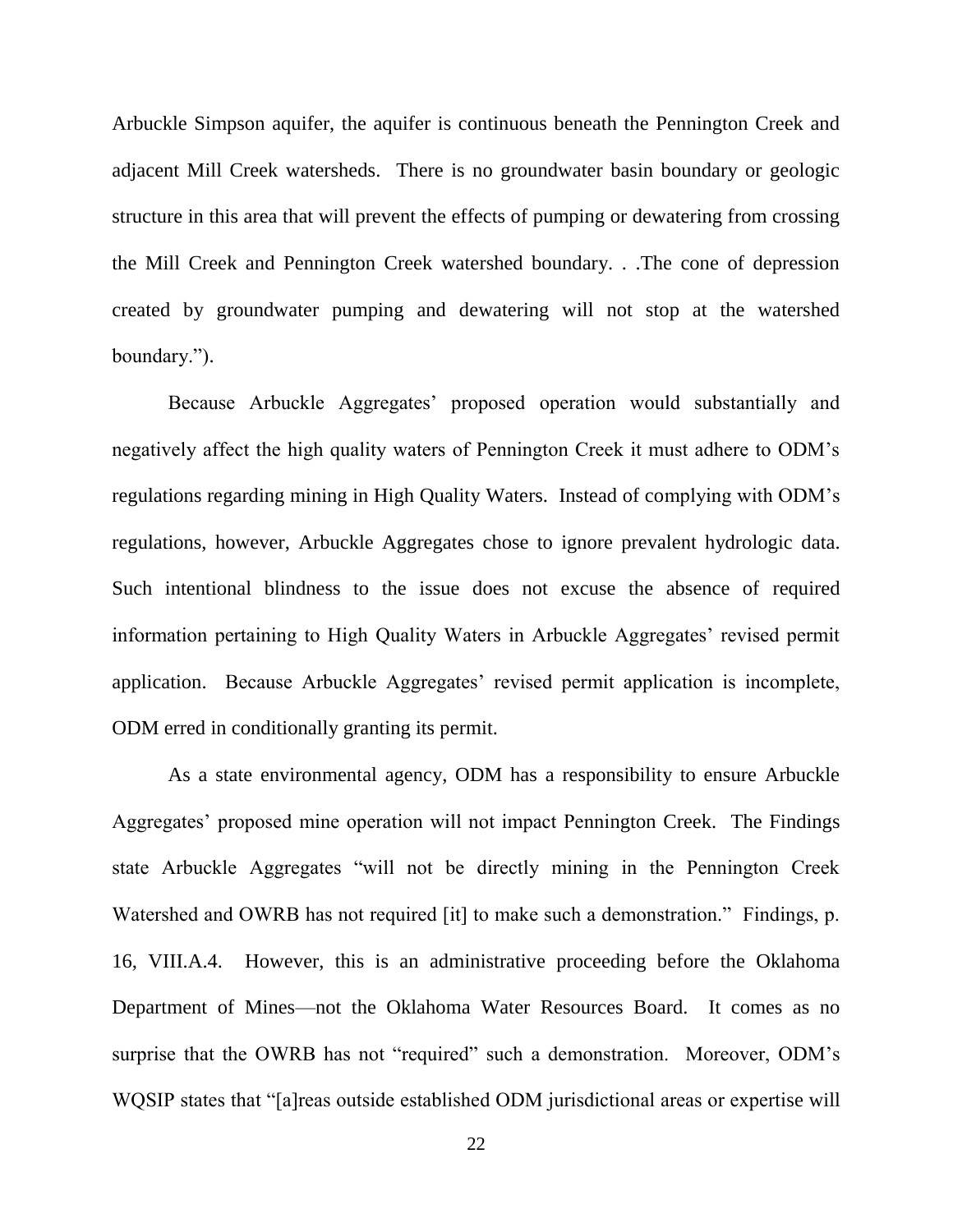Arbuckle Simpson aquifer, the aquifer is continuous beneath the Pennington Creek and adjacent Mill Creek watersheds. There is no groundwater basin boundary or geologic structure in this area that will prevent the effects of pumping or dewatering from crossing the Mill Creek and Pennington Creek watershed boundary. . .The cone of depression created by groundwater pumping and dewatering will not stop at the watershed boundary.").

Because Arbuckle Aggregates' proposed operation would substantially and negatively affect the high quality waters of Pennington Creek it must adhere to ODM's regulations regarding mining in High Quality Waters. Instead of complying with ODM's regulations, however, Arbuckle Aggregates chose to ignore prevalent hydrologic data. Such intentional blindness to the issue does not excuse the absence of required information pertaining to High Quality Waters in Arbuckle Aggregates' revised permit application. Because Arbuckle Aggregates' revised permit application is incomplete, ODM erred in conditionally granting its permit.

As a state environmental agency, ODM has a responsibility to ensure Arbuckle Aggregates' proposed mine operation will not impact Pennington Creek. The Findings state Arbuckle Aggregates "will not be directly mining in the Pennington Creek Watershed and OWRB has not required [it] to make such a demonstration." Findings, p. 16, VIII.A.4. However, this is an administrative proceeding before the Oklahoma Department of Mines—not the Oklahoma Water Resources Board. It comes as no surprise that the OWRB has not "required" such a demonstration. Moreover, ODM's WQSIP states that "[a]reas outside established ODM jurisdictional areas or expertise will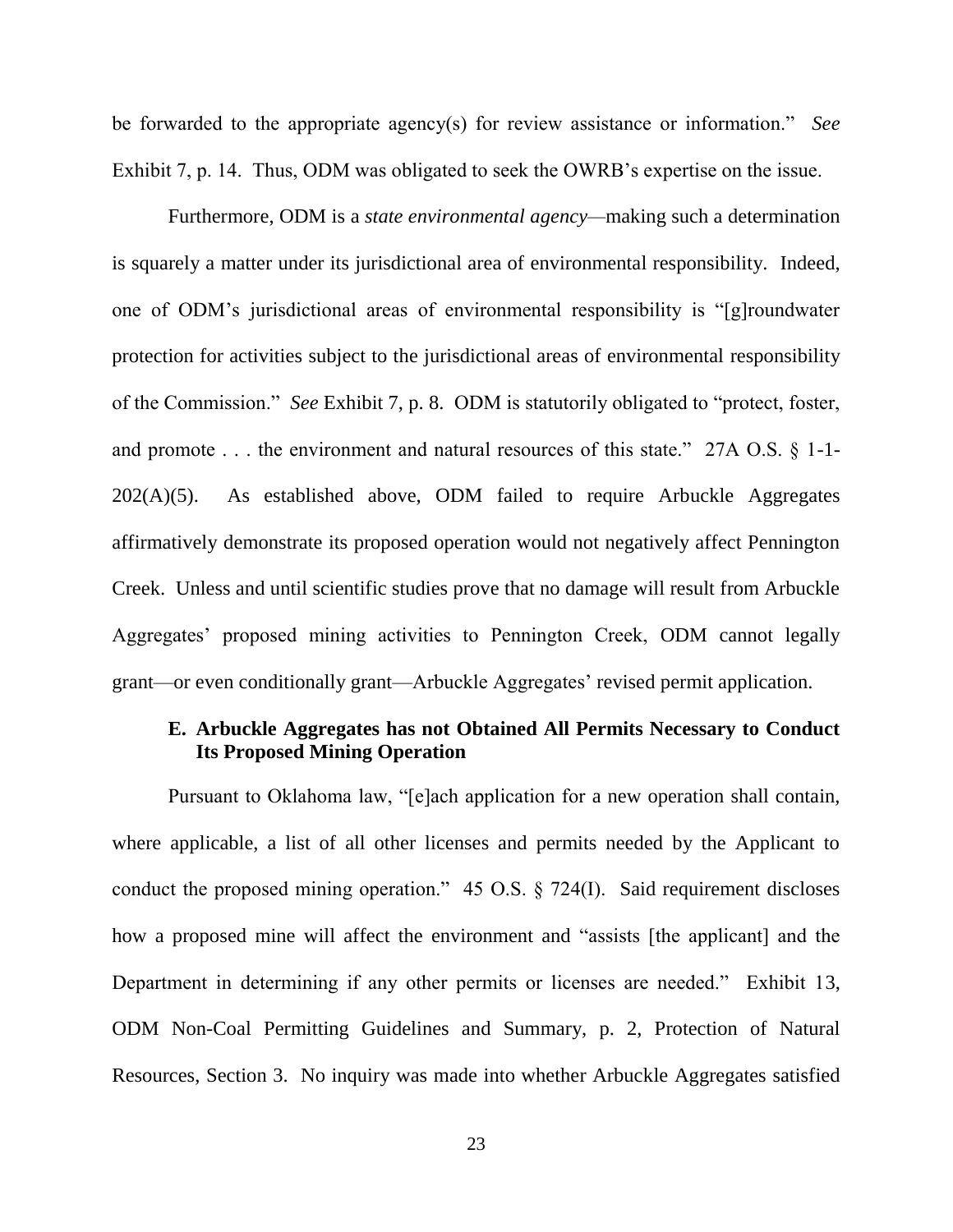be forwarded to the appropriate agency(s) for review assistance or information.<sup>"</sup> See Exhibit 7, p. 14. Thus, ODM was obligated to seek the OWRB's expertise on the issue.

Furthermore, ODM is a *state environmental agency—*making such a determination is squarely a matter under its jurisdictional area of environmental responsibility. Indeed, one of ODM's jurisdictional areas of environmental responsibility is "[g]roundwater protection for activities subject to the jurisdictional areas of environmental responsibility of the Commission." *See* Exhibit 7, p. 8. ODM is statutorily obligated to "protect, foster, and promote  $\ldots$  the environment and natural resources of this state." 27A O.S. § 1-1-202(A)(5). As established above, ODM failed to require Arbuckle Aggregates affirmatively demonstrate its proposed operation would not negatively affect Pennington Creek. Unless and until scientific studies prove that no damage will result from Arbuckle Aggregates' proposed mining activities to Pennington Creek, ODM cannot legally grant—or even conditionally grant—Arbuckle Aggregates' revised permit application.

## **E. Arbuckle Aggregates has not Obtained All Permits Necessary to Conduct Its Proposed Mining Operation**

Pursuant to Oklahoma law, "[e]ach application for a new operation shall contain, where applicable, a list of all other licenses and permits needed by the Applicant to conduct the proposed mining operation."  $45 \text{ O.S.}$  § 724(I). Said requirement discloses how a proposed mine will affect the environment and "assists [the applicant] and the Department in determining if any other permits or licenses are needed." Exhibit 13, ODM Non-Coal Permitting Guidelines and Summary, p. 2, Protection of Natural Resources, Section 3. No inquiry was made into whether Arbuckle Aggregates satisfied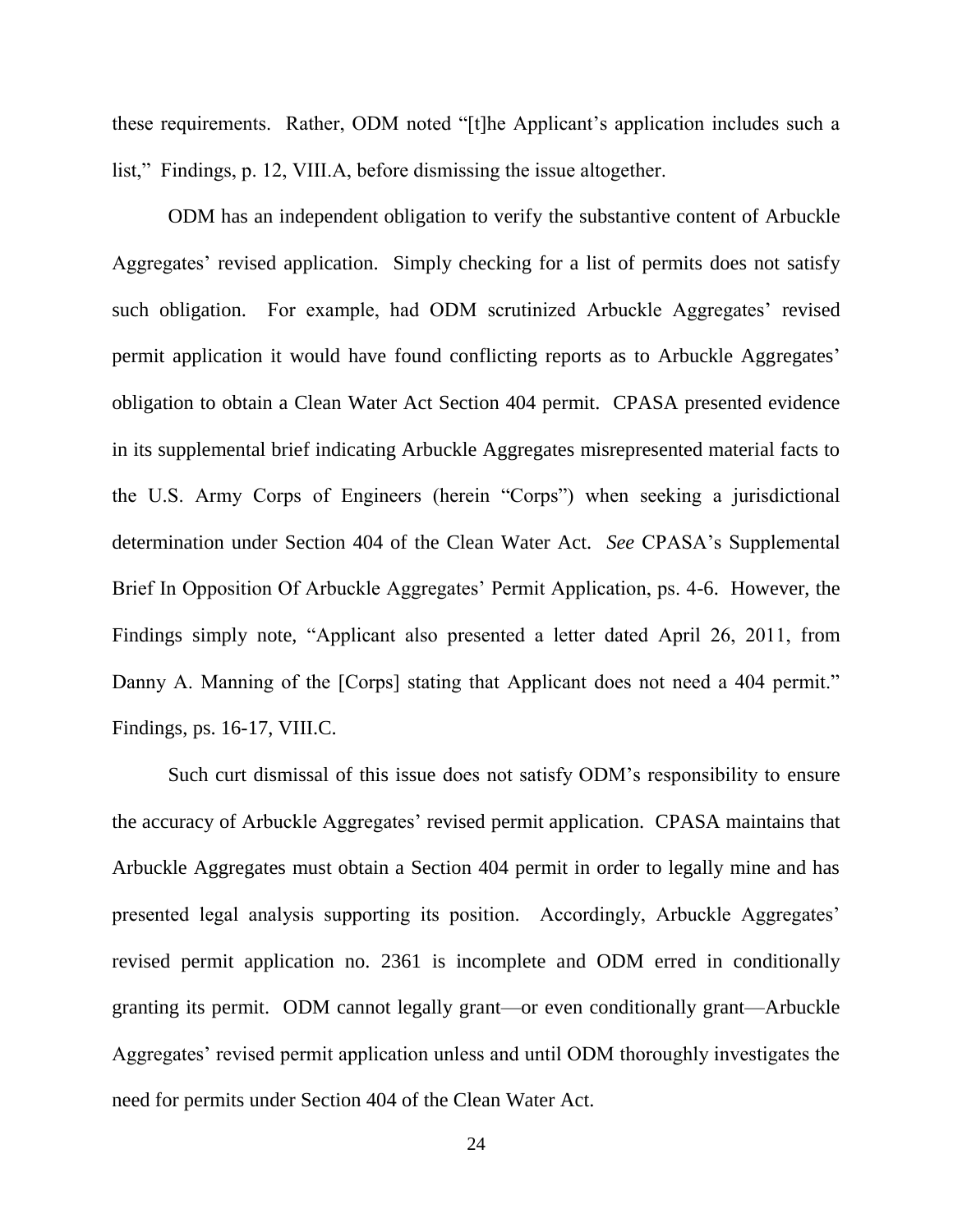these requirements. Rather, ODM noted "[t]he Applicant's application includes such a list," Findings, p. 12, VIII.A, before dismissing the issue altogether.

ODM has an independent obligation to verify the substantive content of Arbuckle Aggregates' revised application. Simply checking for a list of permits does not satisfy such obligation. For example, had ODM scrutinized Arbuckle Aggregates' revised permit application it would have found conflicting reports as to Arbuckle Aggregates' obligation to obtain a Clean Water Act Section 404 permit. CPASA presented evidence in its supplemental brief indicating Arbuckle Aggregates misrepresented material facts to the U.S. Army Corps of Engineers (herein "Corps") when seeking a jurisdictional determination under Section 404 of the Clean Water Act. *See* CPASA's Supplemental Brief In Opposition Of Arbuckle Aggregates' Permit Application, ps. 4-6. However, the Findings simply note, "Applicant also presented a letter dated April 26, 2011, from Danny A. Manning of the [Corps] stating that Applicant does not need a 404 permit." Findings, ps. 16-17, VIII.C.

Such curt dismissal of this issue does not satisfy ODM's responsibility to ensure the accuracy of Arbuckle Aggregates' revised permit application. CPASA maintains that Arbuckle Aggregates must obtain a Section 404 permit in order to legally mine and has presented legal analysis supporting its position. Accordingly, Arbuckle Aggregates' revised permit application no. 2361 is incomplete and ODM erred in conditionally granting its permit. ODM cannot legally grant—or even conditionally grant—Arbuckle Aggregates' revised permit application unless and until ODM thoroughly investigates the need for permits under Section 404 of the Clean Water Act.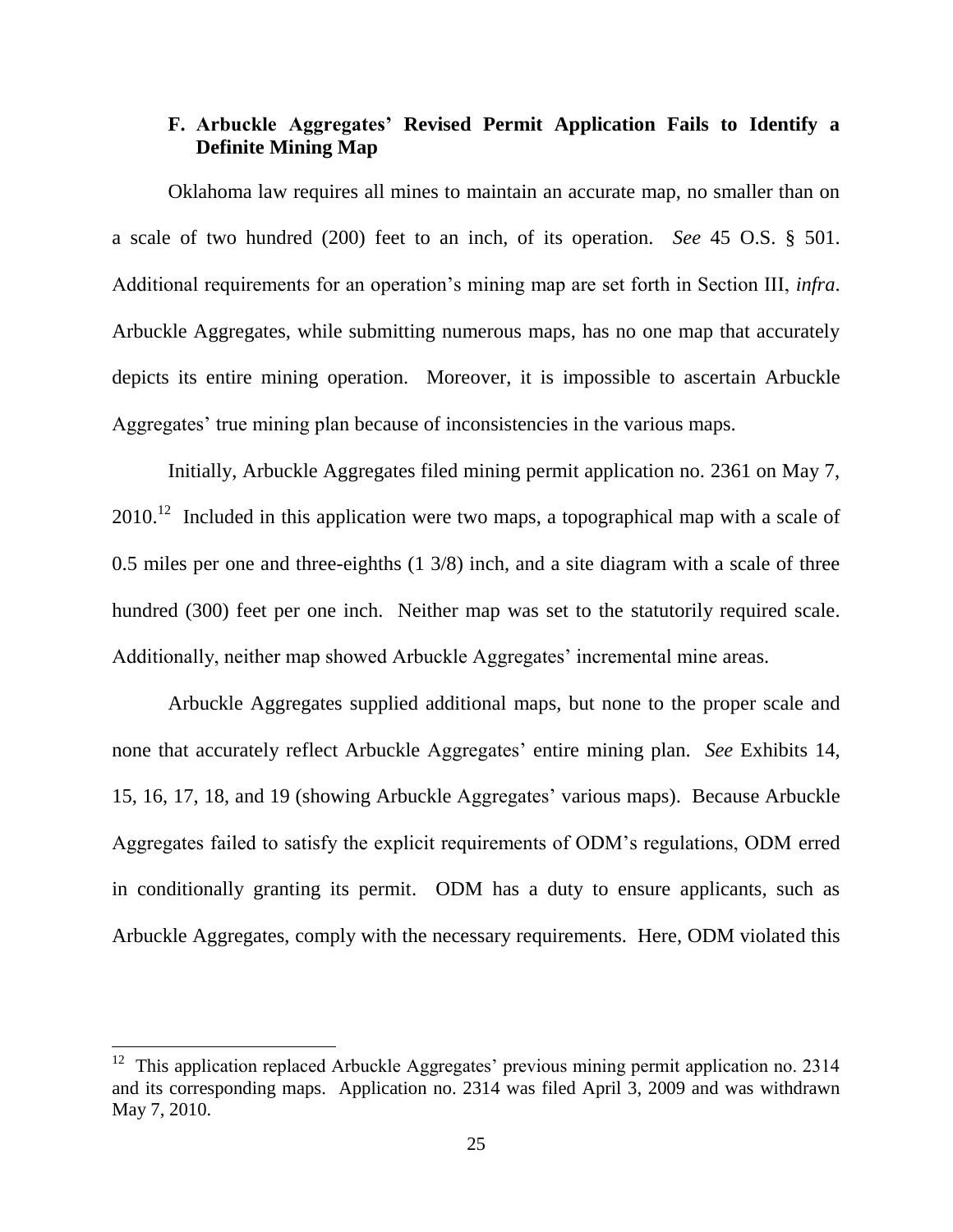## **F. Arbuckle Aggregates' Revised Permit Application Fails to Identify a Definite Mining Map**

Oklahoma law requires all mines to maintain an accurate map, no smaller than on a scale of two hundred (200) feet to an inch, of its operation. *See* 45 O.S. § 501. Additional requirements for an operation's mining map are set forth in Section III, *infra*. Arbuckle Aggregates, while submitting numerous maps, has no one map that accurately depicts its entire mining operation. Moreover, it is impossible to ascertain Arbuckle Aggregates' true mining plan because of inconsistencies in the various maps.

Initially, Arbuckle Aggregates filed mining permit application no. 2361 on May 7,  $2010$ <sup>12</sup> Included in this application were two maps, a topographical map with a scale of 0.5 miles per one and three-eighths (1 3/8) inch, and a site diagram with a scale of three hundred (300) feet per one inch. Neither map was set to the statutorily required scale. Additionally, neither map showed Arbuckle Aggregates' incremental mine areas.

Arbuckle Aggregates supplied additional maps, but none to the proper scale and none that accurately reflect Arbuckle Aggregates' entire mining plan. *See* Exhibits 14, 15, 16, 17, 18, and 19 (showing Arbuckle Aggregates' various maps). Because Arbuckle Aggregates failed to satisfy the explicit requirements of ODM's regulations, ODM erred in conditionally granting its permit. ODM has a duty to ensure applicants, such as Arbuckle Aggregates, comply with the necessary requirements. Here, ODM violated this

<sup>&</sup>lt;sup>12</sup> This application replaced Arbuckle Aggregates' previous mining permit application no. 2314 and its corresponding maps. Application no. 2314 was filed April 3, 2009 and was withdrawn May 7, 2010.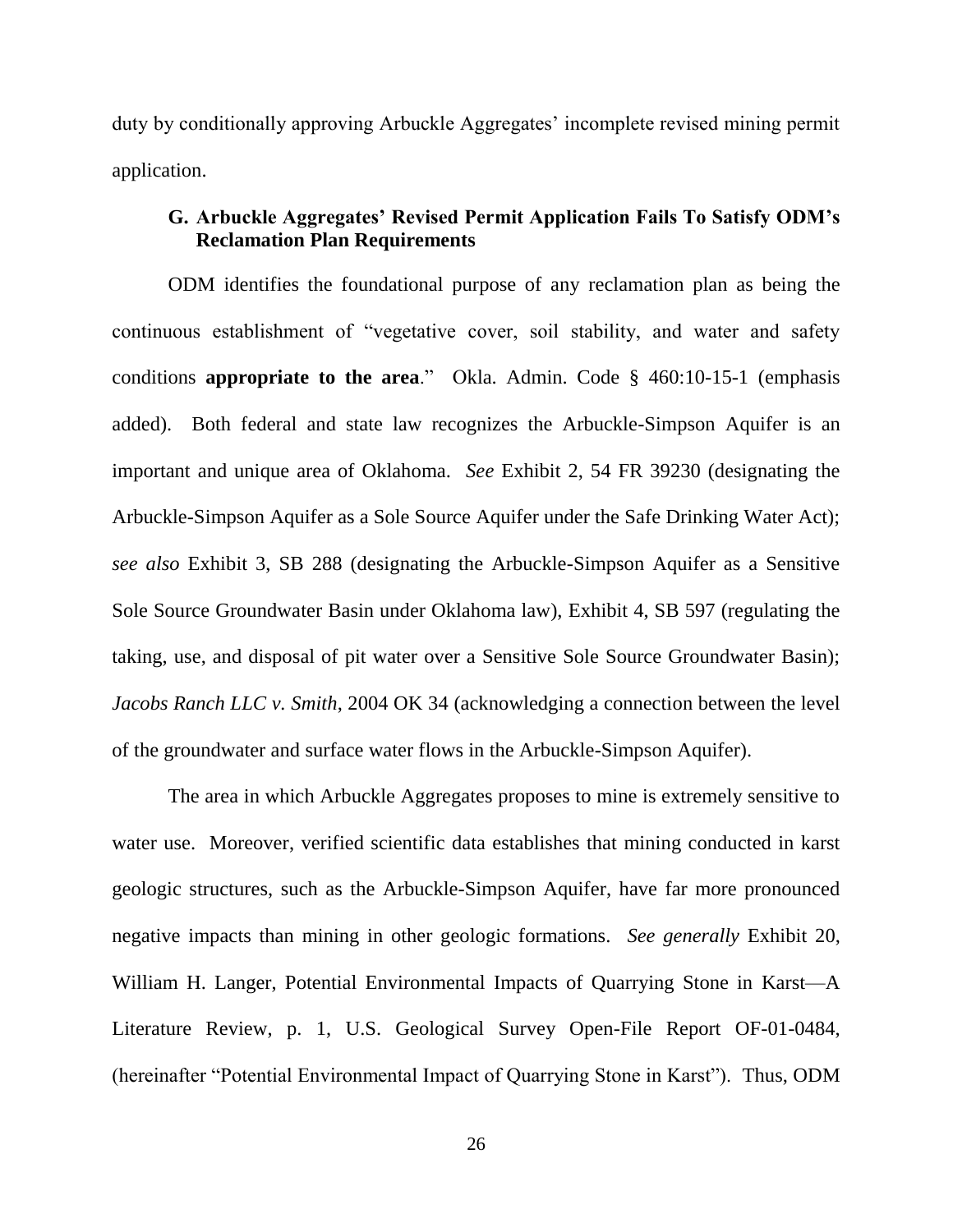duty by conditionally approving Arbuckle Aggregates' incomplete revised mining permit application.

## **G. Arbuckle Aggregates' Revised Permit Application Fails To Satisfy ODM's Reclamation Plan Requirements**

ODM identifies the foundational purpose of any reclamation plan as being the continuous establishment of "vegetative cover, soil stability, and water and safety conditions **appropriate to the area**." Okla. Admin. Code § 460:10-15-1 (emphasis added). Both federal and state law recognizes the Arbuckle-Simpson Aquifer is an important and unique area of Oklahoma. *See* Exhibit 2, 54 FR 39230 (designating the Arbuckle-Simpson Aquifer as a Sole Source Aquifer under the Safe Drinking Water Act); *see also* Exhibit 3, SB 288 (designating the Arbuckle-Simpson Aquifer as a Sensitive Sole Source Groundwater Basin under Oklahoma law), Exhibit 4, SB 597 (regulating the taking, use, and disposal of pit water over a Sensitive Sole Source Groundwater Basin); *Jacobs Ranch LLC v. Smith*, 2004 OK 34 (acknowledging a connection between the level of the groundwater and surface water flows in the Arbuckle-Simpson Aquifer).

The area in which Arbuckle Aggregates proposes to mine is extremely sensitive to water use. Moreover, verified scientific data establishes that mining conducted in karst geologic structures, such as the Arbuckle-Simpson Aquifer, have far more pronounced negative impacts than mining in other geologic formations. *See generally* Exhibit 20, William H. Langer, Potential Environmental Impacts of Quarrying Stone in Karst—A Literature Review, p. 1, U.S. Geological Survey Open-File Report OF-01-0484, (hereinafter "Potential Environmental Impact of Quarrying Stone in Karst"). Thus, ODM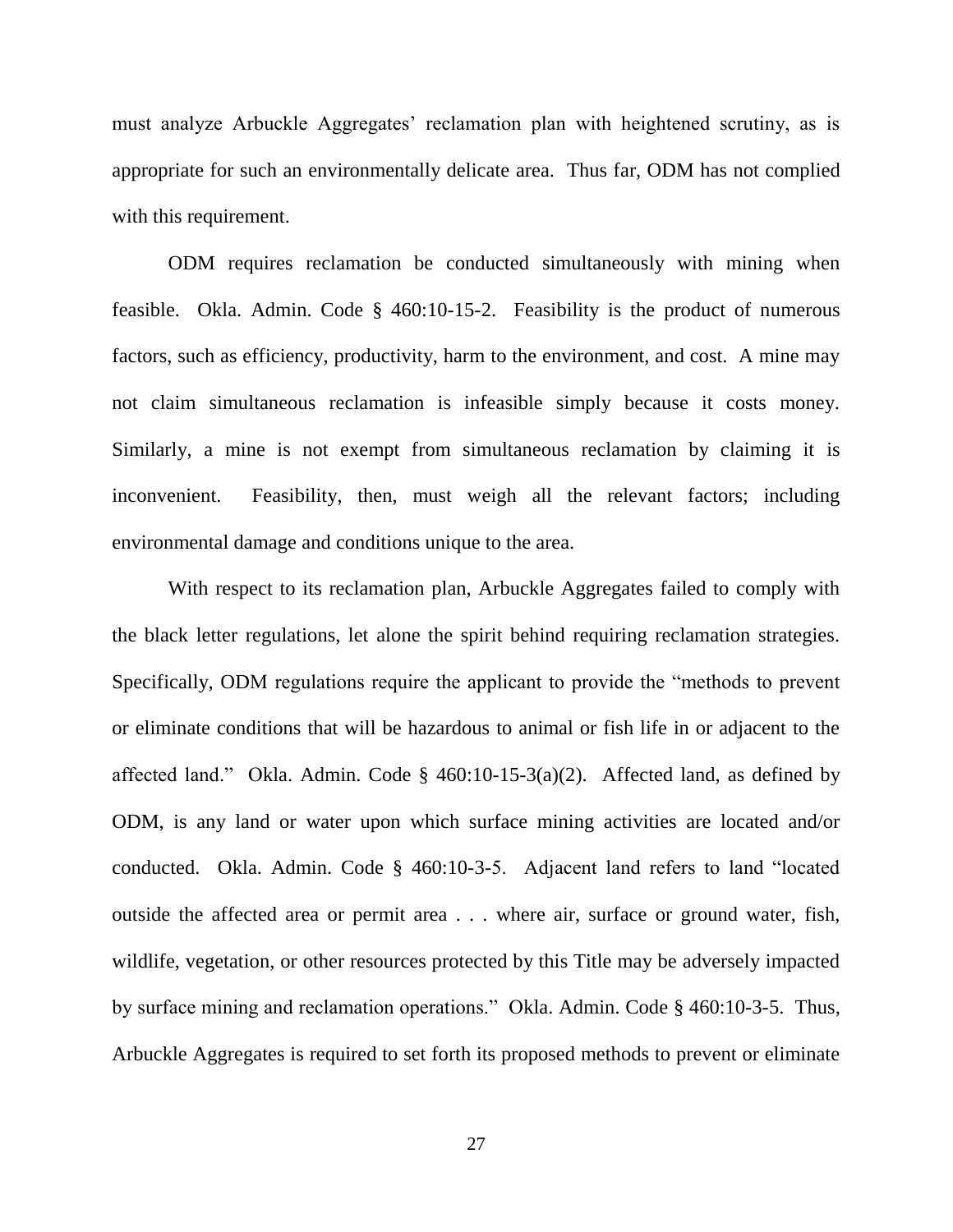must analyze Arbuckle Aggregates' reclamation plan with heightened scrutiny, as is appropriate for such an environmentally delicate area. Thus far, ODM has not complied with this requirement.

ODM requires reclamation be conducted simultaneously with mining when feasible. Okla. Admin. Code § 460:10-15-2. Feasibility is the product of numerous factors, such as efficiency, productivity, harm to the environment, and cost. A mine may not claim simultaneous reclamation is infeasible simply because it costs money. Similarly, a mine is not exempt from simultaneous reclamation by claiming it is inconvenient. Feasibility, then, must weigh all the relevant factors; including environmental damage and conditions unique to the area.

With respect to its reclamation plan, Arbuckle Aggregates failed to comply with the black letter regulations, let alone the spirit behind requiring reclamation strategies. Specifically, ODM regulations require the applicant to provide the "methods to prevent" or eliminate conditions that will be hazardous to animal or fish life in or adjacent to the affected land." Okla. Admin. Code §  $460:10-15-3(a)(2)$ . Affected land, as defined by ODM, is any land or water upon which surface mining activities are located and/or conducted. Okla. Admin. Code  $\S$  460:10-3-5. Adjacent land refers to land "located outside the affected area or permit area . . . where air, surface or ground water, fish, wildlife, vegetation, or other resources protected by this Title may be adversely impacted by surface mining and reclamation operations." Okla. Admin. Code § 460:10-3-5. Thus, Arbuckle Aggregates is required to set forth its proposed methods to prevent or eliminate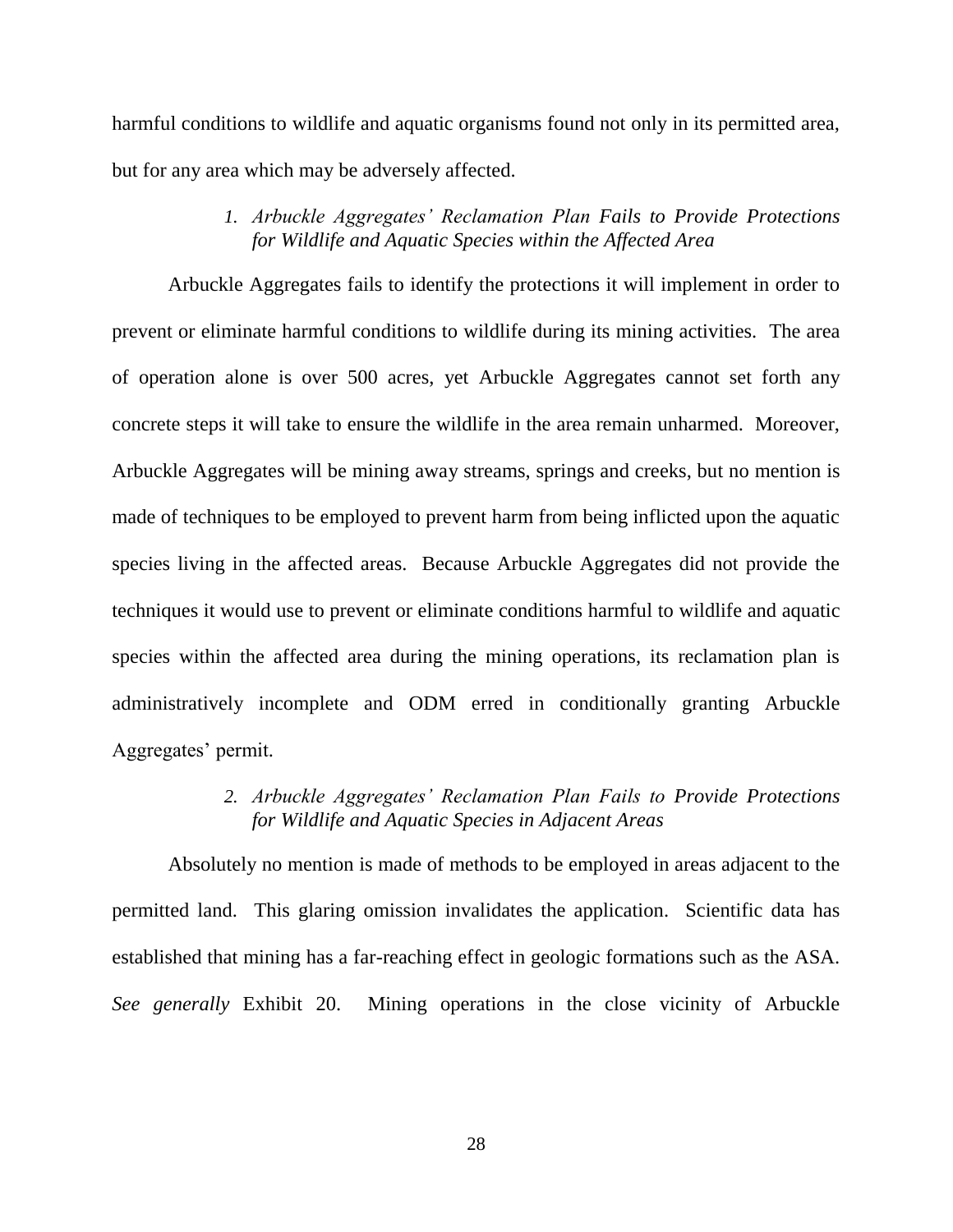harmful conditions to wildlife and aquatic organisms found not only in its permitted area, but for any area which may be adversely affected.

> *1. Arbuckle Aggregates' Reclamation Plan Fails to Provide Protections for Wildlife and Aquatic Species within the Affected Area*

Arbuckle Aggregates fails to identify the protections it will implement in order to prevent or eliminate harmful conditions to wildlife during its mining activities. The area of operation alone is over 500 acres, yet Arbuckle Aggregates cannot set forth any concrete steps it will take to ensure the wildlife in the area remain unharmed. Moreover, Arbuckle Aggregates will be mining away streams, springs and creeks, but no mention is made of techniques to be employed to prevent harm from being inflicted upon the aquatic species living in the affected areas. Because Arbuckle Aggregates did not provide the techniques it would use to prevent or eliminate conditions harmful to wildlife and aquatic species within the affected area during the mining operations, its reclamation plan is administratively incomplete and ODM erred in conditionally granting Arbuckle Aggregates' permit.

> *2. Arbuckle Aggregates' Reclamation Plan Fails to Provide Protections for Wildlife and Aquatic Species in Adjacent Areas*

Absolutely no mention is made of methods to be employed in areas adjacent to the permitted land. This glaring omission invalidates the application. Scientific data has established that mining has a far-reaching effect in geologic formations such as the ASA. *See generally* Exhibit 20. Mining operations in the close vicinity of Arbuckle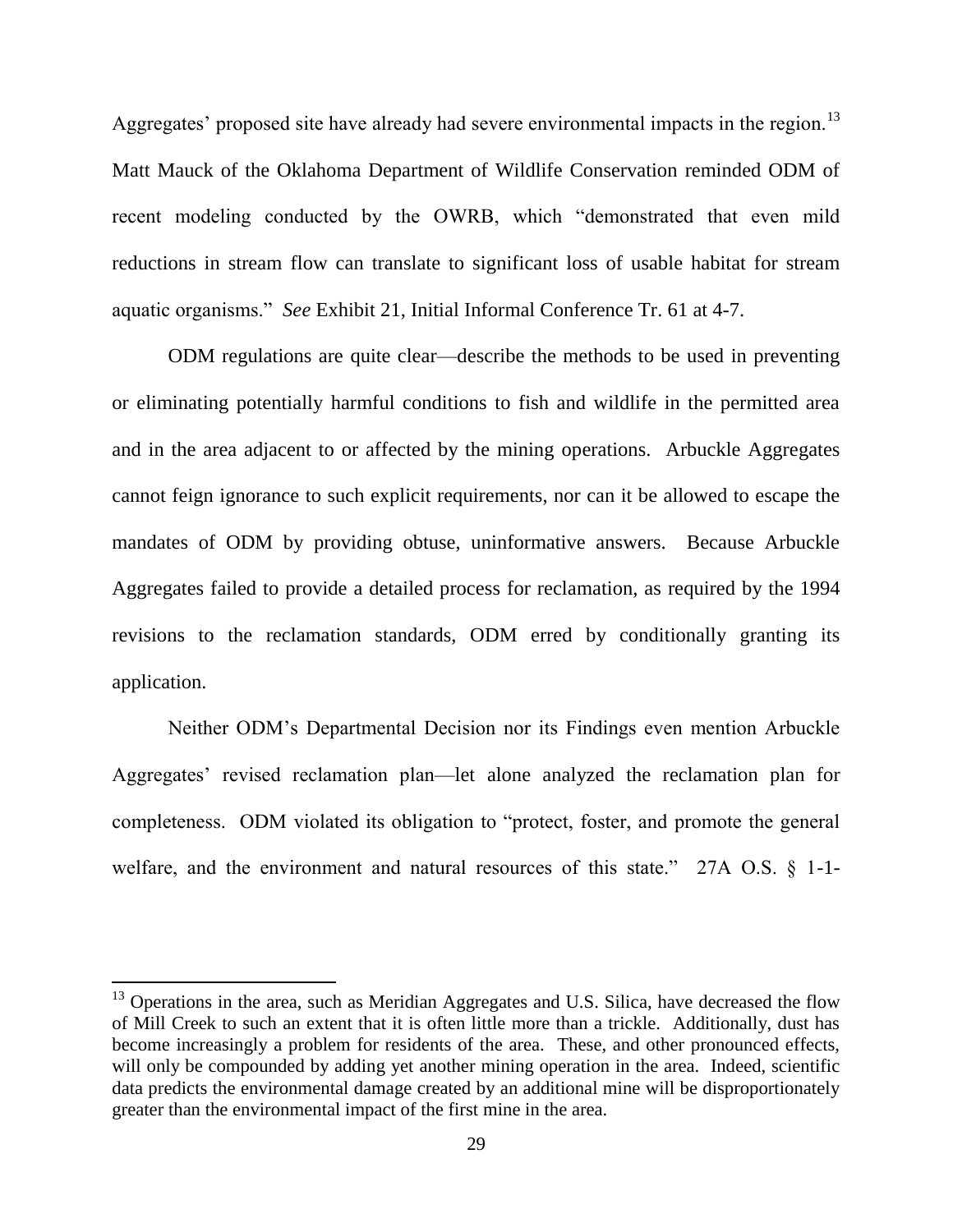Aggregates' proposed site have already had severe environmental impacts in the region.<sup>13</sup> Matt Mauck of the Oklahoma Department of Wildlife Conservation reminded ODM of recent modeling conducted by the OWRB, which "demonstrated that even mild reductions in stream flow can translate to significant loss of usable habitat for stream aquatic organisms.‖ *See* Exhibit 21, Initial Informal Conference Tr. 61 at 4-7.

ODM regulations are quite clear—describe the methods to be used in preventing or eliminating potentially harmful conditions to fish and wildlife in the permitted area and in the area adjacent to or affected by the mining operations. Arbuckle Aggregates cannot feign ignorance to such explicit requirements, nor can it be allowed to escape the mandates of ODM by providing obtuse, uninformative answers. Because Arbuckle Aggregates failed to provide a detailed process for reclamation, as required by the 1994 revisions to the reclamation standards, ODM erred by conditionally granting its application.

Neither ODM's Departmental Decision nor its Findings even mention Arbuckle Aggregates' revised reclamation plan—let alone analyzed the reclamation plan for completeness. ODM violated its obligation to "protect, foster, and promote the general welfare, and the environment and natural resources of this state." 27A O.S.  $\S$  1-1-

 $13$  Operations in the area, such as Meridian Aggregates and U.S. Silica, have decreased the flow of Mill Creek to such an extent that it is often little more than a trickle. Additionally, dust has become increasingly a problem for residents of the area. These, and other pronounced effects, will only be compounded by adding yet another mining operation in the area. Indeed, scientific data predicts the environmental damage created by an additional mine will be disproportionately greater than the environmental impact of the first mine in the area.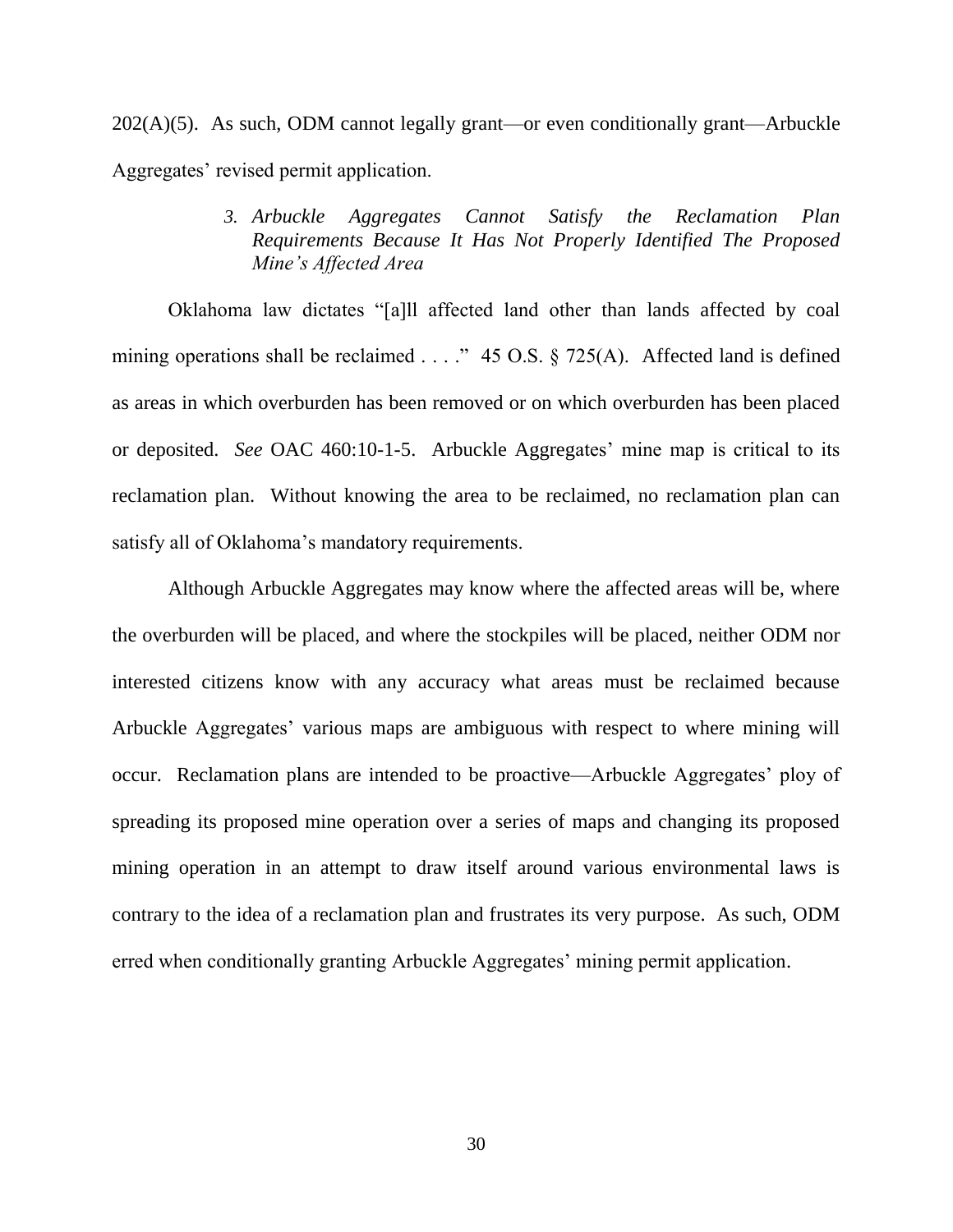202(A)(5). As such, ODM cannot legally grant—or even conditionally grant—Arbuckle Aggregates' revised permit application.

> *3. Arbuckle Aggregates Cannot Satisfy the Reclamation Plan Requirements Because It Has Not Properly Identified The Proposed Mine's Affected Area*

Oklahoma law dictates "[a]ll affected land other than lands affected by coal mining operations shall be reclaimed  $\ldots$  ." 45 O.S. § 725(A). Affected land is defined as areas in which overburden has been removed or on which overburden has been placed or deposited. *See* OAC 460:10-1-5. Arbuckle Aggregates' mine map is critical to its reclamation plan. Without knowing the area to be reclaimed, no reclamation plan can satisfy all of Oklahoma's mandatory requirements.

Although Arbuckle Aggregates may know where the affected areas will be, where the overburden will be placed, and where the stockpiles will be placed, neither ODM nor interested citizens know with any accuracy what areas must be reclaimed because Arbuckle Aggregates' various maps are ambiguous with respect to where mining will occur. Reclamation plans are intended to be proactive—Arbuckle Aggregates' ploy of spreading its proposed mine operation over a series of maps and changing its proposed mining operation in an attempt to draw itself around various environmental laws is contrary to the idea of a reclamation plan and frustrates its very purpose. As such, ODM erred when conditionally granting Arbuckle Aggregates' mining permit application.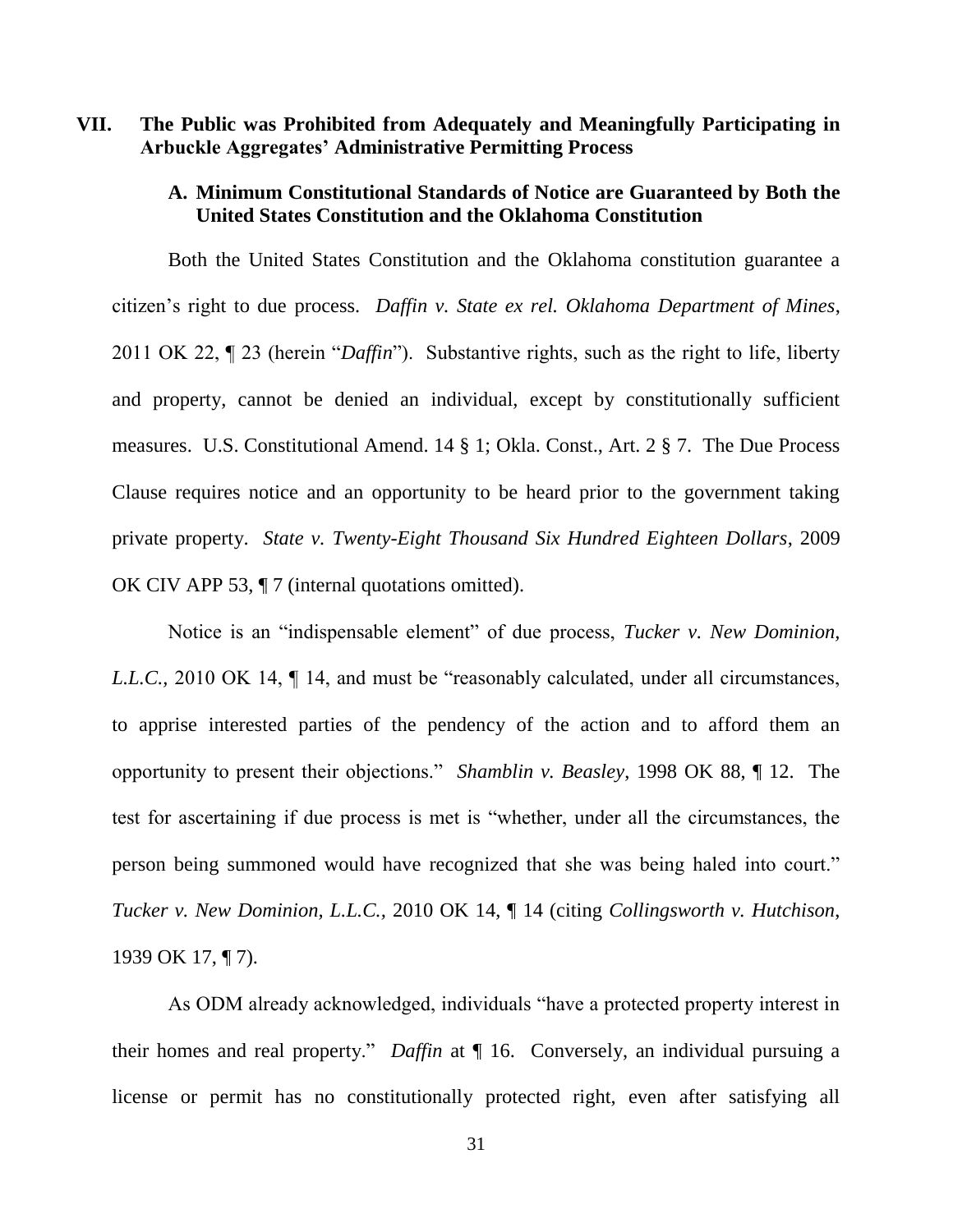## **VII. The Public was Prohibited from Adequately and Meaningfully Participating in Arbuckle Aggregates' Administrative Permitting Process**

## **A. Minimum Constitutional Standards of Notice are Guaranteed by Both the United States Constitution and the Oklahoma Constitution**

Both the United States Constitution and the Oklahoma constitution guarantee a citizen's right to due process. *Daffin v. State ex rel. Oklahoma Department of Mines*, 2011 OK 22, ¶ 23 (herein "*Daffin*"). Substantive rights, such as the right to life, liberty and property, cannot be denied an individual, except by constitutionally sufficient measures. U.S. Constitutional Amend. 14 § 1; Okla. Const., Art. 2 § 7. The Due Process Clause requires notice and an opportunity to be heard prior to the government taking private property. *State v. Twenty-Eight Thousand Six Hundred Eighteen Dollars*, 2009 OK CIV APP 53, ¶ 7 (internal quotations omitted).

Notice is an "indispensable element" of due process, *Tucker v. New Dominion*, *L.L.C.*, 2010 OK 14,  $\P$  14, and must be "reasonably calculated, under all circumstances, to apprise interested parties of the pendency of the action and to afford them an opportunity to present their objections.‖ *Shamblin v. Beasley*, 1998 OK 88, ¶ 12. The test for ascertaining if due process is met is "whether, under all the circumstances, the person being summoned would have recognized that she was being haled into court." *Tucker v. New Dominion, L.L.C.,* 2010 OK 14, ¶ 14 (citing *Collingsworth v. Hutchison*, 1939 OK 17, ¶ 7).

As ODM already acknowledged, individuals "have a protected property interest in their homes and real property." *Daffin* at  $\P$  16. Conversely, an individual pursuing a license or permit has no constitutionally protected right, even after satisfying all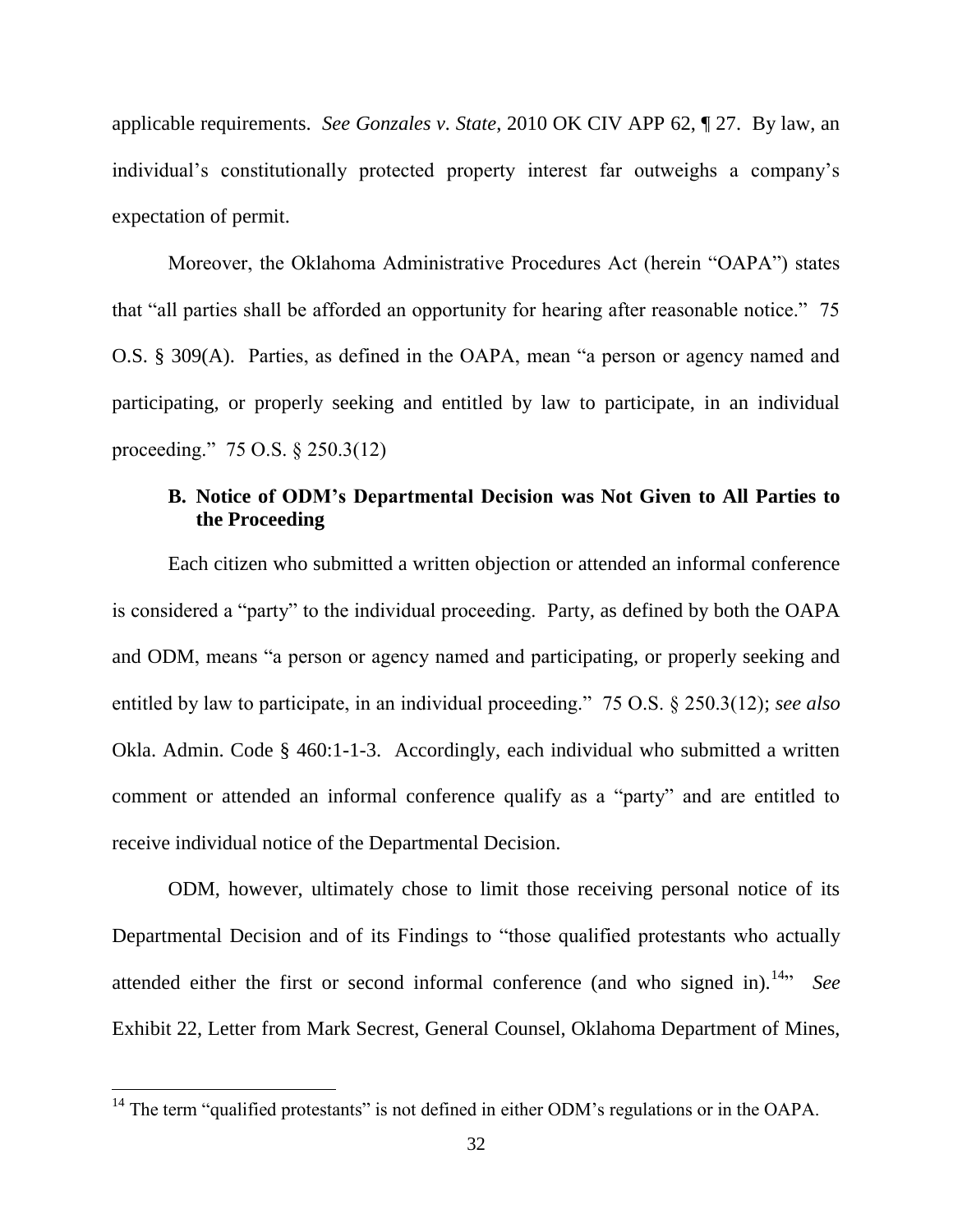applicable requirements. *See Gonzales v. State*, 2010 OK CIV APP 62, ¶ 27. By law, an individual's constitutionally protected property interest far outweighs a company's expectation of permit.

Moreover, the Oklahoma Administrative Procedures Act (herein "OAPA") states that "all parties shall be afforded an opportunity for hearing after reasonable notice." 75 O.S. § 309(A). Parties, as defined in the OAPA, mean "a person or agency named and participating, or properly seeking and entitled by law to participate, in an individual proceeding.‖ 75 O.S. § 250.3(12)

## **B. Notice of ODM's Departmental Decision was Not Given to All Parties to the Proceeding**

Each citizen who submitted a written objection or attended an informal conference is considered a "party" to the individual proceeding. Party, as defined by both the OAPA and ODM, means "a person or agency named and participating, or properly seeking and entitled by law to participate, in an individual proceeding." 75 O.S. § 250.3(12); *see also* Okla. Admin. Code § 460:1-1-3. Accordingly, each individual who submitted a written comment or attended an informal conference qualify as a "party" and are entitled to receive individual notice of the Departmental Decision.

ODM, however, ultimately chose to limit those receiving personal notice of its Departmental Decision and of its Findings to "those qualified protestants who actually attended either the first or second informal conference (and who signed in).<sup>14</sup><sup>2</sup> *See* Exhibit 22, Letter from Mark Secrest, General Counsel, Oklahoma Department of Mines,

 $14$  The term "qualified protestants" is not defined in either ODM's regulations or in the OAPA.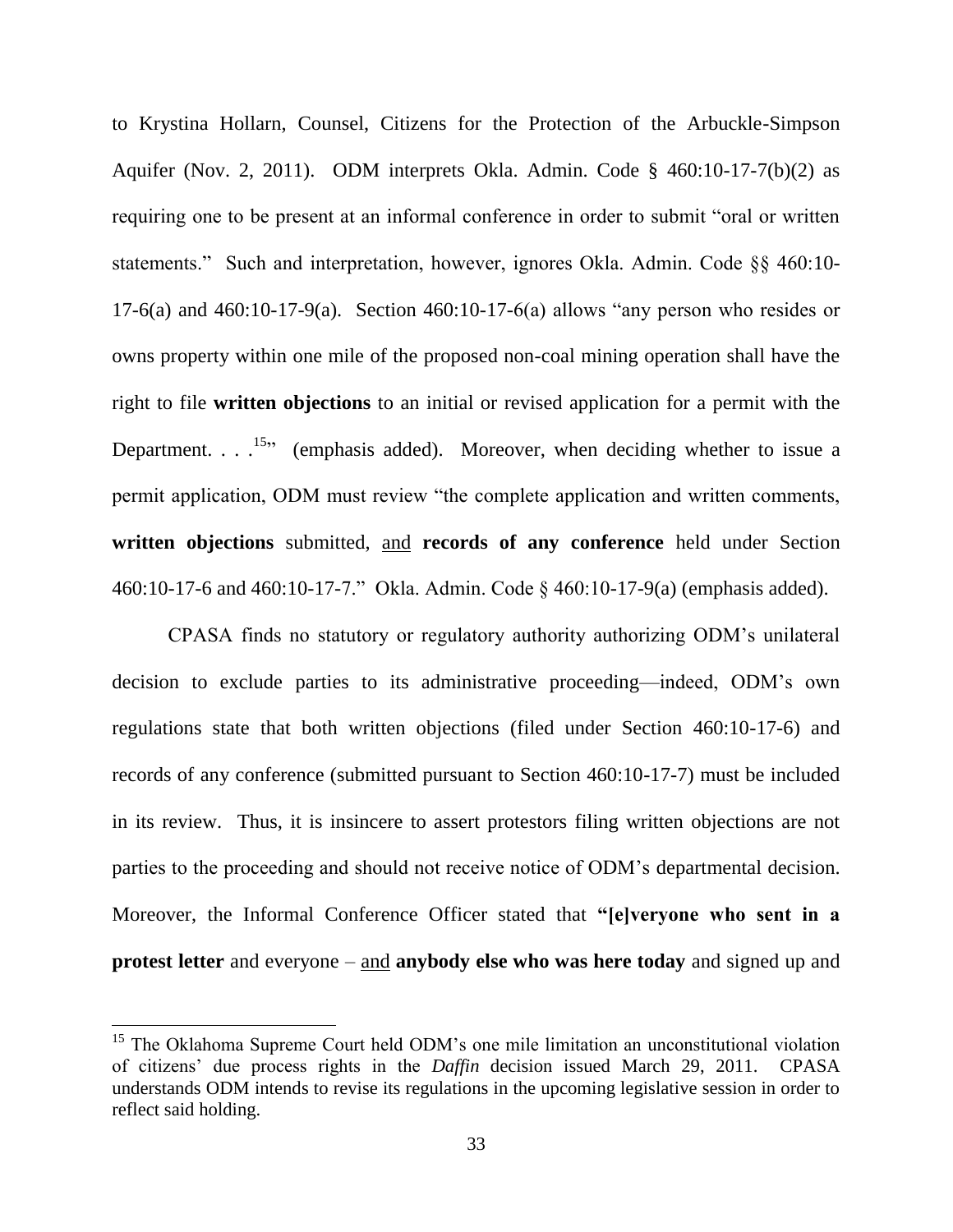to Krystina Hollarn, Counsel, Citizens for the Protection of the Arbuckle-Simpson Aquifer (Nov. 2, 2011). ODM interprets Okla. Admin. Code § 460:10-17-7(b)(2) as requiring one to be present at an informal conference in order to submit "oral or written statements." Such and interpretation, however, ignores Okla. Admin. Code §§ 460:10-17-6(a) and 460:10-17-9(a). Section 460:10-17-6(a) allows "any person who resides or owns property within one mile of the proposed non-coal mining operation shall have the right to file **written objections** to an initial or revised application for a permit with the Department.  $\ldots$ <sup>15</sup> (emphasis added). Moreover, when deciding whether to issue a permit application, ODM must review "the complete application and written comments, **written objections** submitted, and **records of any conference** held under Section 460:10-17-6 and 460:10-17-7.‖ Okla. Admin. Code § 460:10-17-9(a) (emphasis added).

CPASA finds no statutory or regulatory authority authorizing ODM's unilateral decision to exclude parties to its administrative proceeding—indeed, ODM's own regulations state that both written objections (filed under Section 460:10-17-6) and records of any conference (submitted pursuant to Section 460:10-17-7) must be included in its review. Thus, it is insincere to assert protestors filing written objections are not parties to the proceeding and should not receive notice of ODM's departmental decision. Moreover, the Informal Conference Officer stated that **"[e]veryone who sent in a protest letter** and everyone – and **anybody else who was here today** and signed up and

<sup>&</sup>lt;sup>15</sup> The Oklahoma Supreme Court held ODM's one mile limitation an unconstitutional violation of citizens' due process rights in the *Daffin* decision issued March 29, 2011. CPASA understands ODM intends to revise its regulations in the upcoming legislative session in order to reflect said holding.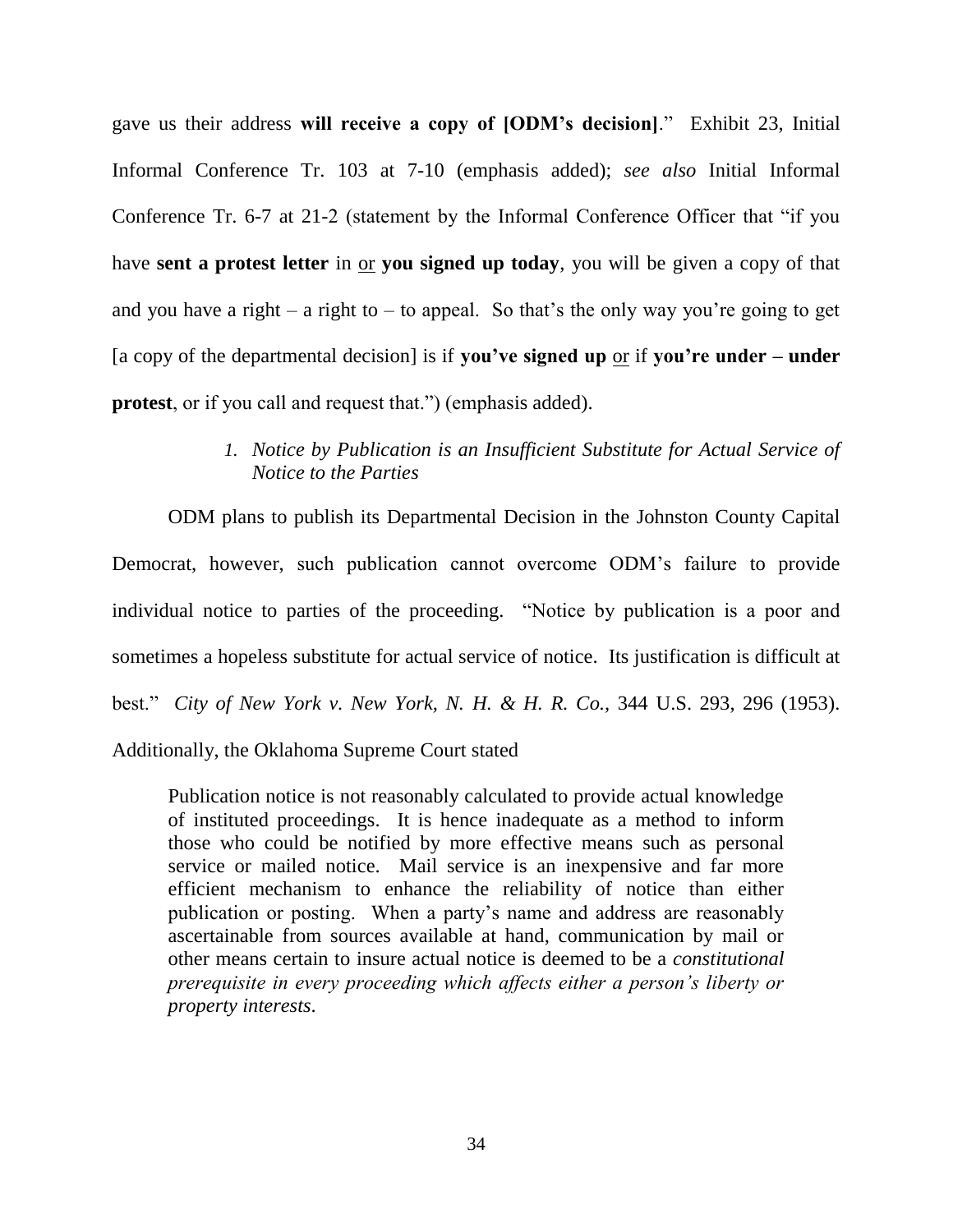gave us their address will receive a copy of [ODM's decision]." Exhibit 23, Initial Informal Conference Tr. 103 at 7-10 (emphasis added); *see also* Initial Informal Conference Tr. 6-7 at 21-2 (statement by the Informal Conference Officer that "if you have **sent a protest letter** in or **you signed up today**, you will be given a copy of that and you have a right – a right to – to appeal. So that's the only way you're going to get [a copy of the departmental decision] is if **you've signed up** or if **you're under – under protest**, or if you call and request that.") (emphasis added).

## *1. Notice by Publication is an Insufficient Substitute for Actual Service of Notice to the Parties*

ODM plans to publish its Departmental Decision in the Johnston County Capital Democrat, however, such publication cannot overcome ODM's failure to provide individual notice to parties of the proceeding. "Notice by publication is a poor and sometimes a hopeless substitute for actual service of notice. Its justification is difficult at best.‖ *City of New York v. New York, N. H. & H. R. Co.,* 344 U.S. 293, 296 (1953). Additionally, the Oklahoma Supreme Court stated

Publication notice is not reasonably calculated to provide actual knowledge of instituted proceedings. It is hence inadequate as a method to inform those who could be notified by more effective means such as personal service or mailed notice. Mail service is an inexpensive and far more efficient mechanism to enhance the reliability of notice than either publication or posting. When a party's name and address are reasonably ascertainable from sources available at hand, communication by mail or other means certain to insure actual notice is deemed to be a *constitutional prerequisite in every proceeding which affects either a person's liberty or property interests*.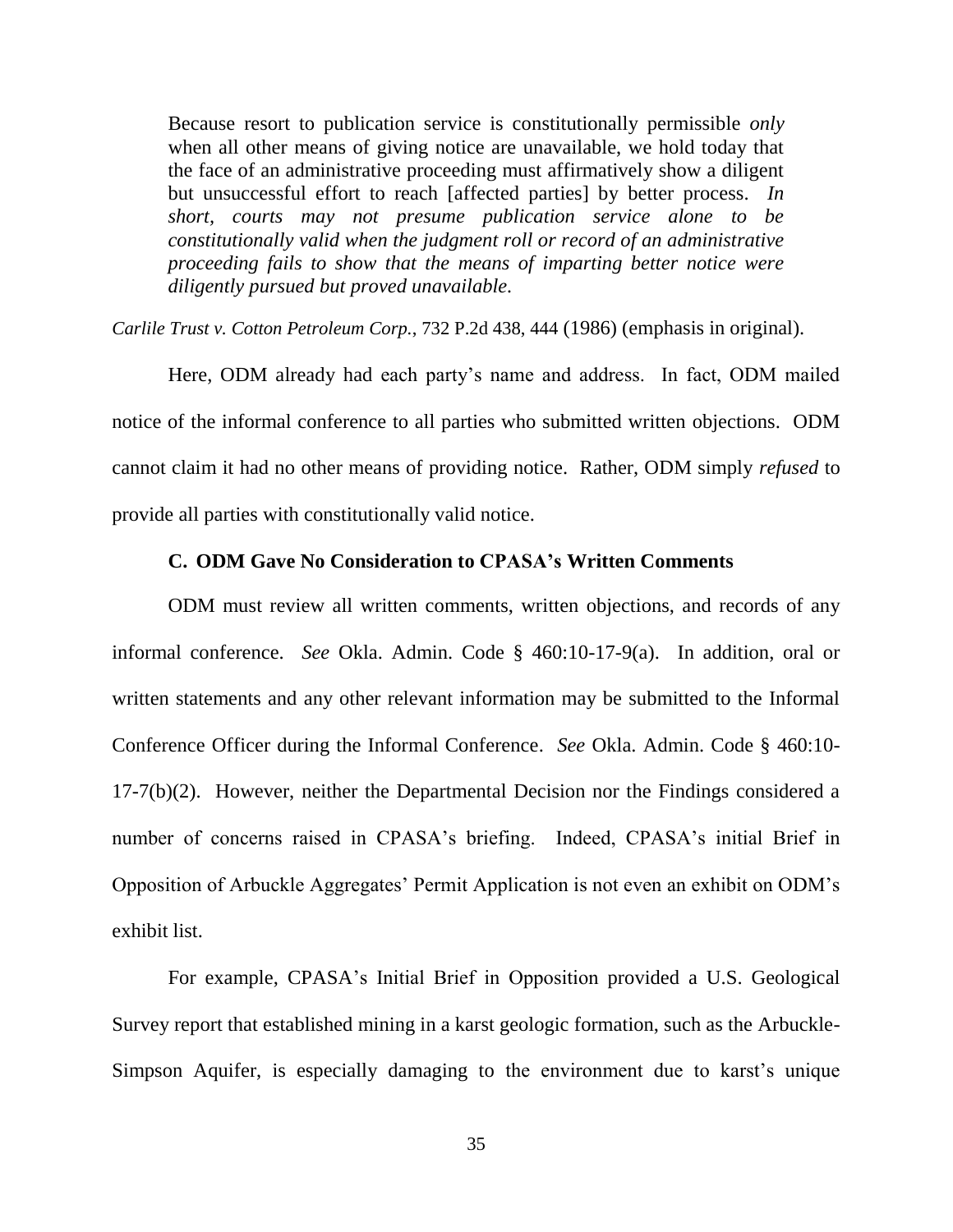Because resort to publication service is constitutionally permissible *only* when all other means of giving notice are unavailable, we hold today that the face of an administrative proceeding must affirmatively show a diligent but unsuccessful effort to reach [affected parties] by better process. *In short, courts may not presume publication service alone to be constitutionally valid when the judgment roll or record of an administrative proceeding fails to show that the means of imparting better notice were diligently pursued but proved unavailable.*

*Carlile Trust v. Cotton Petroleum Corp.*, 732 P.2d 438, 444 (1986) (emphasis in original).

Here, ODM already had each party's name and address. In fact, ODM mailed notice of the informal conference to all parties who submitted written objections. ODM cannot claim it had no other means of providing notice. Rather, ODM simply *refused* to provide all parties with constitutionally valid notice.

#### **C. ODM Gave No Consideration to CPASA's Written Comments**

ODM must review all written comments, written objections, and records of any informal conference. *See* Okla. Admin. Code § 460:10-17-9(a). In addition, oral or written statements and any other relevant information may be submitted to the Informal Conference Officer during the Informal Conference. *See* Okla. Admin. Code § 460:10- 17-7(b)(2). However, neither the Departmental Decision nor the Findings considered a number of concerns raised in CPASA's briefing. Indeed, CPASA's initial Brief in Opposition of Arbuckle Aggregates' Permit Application is not even an exhibit on ODM's exhibit list.

For example, CPASA's Initial Brief in Opposition provided a U.S. Geological Survey report that established mining in a karst geologic formation, such as the Arbuckle-Simpson Aquifer, is especially damaging to the environment due to karst's unique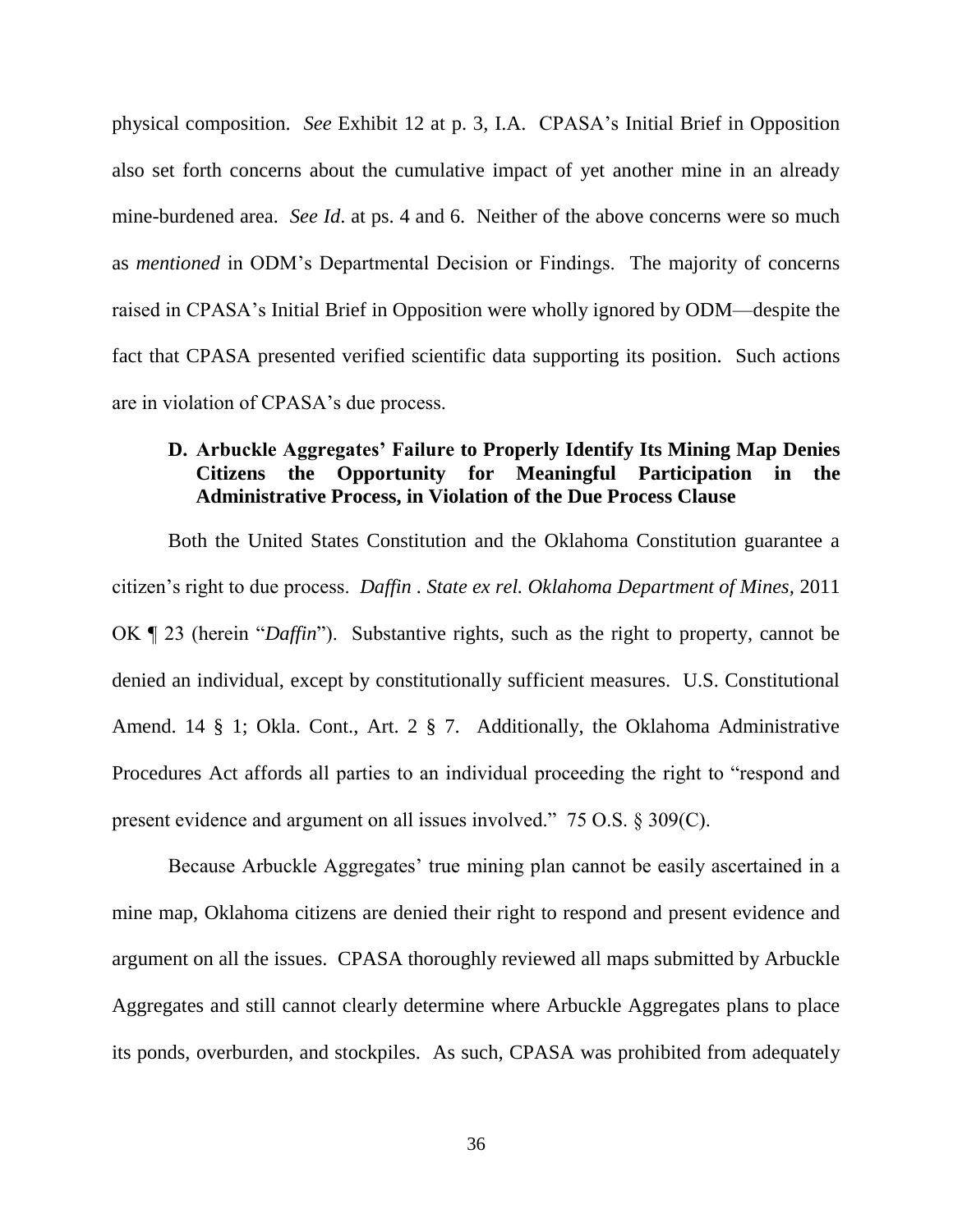physical composition. *See* Exhibit 12 at p. 3, I.A. CPASA's Initial Brief in Opposition also set forth concerns about the cumulative impact of yet another mine in an already mine-burdened area. *See Id*. at ps. 4 and 6. Neither of the above concerns were so much as *mentioned* in ODM's Departmental Decision or Findings. The majority of concerns raised in CPASA's Initial Brief in Opposition were wholly ignored by ODM—despite the fact that CPASA presented verified scientific data supporting its position. Such actions are in violation of CPASA's due process.

## **D. Arbuckle Aggregates' Failure to Properly Identify Its Mining Map Denies Citizens the Opportunity for Meaningful Participation in the Administrative Process, in Violation of the Due Process Clause**

Both the United States Constitution and the Oklahoma Constitution guarantee a citizen's right to due process. *Daffin . State ex rel. Oklahoma Department of Mines,* 2011 OK **T** 23 (herein "*Daffin*"). Substantive rights, such as the right to property, cannot be denied an individual, except by constitutionally sufficient measures. U.S. Constitutional Amend. 14 § 1; Okla. Cont., Art. 2 § 7. Additionally, the Oklahoma Administrative Procedures Act affords all parties to an individual proceeding the right to "respond and present evidence and argument on all issues involved." 75 O.S.  $\S 309(C)$ .

Because Arbuckle Aggregates' true mining plan cannot be easily ascertained in a mine map, Oklahoma citizens are denied their right to respond and present evidence and argument on all the issues. CPASA thoroughly reviewed all maps submitted by Arbuckle Aggregates and still cannot clearly determine where Arbuckle Aggregates plans to place its ponds, overburden, and stockpiles. As such, CPASA was prohibited from adequately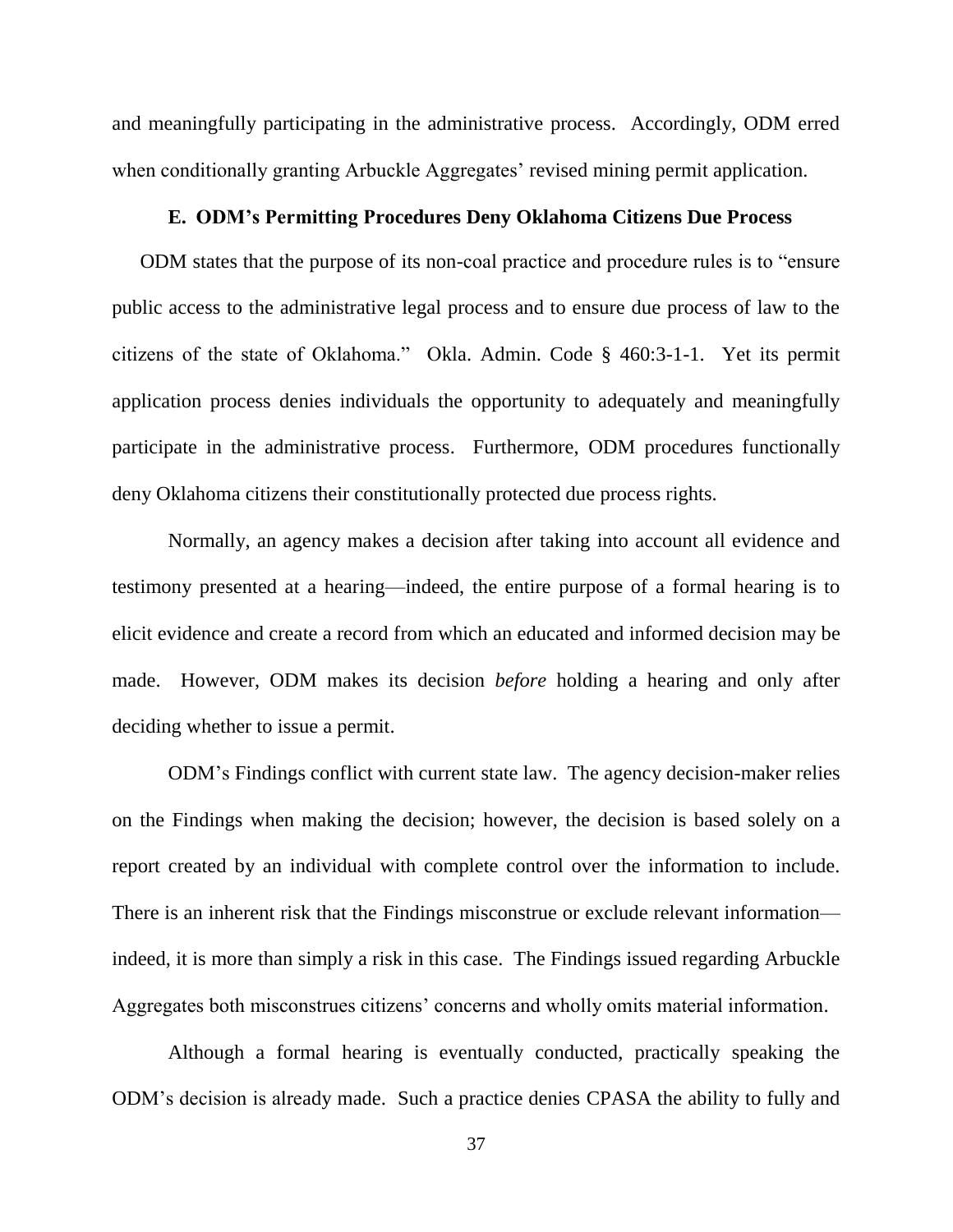and meaningfully participating in the administrative process. Accordingly, ODM erred when conditionally granting Arbuckle Aggregates' revised mining permit application.

#### **E. ODM's Permitting Procedures Deny Oklahoma Citizens Due Process**

ODM states that the purpose of its non-coal practice and procedure rules is to "ensure" public access to the administrative legal process and to ensure due process of law to the citizens of the state of Oklahoma.‖ Okla. Admin. Code § 460:3-1-1. Yet its permit application process denies individuals the opportunity to adequately and meaningfully participate in the administrative process. Furthermore, ODM procedures functionally deny Oklahoma citizens their constitutionally protected due process rights.

Normally, an agency makes a decision after taking into account all evidence and testimony presented at a hearing—indeed, the entire purpose of a formal hearing is to elicit evidence and create a record from which an educated and informed decision may be made. However, ODM makes its decision *before* holding a hearing and only after deciding whether to issue a permit.

ODM's Findings conflict with current state law. The agency decision-maker relies on the Findings when making the decision; however, the decision is based solely on a report created by an individual with complete control over the information to include. There is an inherent risk that the Findings misconstrue or exclude relevant information indeed, it is more than simply a risk in this case. The Findings issued regarding Arbuckle Aggregates both misconstrues citizens' concerns and wholly omits material information.

Although a formal hearing is eventually conducted, practically speaking the ODM's decision is already made. Such a practice denies CPASA the ability to fully and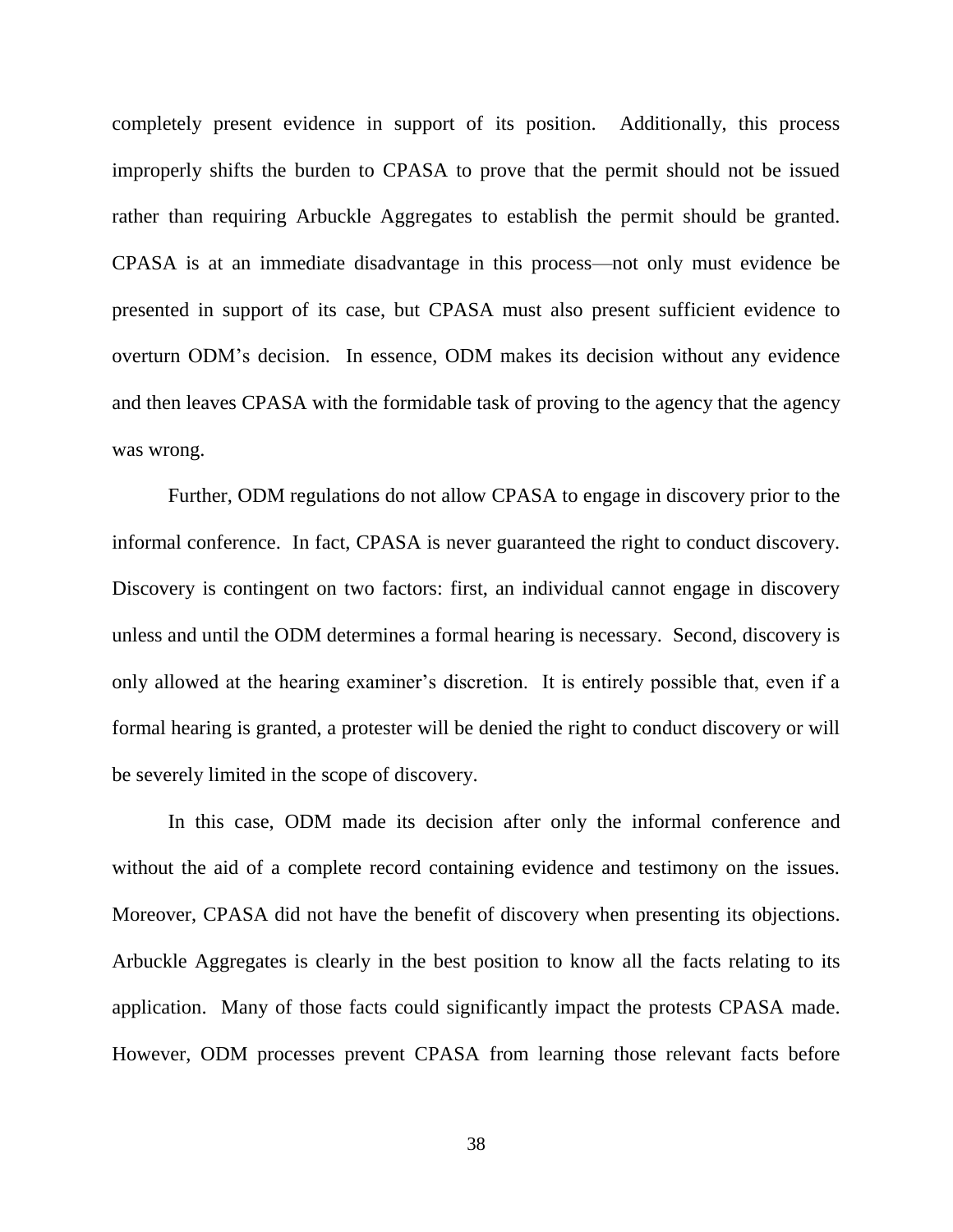completely present evidence in support of its position. Additionally, this process improperly shifts the burden to CPASA to prove that the permit should not be issued rather than requiring Arbuckle Aggregates to establish the permit should be granted. CPASA is at an immediate disadvantage in this process—not only must evidence be presented in support of its case, but CPASA must also present sufficient evidence to overturn ODM's decision. In essence, ODM makes its decision without any evidence and then leaves CPASA with the formidable task of proving to the agency that the agency was wrong.

Further, ODM regulations do not allow CPASA to engage in discovery prior to the informal conference. In fact, CPASA is never guaranteed the right to conduct discovery. Discovery is contingent on two factors: first, an individual cannot engage in discovery unless and until the ODM determines a formal hearing is necessary. Second, discovery is only allowed at the hearing examiner's discretion. It is entirely possible that, even if a formal hearing is granted, a protester will be denied the right to conduct discovery or will be severely limited in the scope of discovery.

In this case, ODM made its decision after only the informal conference and without the aid of a complete record containing evidence and testimony on the issues. Moreover, CPASA did not have the benefit of discovery when presenting its objections. Arbuckle Aggregates is clearly in the best position to know all the facts relating to its application. Many of those facts could significantly impact the protests CPASA made. However, ODM processes prevent CPASA from learning those relevant facts before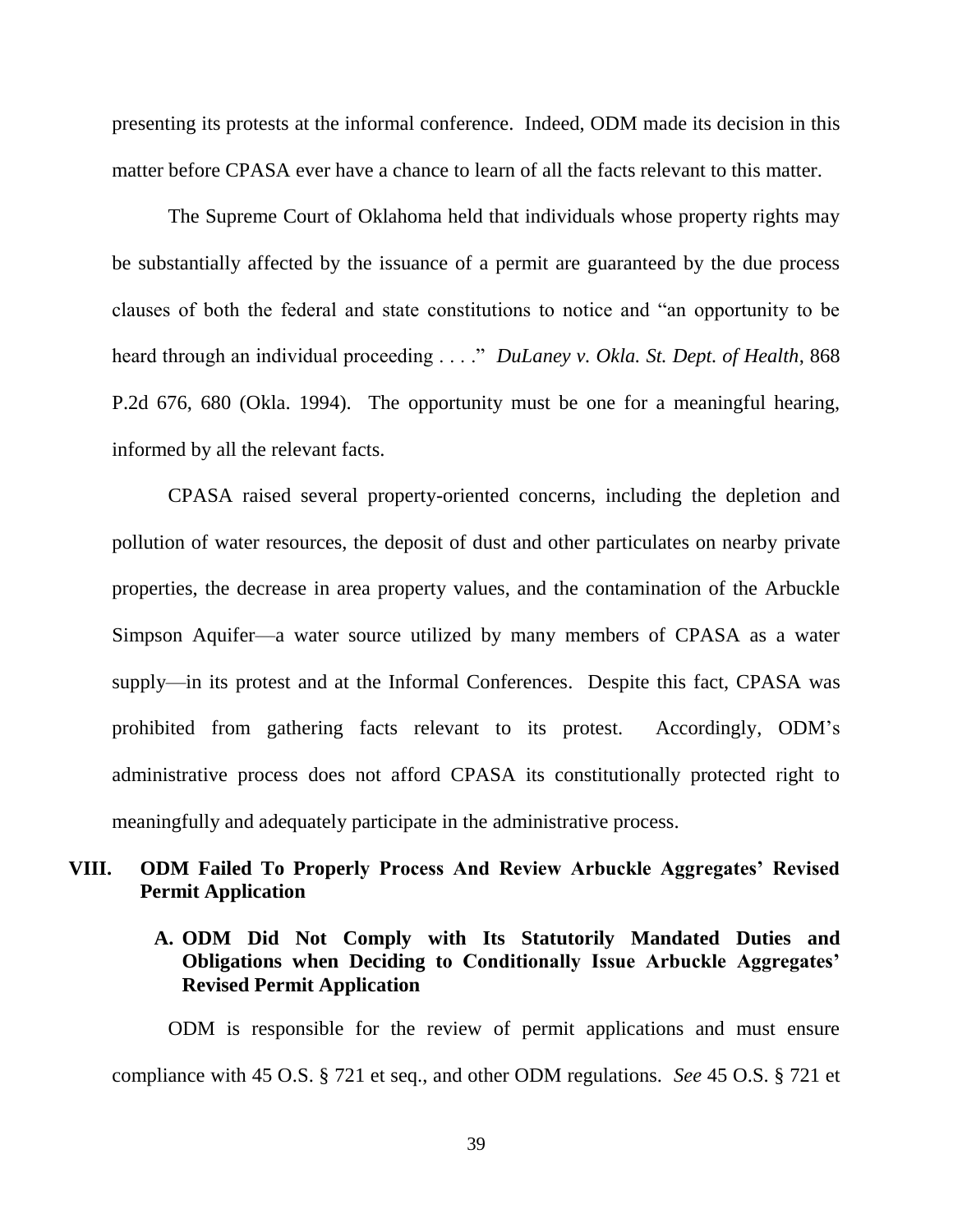presenting its protests at the informal conference. Indeed, ODM made its decision in this matter before CPASA ever have a chance to learn of all the facts relevant to this matter.

The Supreme Court of Oklahoma held that individuals whose property rights may be substantially affected by the issuance of a permit are guaranteed by the due process clauses of both the federal and state constitutions to notice and "an opportunity to be heard through an individual proceeding . . . ." *DuLaney v. Okla. St. Dept. of Health*, 868 P.2d 676, 680 (Okla. 1994). The opportunity must be one for a meaningful hearing, informed by all the relevant facts.

CPASA raised several property-oriented concerns, including the depletion and pollution of water resources, the deposit of dust and other particulates on nearby private properties, the decrease in area property values, and the contamination of the Arbuckle Simpson Aquifer—a water source utilized by many members of CPASA as a water supply—in its protest and at the Informal Conferences. Despite this fact, CPASA was prohibited from gathering facts relevant to its protest. Accordingly, ODM's administrative process does not afford CPASA its constitutionally protected right to meaningfully and adequately participate in the administrative process.

## **VIII. ODM Failed To Properly Process And Review Arbuckle Aggregates' Revised Permit Application**

## **A. ODM Did Not Comply with Its Statutorily Mandated Duties and Obligations when Deciding to Conditionally Issue Arbuckle Aggregates' Revised Permit Application**

ODM is responsible for the review of permit applications and must ensure compliance with 45 O.S. § 721 et seq., and other ODM regulations. *See* 45 O.S. § 721 et

39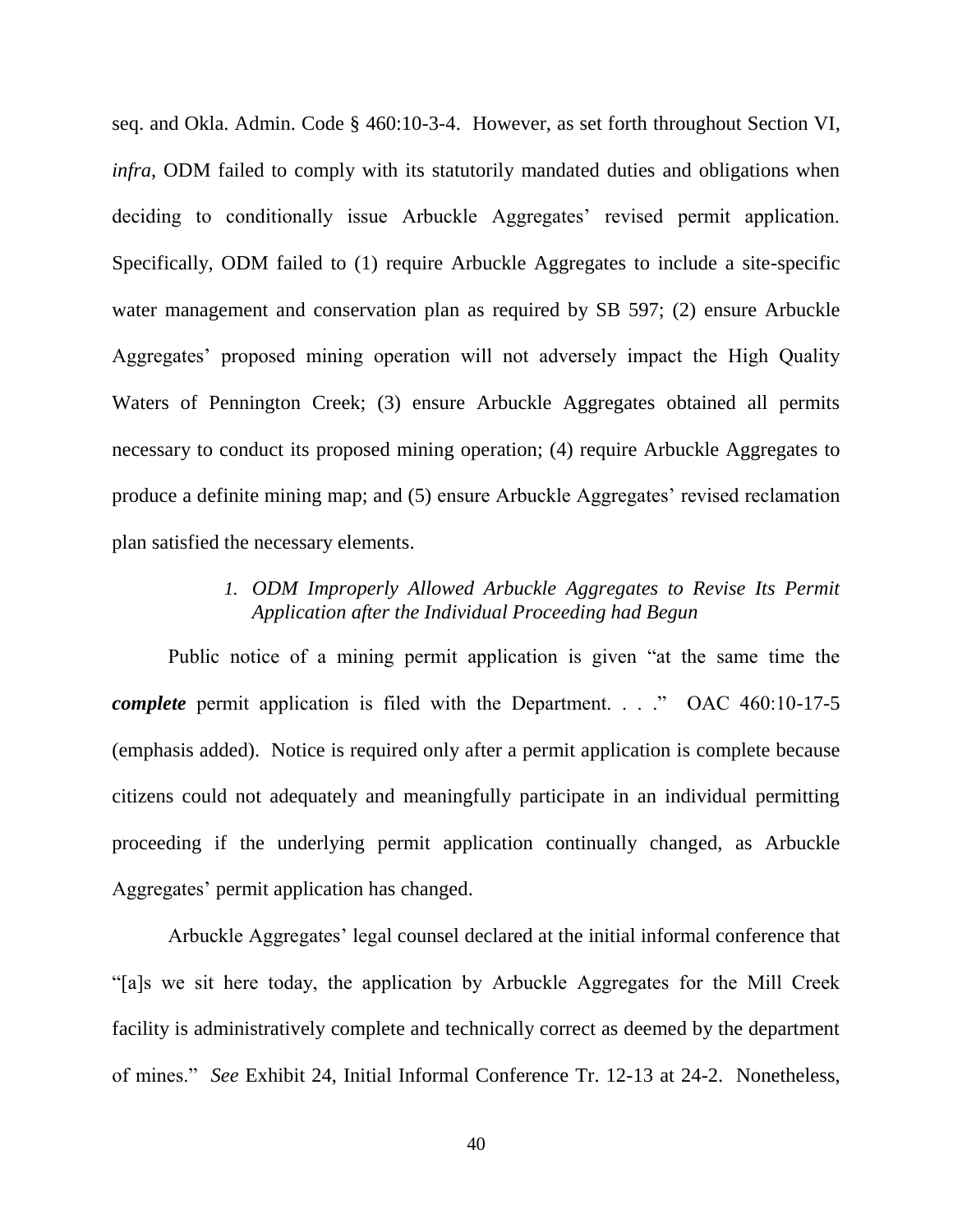seq. and Okla. Admin. Code § 460:10-3-4. However, as set forth throughout Section VI, *infra*, ODM failed to comply with its statutorily mandated duties and obligations when deciding to conditionally issue Arbuckle Aggregates' revised permit application. Specifically, ODM failed to (1) require Arbuckle Aggregates to include a site-specific water management and conservation plan as required by SB 597; (2) ensure Arbuckle Aggregates' proposed mining operation will not adversely impact the High Quality Waters of Pennington Creek; (3) ensure Arbuckle Aggregates obtained all permits necessary to conduct its proposed mining operation; (4) require Arbuckle Aggregates to produce a definite mining map; and (5) ensure Arbuckle Aggregates' revised reclamation plan satisfied the necessary elements.

## *1. ODM Improperly Allowed Arbuckle Aggregates to Revise Its Permit Application after the Individual Proceeding had Begun*

Public notice of a mining permit application is given "at the same time the *complete* permit application is filed with the Department. . . . " OAC 460:10-17-5 (emphasis added). Notice is required only after a permit application is complete because citizens could not adequately and meaningfully participate in an individual permitting proceeding if the underlying permit application continually changed, as Arbuckle Aggregates' permit application has changed.

Arbuckle Aggregates' legal counsel declared at the initial informal conference that ―[a]s we sit here today, the application by Arbuckle Aggregates for the Mill Creek facility is administratively complete and technically correct as deemed by the department of mines.‖ *See* Exhibit 24, Initial Informal Conference Tr. 12-13 at 24-2. Nonetheless,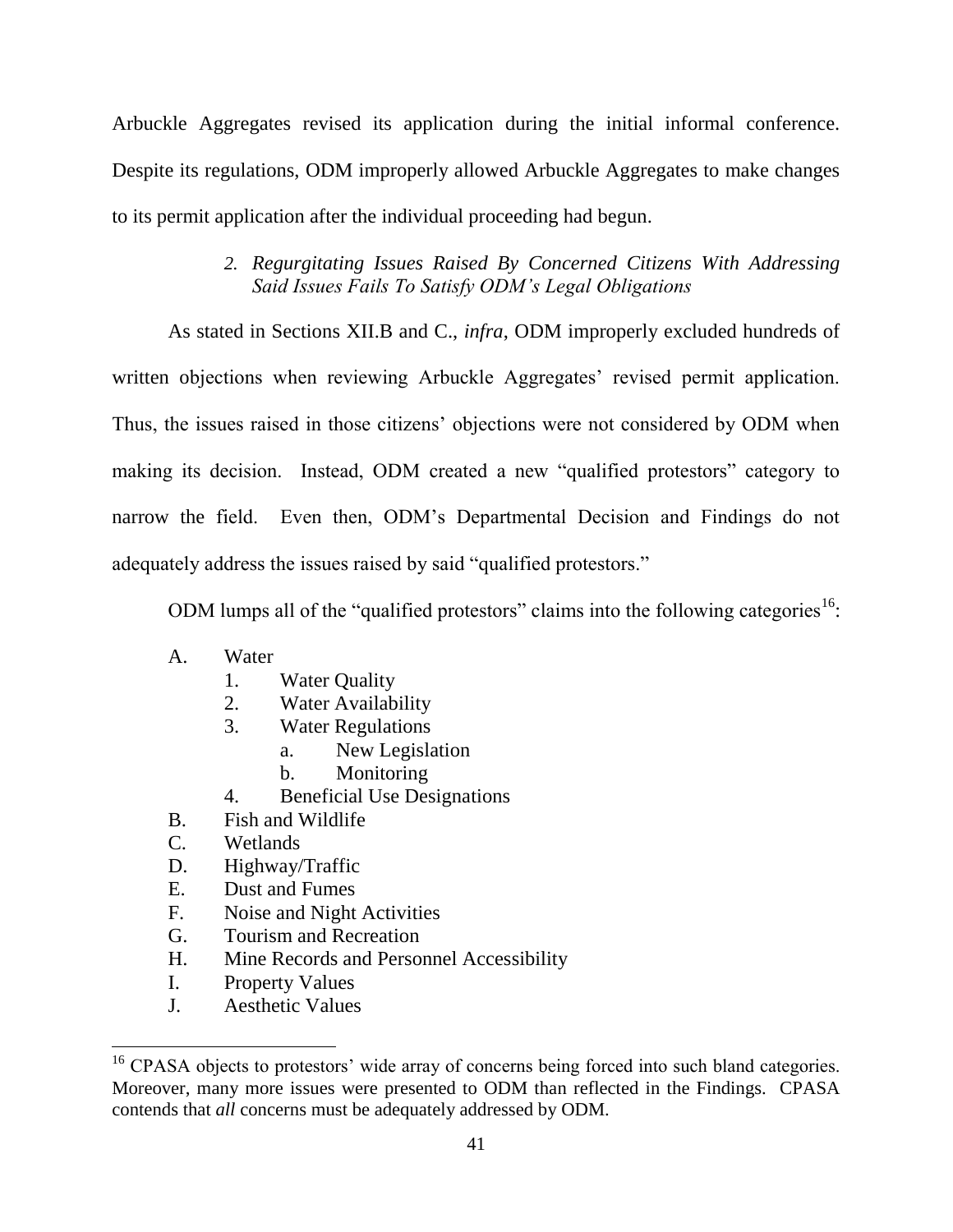Arbuckle Aggregates revised its application during the initial informal conference. Despite its regulations, ODM improperly allowed Arbuckle Aggregates to make changes to its permit application after the individual proceeding had begun.

# *2. Regurgitating Issues Raised By Concerned Citizens With Addressing Said Issues Fails To Satisfy ODM's Legal Obligations*

As stated in Sections XII.B and C., *infra*, ODM improperly excluded hundreds of written objections when reviewing Arbuckle Aggregates' revised permit application. Thus, the issues raised in those citizens' objections were not considered by ODM when making its decision. Instead, ODM created a new "qualified protestors" category to narrow the field. Even then, ODM's Departmental Decision and Findings do not adequately address the issues raised by said "qualified protestors."

ODM lumps all of the "qualified protestors" claims into the following categories<sup>16</sup>:

- A. Water
	- 1. Water Quality
	- 2. Water Availability
	- 3. Water Regulations
		- a. New Legislation
		- b. Monitoring
	- 4. Beneficial Use Designations
- B. Fish and Wildlife
- C. Wetlands
- D. Highway/Traffic
- E. Dust and Fumes
- F. Noise and Night Activities
- G. Tourism and Recreation
- H. Mine Records and Personnel Accessibility
- I. Property Values
- J. Aesthetic Values

<sup>&</sup>lt;sup>16</sup> CPASA objects to protestors' wide array of concerns being forced into such bland categories. Moreover, many more issues were presented to ODM than reflected in the Findings. CPASA contends that *all* concerns must be adequately addressed by ODM.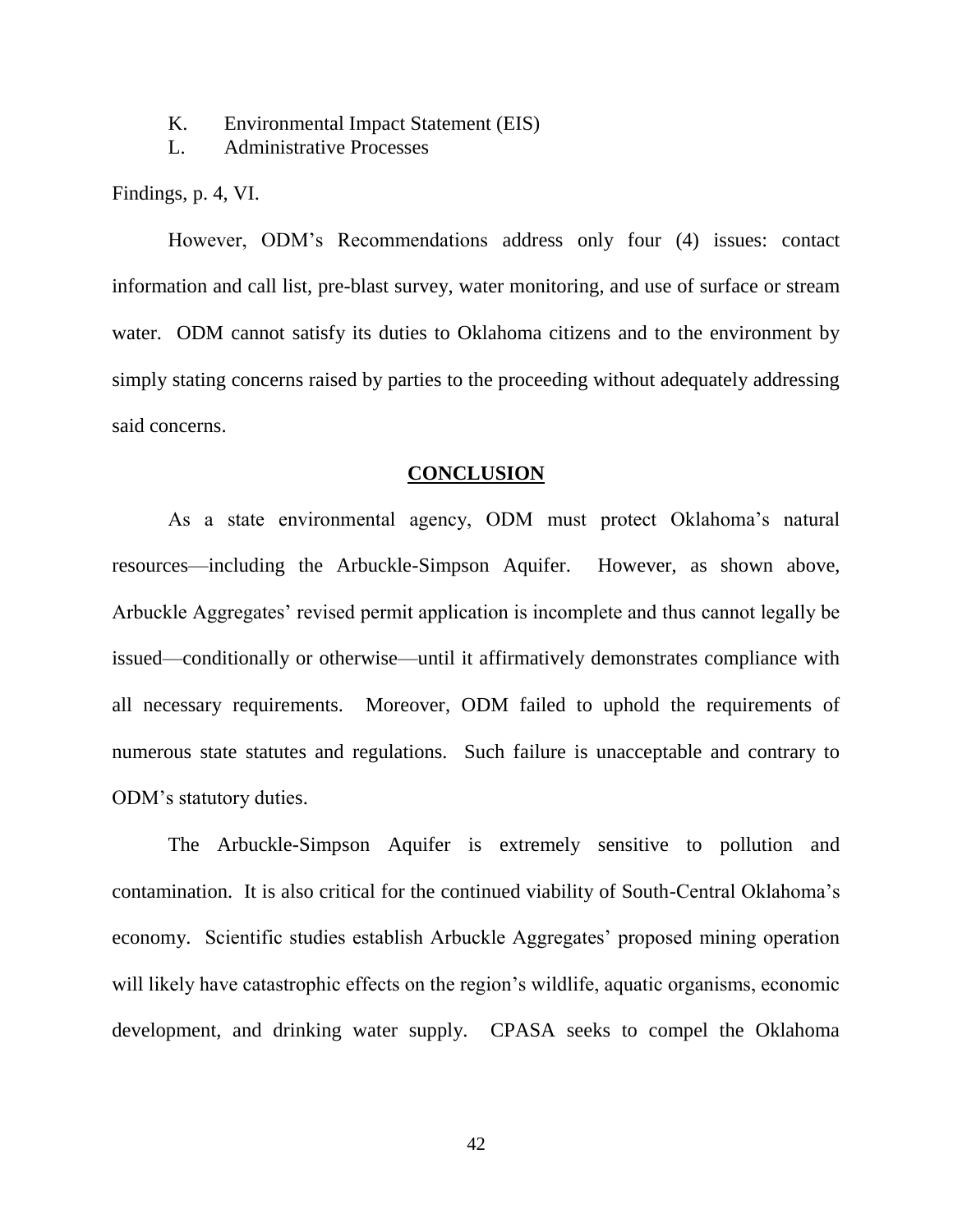K. Environmental Impact Statement (EIS)

L. Administrative Processes

Findings, p. 4, VI.

However, ODM's Recommendations address only four (4) issues: contact information and call list, pre-blast survey, water monitoring, and use of surface or stream water. ODM cannot satisfy its duties to Oklahoma citizens and to the environment by simply stating concerns raised by parties to the proceeding without adequately addressing said concerns.

#### **CONCLUSION**

As a state environmental agency, ODM must protect Oklahoma's natural resources—including the Arbuckle-Simpson Aquifer. However, as shown above, Arbuckle Aggregates' revised permit application is incomplete and thus cannot legally be issued—conditionally or otherwise—until it affirmatively demonstrates compliance with all necessary requirements. Moreover, ODM failed to uphold the requirements of numerous state statutes and regulations. Such failure is unacceptable and contrary to ODM's statutory duties.

The Arbuckle-Simpson Aquifer is extremely sensitive to pollution and contamination. It is also critical for the continued viability of South-Central Oklahoma's economy. Scientific studies establish Arbuckle Aggregates' proposed mining operation will likely have catastrophic effects on the region's wildlife, aquatic organisms, economic development, and drinking water supply. CPASA seeks to compel the Oklahoma

42